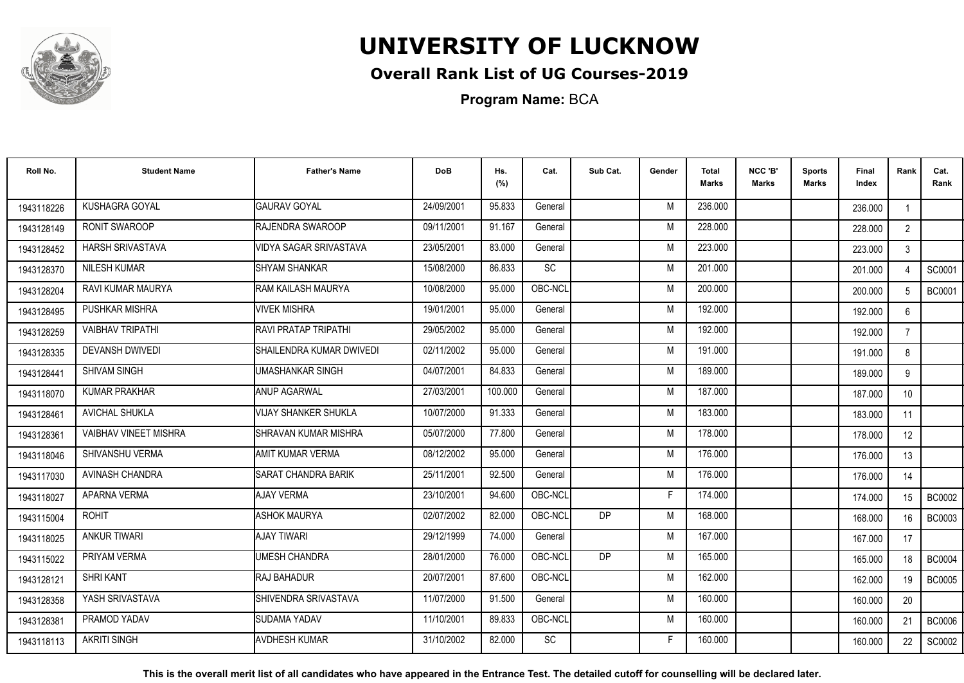

## **Overall Rank List of UG Courses-2019**

**Program Name:** BCA

| Roll No.   | <b>Student Name</b>          | <b>Father's Name</b>        | <b>DoB</b> | Hs.<br>(%) | Cat.    | Sub Cat.  | Gender | <b>Total</b><br><b>Marks</b> | NCC 'B'<br><b>Marks</b> | <b>Sports</b><br>Marks | Final<br>Index | Rank            | Cat.<br>Rank  |
|------------|------------------------------|-----------------------------|------------|------------|---------|-----------|--------|------------------------------|-------------------------|------------------------|----------------|-----------------|---------------|
| 1943118226 | <b>KUSHAGRA GOYAL</b>        | <b>I</b> GAURAV GOYAL       | 24/09/2001 | 95.833     | General |           | M      | 236.000                      |                         |                        | 236,000        |                 |               |
| 1943128149 | RONIT SWAROOP                | RAJENDRA SWAROOP            | 09/11/2001 | 91.167     | General |           | M      | 228.000                      |                         |                        | 228.000        | 2               |               |
| 1943128452 | <b>HARSH SRIVASTAVA</b>      | VIDYA SAGAR SRIVASTAVA      | 23/05/2001 | 83.000     | General |           | M      | 223.000                      |                         |                        | 223,000        | 3               |               |
| 1943128370 | <b>NILESH KUMAR</b>          | <b>ISHYAM SHANKAR</b>       | 15/08/2000 | 86.833     | SC      |           | M      | 201.000                      |                         |                        | 201.000        |                 | SC0001        |
| 1943128204 | RAVI KUMAR MAURYA            | <b>RAM KAILASH MAURYA</b>   | 10/08/2000 | 95.000     | OBC-NCL |           | M      | 200.000                      |                         |                        | 200.000        |                 | <b>BC0001</b> |
| 1943128495 | PUSHKAR MISHRA               | <b>VIVEK MISHRA</b>         | 19/01/2001 | 95.000     | General |           | M      | 192.000                      |                         |                        | 192.000        | 6               |               |
| 1943128259 | <b>VAIBHAV TRIPATHI</b>      | <b>RAVI PRATAP TRIPATHI</b> | 29/05/2002 | 95.000     | General |           | M      | 192.000                      |                         |                        | 192.000        | $\overline{7}$  |               |
| 1943128335 | <b>DEVANSH DWIVEDI</b>       | ISHAILENDRA KUMAR DWIVEDI   | 02/11/2002 | 95.000     | General |           | M      | 191.000                      |                         |                        | 191.000        | 8               |               |
| 1943128441 | <b>SHIVAM SINGH</b>          | <b>UMASHANKAR SINGH</b>     | 04/07/2001 | 84.833     | General |           | M      | 189.000                      |                         |                        | 189.000        | 9               |               |
| 1943118070 | <b>KUMAR PRAKHAR</b>         | <b>ANUP AGARWAL</b>         | 27/03/2001 | 100.000    | General |           | M      | 187.000                      |                         |                        | 187.000        | 10 <sup>°</sup> |               |
| 1943128461 | <b>AVICHAL SHUKLA</b>        | <b>VIJAY SHANKER SHUKLA</b> | 10/07/2000 | 91.333     | General |           | M      | 183.000                      |                         |                        | 183.000        | 11              |               |
| 1943128361 | <b>VAIBHAV VINEET MISHRA</b> | SHRAVAN KUMAR MISHRA        | 05/07/2000 | 77.800     | General |           | M      | 178.000                      |                         |                        | 178.000        | 12              |               |
| 1943118046 | SHIVANSHU VERMA              | IAMIT KUMAR VERMA           | 08/12/2002 | 95.000     | General |           | M      | 176.000                      |                         |                        | 176.000        | 13              |               |
| 1943117030 | AVINASH CHANDRA              | SARAT CHANDRA BARIK         | 25/11/2001 | 92.500     | General |           | M      | 176.000                      |                         |                        | 176.000        | 14              |               |
| 1943118027 | APARNA VERMA                 | <b>AJAY VERMA</b>           | 23/10/2001 | 94.600     | OBC-NCL |           | Е      | 174.000                      |                         |                        | 174.000        | 15              | <b>BC0002</b> |
| 1943115004 | <b>ROHIT</b>                 | <b>ASHOK MAURYA</b>         | 02/07/2002 | 82.000     | OBC-NCL | <b>DP</b> | M      | 168.000                      |                         |                        | 168.000        | 16              | <b>BC0003</b> |
| 1943118025 | <b>ANKUR TIWARI</b>          | <b>AJAY TIWARI</b>          | 29/12/1999 | 74.000     | General |           | M      | 167.000                      |                         |                        | 167.000        | 17              |               |
| 1943115022 | PRIYAM VERMA                 | <b>UMESH CHANDRA</b>        | 28/01/2000 | 76.000     | OBC-NCL | <b>DP</b> | M      | 165.000                      |                         |                        | 165.000        | 18              | <b>BC0004</b> |
| 1943128121 | <b>SHRI KANT</b>             | <b>RAJ BAHADUR</b>          | 20/07/2001 | 87.600     | OBC-NCL |           | M      | 162.000                      |                         |                        | 162.000        | 19              | <b>BC0005</b> |
| 1943128358 | YASH SRIVASTAVA              | SHIVENDRA SRIVASTAVA        | 11/07/2000 | 91.500     | General |           | M      | 160.000                      |                         |                        | 160.000        | 20              |               |
| 1943128381 | PRAMOD YADAV                 | SUDAMA YADAV                | 11/10/2001 | 89.833     | OBC-NCL |           | M      | 160.000                      |                         |                        | 160.000        | 21              | <b>BC0006</b> |
| 1943118113 | <b>AKRITI SINGH</b>          | <b>AVDHESH KUMAR</b>        | 31/10/2002 | 82.000     | SC      |           | F      | 160.000                      |                         |                        | 160.000        | 22              | SC0002        |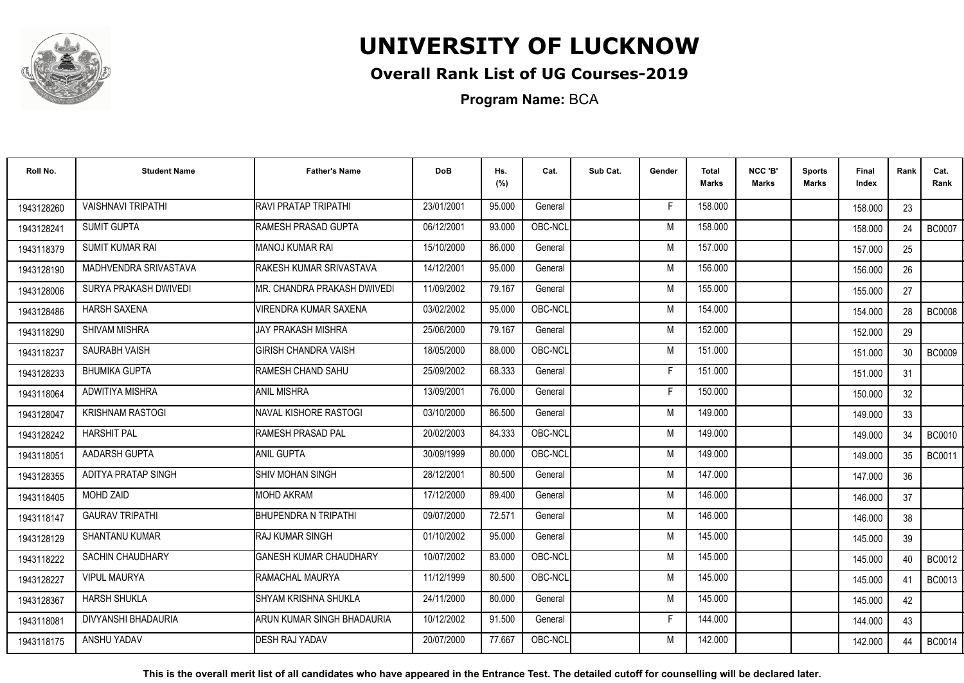

## **Overall Rank List of UG Courses-2019**

**Program Name:** BCA

| Roll No.   | <b>Student Name</b>       | <b>Father's Name</b>            | <b>DoB</b> | Hs.<br>(%) | Cat.    | Sub Cat. | Gender | Total<br>Marks | NCC 'B'<br><b>Marks</b> | Sports<br><b>Marks</b> | Final<br>Index | Rank | Cat.<br>Rank  |
|------------|---------------------------|---------------------------------|------------|------------|---------|----------|--------|----------------|-------------------------|------------------------|----------------|------|---------------|
| 1943128260 | <b>VAISHNAVI TRIPATHI</b> | RAVI PRATAP TRIPATHI            | 23/01/2001 | 95.000     | General |          | E      | 158.000        |                         |                        | 158.000        | 23   |               |
| 1943128241 | <b>SUMIT GUPTA</b>        | RAMESH PRASAD GUPTA             | 06/12/2001 | 93.000     | OBC-NCL |          | M      | 158.000        |                         |                        | 158.000        | 24   | <b>BC0007</b> |
| 1943118379 | <b>SUMIT KUMAR RAI</b>    | MANOJ KUMAR RAI                 | 15/10/2000 | 86.000     | General |          | M      | 157.000        |                         |                        | 157.000        | 25   |               |
| 1943128190 | MADHVENDRA SRIVASTAVA     | <b>IRAKESH KUMAR SRIVASTAVA</b> | 14/12/2001 | 95.000     | General |          | M      | 156.000        |                         |                        | 156.000        | 26   |               |
| 1943128006 | SURYA PRAKASH DWIVEDI     | MR. CHANDRA PRAKASH DWIVEDI     | 11/09/2002 | 79.167     | General |          | M      | 155.000        |                         |                        | 155.000        | 27   |               |
| 1943128486 | <b>HARSH SAXENA</b>       | <b>VIRENDRA KUMAR SAXENA</b>    | 03/02/2002 | 95.000     | OBC-NCL |          | M      | 154.000        |                         |                        | 154.000        | 28   | <b>BC0008</b> |
| 1943118290 | SHIVAM MISHRA             | <b>JAY PRAKASH MISHRA</b>       | 25/06/2000 | 79.167     | General |          | M      | 152.000        |                         |                        | 152.000        | 29   |               |
| 1943118237 | SAURABH VAISH             | <b>GIRISH CHANDRA VAISH</b>     | 18/05/2000 | 88.000     | OBC-NCL |          | M      | 151.000        |                         |                        | 151.000        | 30   | <b>BC0009</b> |
| 1943128233 | <b>BHUMIKA GUPTA</b>      | RAMESH CHAND SAHU               | 25/09/2002 | 68.333     | General |          | F      | 151.000        |                         |                        | 151.000        | 31   |               |
| 1943118064 | ADWITIYA MISHRA           | <b>ANIL MISHRA</b>              | 13/09/2001 | 76.000     | General |          | F      | 150.000        |                         |                        | 150.000        | 32   |               |
| 1943128047 | <b>KRISHNAM RASTOGI</b>   | <b>NAVAL KISHORE RASTOGI</b>    | 03/10/2000 | 86.500     | General |          | M      | 149.000        |                         |                        | 149.000        | 33   |               |
| 1943128242 | <b>HARSHIT PAL</b>        | RAMESH PRASAD PAL               | 20/02/2003 | 84.333     | OBC-NCL |          | M      | 149.000        |                         |                        | 149.000        | 34   | <b>BC0010</b> |
| 1943118051 | AADARSH GUPTA             | ANIL GUPTA                      | 30/09/1999 | 80.000     | OBC-NCL |          | M      | 149.000        |                         |                        | 149.000        | 35   | <b>BC0011</b> |
| 1943128355 | ADITYA PRATAP SINGH       | ISHIV MOHAN SINGH               | 28/12/2001 | 80.500     | General |          | M      | 147.000        |                         |                        | 147.000        | 36   |               |
| 1943118405 | <b>MOHD ZAID</b>          | <b>MOHD AKRAM</b>               | 17/12/2000 | 89.400     | General |          | M      | 146.000        |                         |                        | 146.000        | 37   |               |
| 1943118147 | <b>GAURAV TRIPATHI</b>    | <b>BHUPENDRA N TRIPATHI</b>     | 09/07/2000 | 72.571     | General |          | M      | 146.000        |                         |                        | 146.000        | 38   |               |
| 1943128129 | <b>SHANTANU KUMAR</b>     | <b>RAJ KUMAR SINGH</b>          | 01/10/2002 | 95.000     | General |          | M      | 145.000        |                         |                        | 145.000        | 39   |               |
| 1943118222 | <b>SACHIN CHAUDHARY</b>   | <b>I</b> GANESH KUMAR CHAUDHARY | 10/07/2002 | 83.000     | OBC-NCL |          | M      | 145.000        |                         |                        | 145.000        | 40   | <b>BC0012</b> |
| 1943128227 | <b>VIPUL MAURYA</b>       | <b>RAMACHAL MAURYA</b>          | 11/12/1999 | 80.500     | OBC-NCL |          | M      | 145.000        |                         |                        | 145.000        | 41   | BC0013        |
| 1943128367 | <b>HARSH SHUKLA</b>       | ISHYAM KRISHNA SHUKLA           | 24/11/2000 | 80.000     | General |          | M      | 145.000        |                         |                        | 145.000        | 42   |               |
| 1943118081 | DIVYANSHI BHADAURIA       | ARUN KUMAR SINGH BHADAURIA      | 10/12/2002 | 91.500     | General |          | F      | 144.000        |                         |                        | 144.000        | 43   |               |
| 1943118175 | ANSHU YADAV               | <b>DESH RAJ YADAV</b>           | 20/07/2000 | 77.667     | OBC-NCL |          | M      | 142.000        |                         |                        | 142.000        | 44   | <b>BC0014</b> |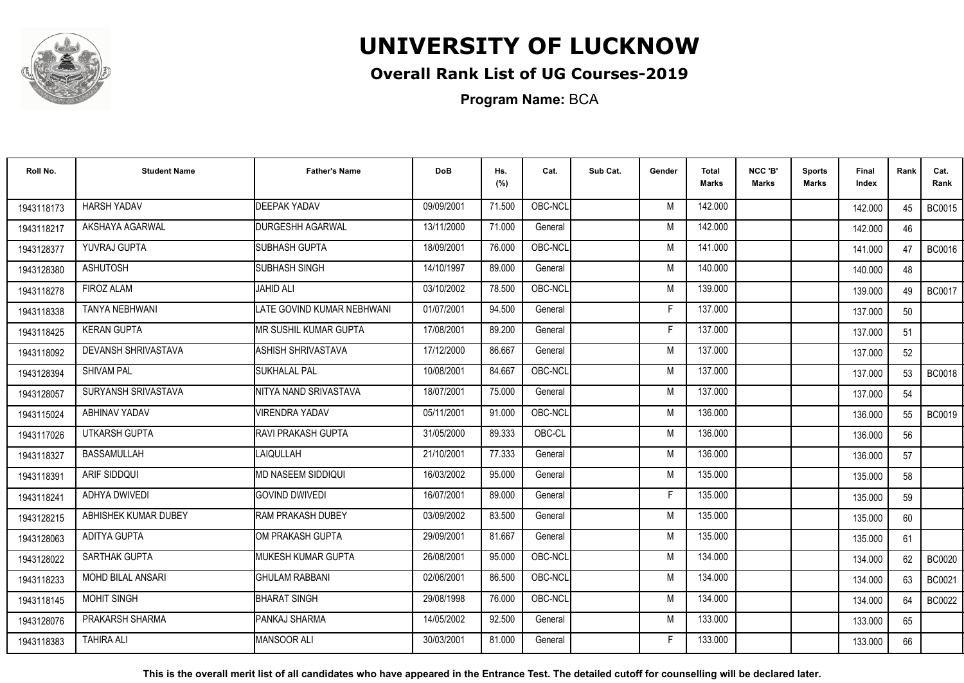

## **Overall Rank List of UG Courses-2019**

**Program Name:** BCA

| Roll No.   | <b>Student Name</b>      | <b>Father's Name</b>                | <b>DoB</b> | Hs.<br>(%) | Cat.    | Sub Cat. | Gender | <b>Total</b><br><b>Marks</b> | NCC 'B'<br><b>Marks</b> | <b>Sports</b><br>Marks | Final<br>Index | Rank | Cat.<br>Rank  |
|------------|--------------------------|-------------------------------------|------------|------------|---------|----------|--------|------------------------------|-------------------------|------------------------|----------------|------|---------------|
| 1943118173 | <b>HARSH YADAV</b>       | <b>DEEPAK YADAV</b>                 | 09/09/2001 | 71.500     | OBC-NCL |          | M      | 142.000                      |                         |                        | 142.000        | 45   | <b>BC0015</b> |
| 1943118217 | AKSHAYA AGARWAL          | <b>DURGESHH AGARWAL</b>             | 13/11/2000 | 71.000     | General |          | M      | 142.000                      |                         |                        | 142.000        | 46   |               |
| 1943128377 | YUVRAJ GUPTA             | SUBHASH GUPTA                       | 18/09/2001 | 76.000     | OBC-NCL |          | M      | 141.000                      |                         |                        | 141.000        | 47   | <b>BC0016</b> |
| 1943128380 | <b>ASHUTOSH</b>          | ISUBHASH SINGH                      | 14/10/1997 | 89.000     | General |          | M      | 140.000                      |                         |                        | 140.000        | 48   |               |
| 1943118278 | <b>FIROZ ALAM</b>        | JAHID ALI                           | 03/10/2002 | 78.500     | OBC-NCL |          | M      | 139.000                      |                         |                        | 139.000        | 49   | <b>BC0017</b> |
| 1943118338 | <b>TANYA NEBHWANI</b>    | <b>I</b> LATE GOVIND KUMAR NEBHWANI | 01/07/2001 | 94.500     | General |          | Е      | 137.000                      |                         |                        | 137.000        | 50   |               |
| 1943118425 | <b>KERAN GUPTA</b>       | IMR SUSHIL KUMAR GUPTA              | 17/08/2001 | 89.200     | General |          | F      | 137.000                      |                         |                        | 137.000        | 51   |               |
| 1943118092 | DEVANSH SHRIVASTAVA      | <b>ASHISH SHRIVASTAVA</b>           | 17/12/2000 | 86.667     | General |          | M      | 137.000                      |                         |                        | 137.000        | 52   |               |
| 1943128394 | <b>SHIVAM PAL</b>        | <b>I</b> SUKHALAL PAL               | 10/08/2001 | 84.667     | OBC-NCL |          | M      | 137.000                      |                         |                        | 137.000        | 53   | <b>BC0018</b> |
| 1943128057 | SURYANSH SRIVASTAVA      | NITYA NAND SRIVASTAVA               | 18/07/2001 | 75.000     | General |          | M      | 137.000                      |                         |                        | 137.000        | 54   |               |
| 1943115024 | ABHINAV YADAV            | <b>VIRENDRA YADAV</b>               | 05/11/2001 | 91.000     | OBC-NCL |          | M      | 136.000                      |                         |                        | 136.000        | 55   | <b>BC0019</b> |
| 1943117026 | UTKARSH GUPTA            | <b>IRAVI PRAKASH GUPTA</b>          | 31/05/2000 | 89.333     | OBC-CL  |          | M      | 136.000                      |                         |                        | 136.000        | 56   |               |
| 1943118327 | BASSAMULLAH              | LAIQULLAH                           | 21/10/2001 | 77.333     | General |          | M      | 136.000                      |                         |                        | 136.000        | 57   |               |
| 1943118391 | <b>ARIF SIDDQUI</b>      | <b>MD NASEEM SIDDIQUI</b>           | 16/03/2002 | 95.000     | General |          | M      | 135.000                      |                         |                        | 135.000        | 58   |               |
| 1943118241 | ADHYA DWIVEDI            | <b>GOVIND DWIVEDI</b>               | 16/07/2001 | 89.000     | General |          | F      | 135.000                      |                         |                        | 135.000        | 59   |               |
| 1943128215 | ABHISHEK KUMAR DUBEY     | <b>RAM PRAKASH DUBEY</b>            | 03/09/2002 | 83.500     | General |          | M      | 135.000                      |                         |                        | 135.000        | 60   |               |
| 1943128063 | <b>ADITYA GUPTA</b>      | <b>I</b> OM PRAKASH GUPTA           | 29/09/2001 | 81.667     | General |          | M      | 135.000                      |                         |                        | 135.000        | 61   |               |
| 1943128022 | SARTHAK GUPTA            | <b>MUKESH KUMAR GUPTA</b>           | 26/08/2001 | 95.000     | OBC-NCL |          | M      | 134.000                      |                         |                        | 134.000        | 62   | <b>BC0020</b> |
| 1943118233 | <b>MOHD BILAL ANSARI</b> | <b>GHULAM RABBANI</b>               | 02/06/2001 | 86.500     | OBC-NCL |          | M      | 134.000                      |                         |                        | 134.000        | 63   | BC0021        |
| 1943118145 | <b>MOHIT SINGH</b>       | <b>BHARAT SINGH</b>                 | 29/08/1998 | 76.000     | OBC-NCL |          | M      | 134.000                      |                         |                        | 134.000        | 64   | <b>BC0022</b> |
| 1943128076 | PRAKARSH SHARMA          | <b>PANKAJ SHARMA</b>                | 14/05/2002 | 92.500     | General |          | M      | 133.000                      |                         |                        | 133.000        | 65   |               |
| 1943118383 | <b>TAHIRA ALI</b>        | MANSOOR ALI                         | 30/03/2001 | 81.000     | General |          | F      | 133.000                      |                         |                        | 133.000        | 66   |               |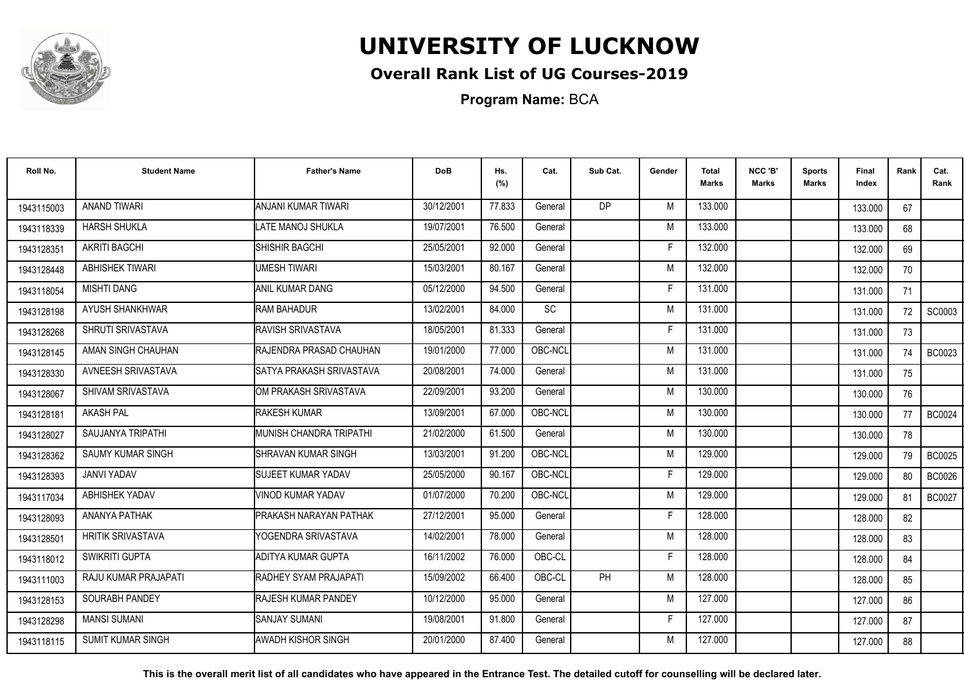

## **Overall Rank List of UG Courses-2019**

**Program Name:** BCA

| Roll No.   | <b>Student Name</b>      | <b>Father's Name</b>             | <b>DoB</b> | Hs.<br>(%) | Cat.    | Sub Cat.  | Gender | Total<br>Marks | NCC 'B'<br><b>Marks</b> | Sports<br><b>Marks</b> | Final<br>Index | Rank | Cat.<br>Rank  |
|------------|--------------------------|----------------------------------|------------|------------|---------|-----------|--------|----------------|-------------------------|------------------------|----------------|------|---------------|
| 1943115003 | <b>ANAND TIWARI</b>      | ANJANI KUMAR TIWARI              | 30/12/2001 | 77.833     | General | DP.       | M      | 133.000        |                         |                        | 133.000        | 67   |               |
| 1943118339 | <b>HARSH SHUKLA</b>      | LATE MANOJ SHUKLA                | 19/07/2001 | 76.500     | General |           | M      | 133.000        |                         |                        | 133.000        | 68   |               |
| 1943128351 | <b>AKRITI BAGCHI</b>     | SHISHIR BAGCHI                   | 25/05/2001 | 92.000     | General |           | F      | 132.000        |                         |                        | 132.000        | 69   |               |
| 1943128448 | <b>ABHISHEK TIWARI</b>   | <b>UMESH TIWARI</b>              | 15/03/2001 | 80.167     | General |           | M      | 132.000        |                         |                        | 132.000        | 70   |               |
| 1943118054 | <b>MISHTI DANG</b>       | ANIL KUMAR DANG                  | 05/12/2000 | 94.500     | General |           | E      | 131.000        |                         |                        | 131.000        | 71   |               |
| 1943128198 | AYUSH SHANKHWAR          | <b>RAM BAHADUR</b>               | 13/02/2001 | 84.000     | SC      |           | M      | 131.000        |                         |                        | 131.000        | 72   | SC0003        |
| 1943128268 | SHRUTI SRIVASTAVA        | RAVISH SRIVASTAVA                | 18/05/2001 | 81.333     | General |           | F      | 131.000        |                         |                        | 131.000        | 73   |               |
| 1943128145 | AMAN SINGH CHAUHAN       | RAJENDRA PRASAD CHAUHAN          | 19/01/2000 | 77.000     | OBC-NCL |           | M      | 131.000        |                         |                        | 131.000        | 74   | BC0023        |
| 1943128330 | AVNEESH SRIVASTAVA       | SATYA PRAKASH SRIVASTAVA         | 20/08/2001 | 74.000     | General |           | M      | 131.000        |                         |                        | 131.000        | 75   |               |
| 1943128067 | SHIVAM SRIVASTAVA        | IOM PRAKASH SRIVASTAVA           | 22/09/2001 | 93.200     | General |           | M      | 130.000        |                         |                        | 130.000        | 76   |               |
| 1943128181 | <b>AKASH PAL</b>         | <b>RAKESH KUMAR</b>              | 13/09/2001 | 67.000     | OBC-NCL |           | M      | 130.000        |                         |                        | 130.000        | 77   | BC0024        |
| 1943128027 | SAUJANYA TRIPATHI        | <b>I</b> MUNISH CHANDRA TRIPATHI | 21/02/2000 | 61.500     | General |           | M      | 130.000        |                         |                        | 130.000        | 78   |               |
| 1943128362 | <b>SAUMY KUMAR SINGH</b> | <b>SHRAVAN KUMAR SINGH</b>       | 13/03/2001 | 91.200     | OBC-NCL |           | M      | 129.000        |                         |                        | 129.000        | 79   | <b>BC0025</b> |
| 1943128393 | <b>JANVI YADAV</b>       | <b>SUJEET KUMAR YADAV</b>        | 25/05/2000 | 90.167     | OBC-NCL |           | F      | 129.000        |                         |                        | 129.000        | 80   | <b>BC0026</b> |
| 1943117034 | ABHISHEK YADAV           | VINOD KUMAR YADAV                | 01/07/2000 | 70.200     | OBC-NCL |           | M      | 129.000        |                         |                        | 129.000        | 81   | <b>BC0027</b> |
| 1943128093 | ANANYA PATHAK            | PRAKASH NARAYAN PATHAK           | 27/12/2001 | 95.000     | General |           | Е      | 128.000        |                         |                        | 128.000        | 82   |               |
| 1943128501 | <b>HRITIK SRIVASTAVA</b> | YOGENDRA SRIVASTAVA              | 14/02/2001 | 78.000     | General |           | M      | 128.000        |                         |                        | 128.000        | 83   |               |
| 1943118012 | <b>SWIKRITI GUPTA</b>    | ADITYA KUMAR GUPTA               | 16/11/2002 | 76.000     | OBC-CL  |           | F      | 128.000        |                         |                        | 128.000        | 84   |               |
| 1943111003 | RAJU KUMAR PRAJAPATI     | RADHEY SYAM PRAJAPATI            | 15/09/2002 | 66.400     | OBC-CL  | <b>PH</b> | M      | 128.000        |                         |                        | 128.000        | 85   |               |
| 1943128153 | SOURABH PANDEY           | <b>RAJESH KUMAR PANDEY</b>       | 10/12/2000 | 95.000     | General |           | M      | 127.000        |                         |                        | 127.000        | 86   |               |
| 1943128298 | <b>MANSI SUMANI</b>      | <b>SANJAY SUMANI</b>             | 19/08/2001 | 91.800     | General |           | F      | 127.000        |                         |                        | 127.000        | 87   |               |
| 1943118115 | <b>SUMIT KUMAR SINGH</b> | AWADH KISHOR SINGH               | 20/01/2000 | 87.400     | General |           | M      | 127.000        |                         |                        | 127.000        | 88   |               |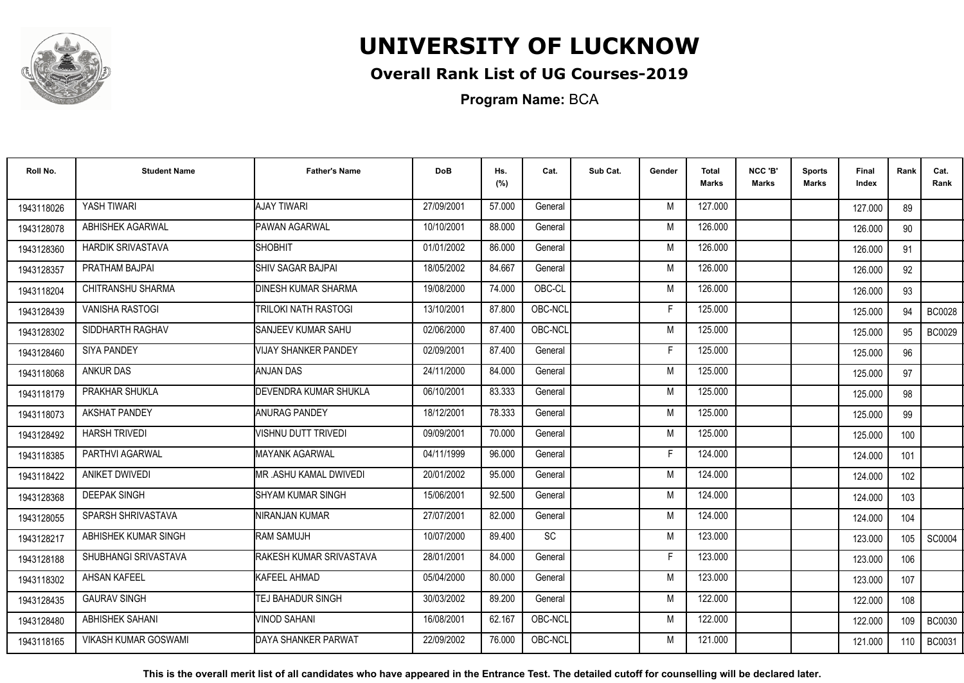

## **Overall Rank List of UG Courses-2019**

**Program Name:** BCA

| Roll No.   | <b>Student Name</b>         | <b>Father's Name</b>         | <b>DoB</b> | Hs.<br>(%) | Cat.      | Sub Cat. | Gender | <b>Total</b><br>Marks | NCC 'B'<br>Marks | <b>Sports</b><br>Marks | Final<br>Index | Rank | Cat.<br>Rank  |
|------------|-----------------------------|------------------------------|------------|------------|-----------|----------|--------|-----------------------|------------------|------------------------|----------------|------|---------------|
| 1943118026 | YASH TIWARI                 | <b>AJAY TIWARI</b>           | 27/09/2001 | 57.000     | General   |          | M      | 127,000               |                  |                        | 127.000        | 89   |               |
| 1943128078 | ABHISHEK AGARWAL            | <b>PAWAN AGARWAL</b>         | 10/10/2001 | 88.000     | General   |          | M      | 126.000               |                  |                        | 126.000        | 90   |               |
| 1943128360 | <b>HARDIK SRIVASTAVA</b>    | SHOBHIT                      | 01/01/2002 | 86.000     | General   |          | M      | 126.000               |                  |                        | 126.000        | 91   |               |
| 1943128357 | PRATHAM BAJPAI              | ISHIV SAGAR BAJPAI           | 18/05/2002 | 84.667     | General   |          | M      | 126.000               |                  |                        | 126.000        | 92   |               |
| 1943118204 | CHITRANSHU SHARMA           | <b>I</b> DINESH KUMAR SHARMA | 19/08/2000 | 74.000     | OBC-CL    |          | M      | 126.000               |                  |                        | 126.000        | 93   |               |
| 1943128439 | <b>VANISHA RASTOGI</b>      | TRILOKI NATH RASTOGI         | 13/10/2001 | 87.800     | OBC-NCL   |          | E      | 125.000               |                  |                        | 125.000        | 94   | <b>BC0028</b> |
| 1943128302 | SIDDHARTH RAGHAV            | <b>I</b> SANJEEV KUMAR SAHU  | 02/06/2000 | 87.400     | OBC-NCL   |          | M      | 125.000               |                  |                        | 125.000        | 95   | <b>BC0029</b> |
| 1943128460 | <b>SIYA PANDEY</b>          | <b>VIJAY SHANKER PANDEY</b>  | 02/09/2001 | 87.400     | General   |          | F      | 125.000               |                  |                        | 125.000        | 96   |               |
| 1943118068 | <b>ANKUR DAS</b>            | ANJAN DAS                    | 24/11/2000 | 84.000     | General   |          | M      | 125.000               |                  |                        | 125.000        | 97   |               |
| 1943118179 | PRAKHAR SHUKLA              | DEVENDRA KUMAR SHUKLA        | 06/10/2001 | 83.333     | General   |          | M      | 125.000               |                  |                        | 125.000        | 98   |               |
| 1943118073 | <b>AKSHAT PANDEY</b>        | <b>ANURAG PANDEY</b>         | 18/12/2001 | 78.333     | General   |          | M      | 125.000               |                  |                        | 125.000        | 99   |               |
| 1943128492 | <b>HARSH TRIVEDI</b>        | VISHNU DUTT TRIVEDI          | 09/09/2001 | 70.000     | General   |          | M      | 125.000               |                  |                        | 125.000        | 100  |               |
| 1943118385 | PARTHVI AGARWAL             | <b>MAYANK AGARWAL</b>        | 04/11/1999 | 96.000     | General   |          | Е      | 124.000               |                  |                        | 124.000        | 101  |               |
| 1943118422 | ANIKET DWIVEDI              | IMR .ASHU KAMAL DWIVEDI      | 20/01/2002 | 95.000     | General   |          | M      | 124.000               |                  |                        | 124.000        | 102  |               |
| 1943128368 | <b>DEEPAK SINGH</b>         | ISHYAM KUMAR SINGH           | 15/06/2001 | 92.500     | General   |          | M      | 124.000               |                  |                        | 124.000        | 103  |               |
| 1943128055 | SPARSH SHRIVASTAVA          | NIRANJAN KUMAR               | 27/07/2001 | 82.000     | General   |          | M      | 124.000               |                  |                        | 124.000        | 104  |               |
| 1943128217 | ABHISHEK KUMAR SINGH        | <b>RAM SAMUJH</b>            | 10/07/2000 | 89.400     | <b>SC</b> |          | M      | 123.000               |                  |                        | 123.000        | 105  | SC0004        |
| 1943128188 | SHUBHANGI SRIVASTAVA        | RAKESH KUMAR SRIVASTAVA      | 28/01/2001 | 84.000     | General   |          | F      | 123.000               |                  |                        | 123.000        | 106  |               |
| 1943118302 | AHSAN KAFEEL                | KAFEEL AHMAD                 | 05/04/2000 | 80.000     | General   |          | M      | 123.000               |                  |                        | 123.000        | 107  |               |
| 1943128435 | <b>GAURAV SINGH</b>         | <b>TEJ BAHADUR SINGH</b>     | 30/03/2002 | 89.200     | General   |          | M      | 122.000               |                  |                        | 122.000        | 108  |               |
| 1943128480 | ABHISHEK SAHANI             | <b>VINOD SAHANI</b>          | 16/08/2001 | 62.167     | OBC-NCL   |          | M      | 122.000               |                  |                        | 122.000        | 109  | <b>BC0030</b> |
| 1943118165 | <b>VIKASH KUMAR GOSWAMI</b> | DAYA SHANKER PARWAT          | 22/09/2002 | 76.000     | OBC-NCL   |          | M      | 121.000               |                  |                        | 121.000        | 110  | <b>BC0031</b> |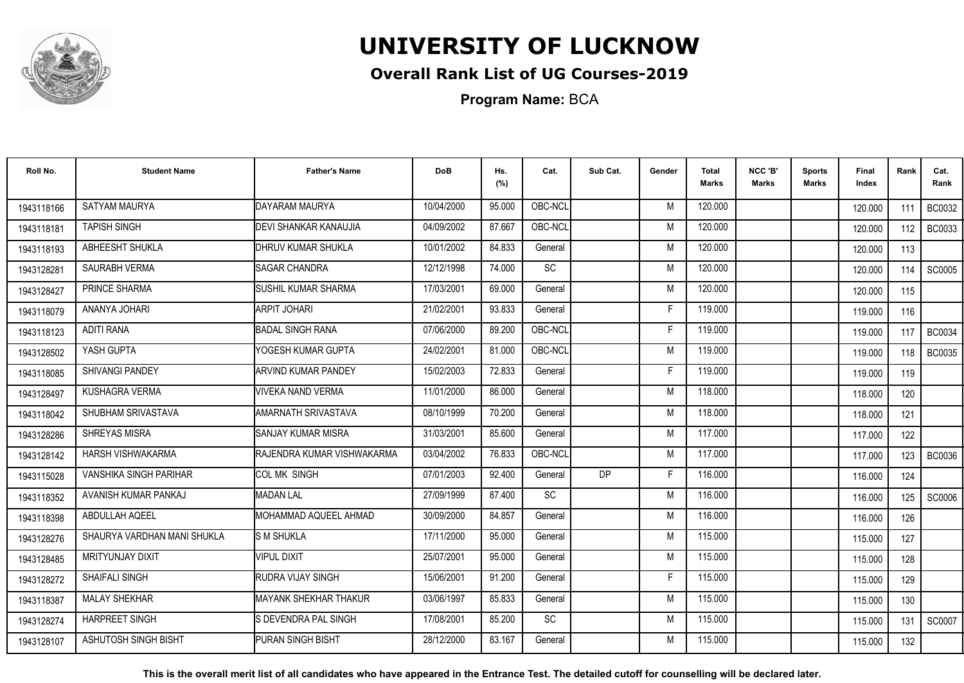

## **Overall Rank List of UG Courses-2019**

**Program Name:** BCA

| Roll No.   | <b>Student Name</b>           | <b>Father's Name</b>               | <b>DoB</b> | Hs.<br>(%) | Cat.      | Sub Cat. | Gender | <b>Total</b><br><b>Marks</b> | NCC 'B'<br><b>Marks</b> | <b>Sports</b><br>Marks | Final<br>Index | Rank  | Cat.<br>Rank  |
|------------|-------------------------------|------------------------------------|------------|------------|-----------|----------|--------|------------------------------|-------------------------|------------------------|----------------|-------|---------------|
| 1943118166 | <b>SATYAM MAURYA</b>          | DAYARAM MAURYA                     | 10/04/2000 | 95.000     | OBC-NCL   |          | M      | 120.000                      |                         |                        | 120,000        | 111   | <b>BC0032</b> |
| 1943118181 | <b>TAPISH SINGH</b>           | <b>DEVI SHANKAR KANAUJIA</b>       | 04/09/2002 | 87.667     | OBC-NCL   |          | M      | 120.000                      |                         |                        | 120.000        | 112   | <b>BC0033</b> |
| 1943118193 | ABHEESHT SHUKLA               | <b>DHRUV KUMAR SHUKLA</b>          | 10/01/2002 | 84.833     | General   |          | M      | 120.000                      |                         |                        | 120.000        | 113   |               |
| 1943128281 | SAURABH VERMA                 | <b>I</b> SAGAR CHANDRA             | 12/12/1998 | 74.000     | SC        |          | M      | 120.000                      |                         |                        | 120.000        | 114   | SC0005        |
| 1943128427 | PRINCE SHARMA                 | <b>I</b> SUSHIL KUMAR SHARMA       | 17/03/2001 | 69.000     | General   |          | M      | 120.000                      |                         |                        | 120.000        | 115   |               |
| 1943118079 | ANANYA JOHARI                 | IARPIT JOHARI                      | 21/02/2001 | 93.833     | General   |          | Е      | 119.000                      |                         |                        | 119.000        | 116   |               |
| 1943118123 | <b>ADITI RANA</b>             | <b>BADAL SINGH RANA</b>            | 07/06/2000 | 89.200     | OBC-NCL   |          | F      | 119.000                      |                         |                        | 119.000        | 117   | <b>BC0034</b> |
| 1943128502 | YASH GUPTA                    | YOGESH KUMAR GUPTA                 | 24/02/2001 | 81.000     | OBC-NCL   |          | M      | 119.000                      |                         |                        | 119.000        | 118 l | <b>BC0035</b> |
| 1943118085 | <b>SHIVANGI PANDEY</b>        | ARVIND KUMAR PANDEY                | 15/02/2003 | 72.833     | General   |          | F      | 119.000                      |                         |                        | 119.000        | 119   |               |
| 1943128497 | <b>KUSHAGRA VERMA</b>         | <b>VIVEKA NAND VERMA</b>           | 11/01/2000 | 86.000     | General   |          | M      | 118.000                      |                         |                        | 118,000        | 120   |               |
| 1943118042 | SHUBHAM SRIVASTAVA            | <b>AMARNATH SRIVASTAVA</b>         | 08/10/1999 | 70.200     | General   |          | M      | 118.000                      |                         |                        | 118.000        | 121   |               |
| 1943128286 | <b>SHREYAS MISRA</b>          | ISANJAY KUMAR MISRA                | 31/03/2001 | 85.600     | General   |          | M      | 117.000                      |                         |                        | 117.000        | 122   |               |
| 1943128142 | HARSH VISHWAKARMA             | <b>IRAJENDRA KUMAR VISHWAKARMA</b> | 03/04/2002 | 76.833     | OBC-NCL   |          | M      | 117.000                      |                         |                        | 117.000        | 123   | BC0036        |
| 1943115028 | <b>VANSHIKA SINGH PARIHAR</b> | ICOL MK SINGH                      | 07/01/2003 | 92.400     | General   | DP       | F      | 116.000                      |                         |                        | 116.000        | 124   |               |
| 1943118352 | AVANISH KUMAR PANKAJ          | <b>MADAN LAL</b>                   | 27/09/1999 | 87.400     | <b>SC</b> |          | M      | 116.000                      |                         |                        | 116.000        | 125   | SC0006        |
| 1943118398 | ABDULLAH AQEEL                | <b>IMOHAMMAD AQUEEL AHMAD</b>      | 30/09/2000 | 84.857     | General   |          | M      | 116.000                      |                         |                        | 116.000        | 126   |               |
| 1943128276 | SHAURYA VARDHAN MANI SHUKLA   | <b>SM SHUKLA</b>                   | 17/11/2000 | 95.000     | General   |          | M      | 115.000                      |                         |                        | 115.000        | 127   |               |
| 1943128485 | MRITYUNJAY DIXIT              | <b>VIPUL DIXIT</b>                 | 25/07/2001 | 95.000     | General   |          | M      | 115.000                      |                         |                        | 115.000        | 128   |               |
| 1943128272 | <b>SHAIFALI SINGH</b>         | <b>RUDRA VIJAY SINGH</b>           | 15/06/2001 | 91.200     | General   |          | Е      | 115.000                      |                         |                        | 115.000        | 129   |               |
| 1943118387 | <b>MALAY SHEKHAR</b>          | MAYANK SHEKHAR THAKUR              | 03/06/1997 | 85.833     | General   |          | M      | 115.000                      |                         |                        | 115.000        | 130   |               |
| 1943128274 | <b>HARPREET SINGH</b>         | IS DEVENDRA PAL SINGH              | 17/08/2001 | 85.200     | <b>SC</b> |          | M      | 115.000                      |                         |                        | 115.000        | 131   | SC0007        |
| 1943128107 | ASHUTOSH SINGH BISHT          | <b>IPURAN SINGH BISHT</b>          | 28/12/2000 | 83.167     | General   |          | M      | 115.000                      |                         |                        | 115.000        | 132   |               |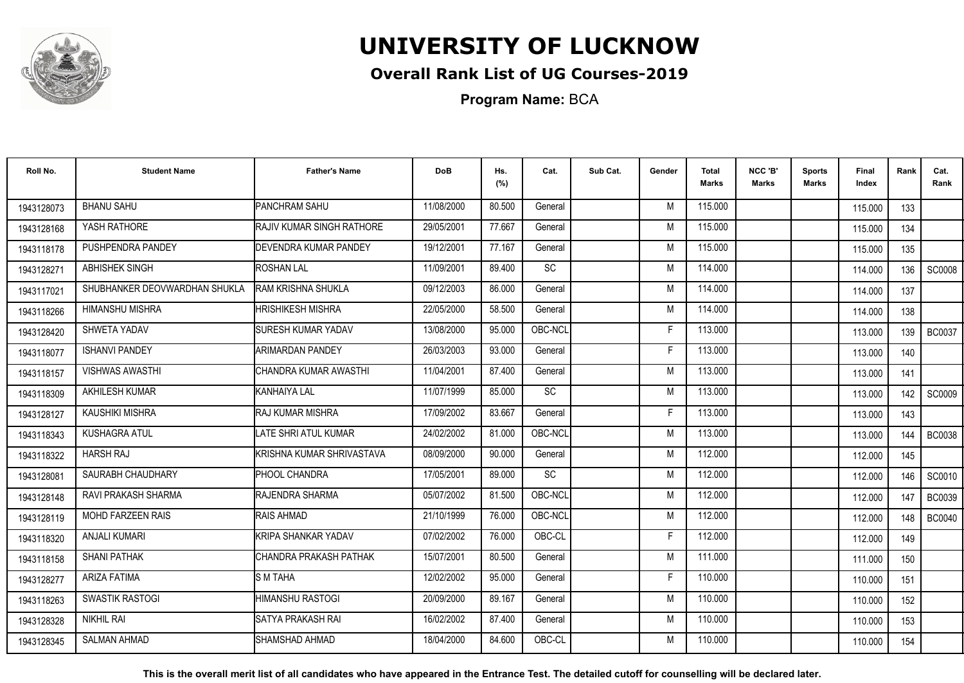

## **Overall Rank List of UG Courses-2019**

**Program Name:** BCA

| Roll No.   | <b>Student Name</b>           | <b>Father's Name</b>               | <b>DoB</b> | Hs.<br>(%) | Cat.      | Sub Cat. | Gender | <b>Total</b><br><b>Marks</b> | NCC 'B'<br>Marks | <b>Sports</b><br>Marks | Final<br>Index | Rank | Cat.<br>Rank  |
|------------|-------------------------------|------------------------------------|------------|------------|-----------|----------|--------|------------------------------|------------------|------------------------|----------------|------|---------------|
| 1943128073 | <b>BHANU SAHU</b>             | <b>PANCHRAM SAHU</b>               | 11/08/2000 | 80.500     | General   |          | M      | 115.000                      |                  |                        | 115.000        | 133  |               |
| 1943128168 | YASH RATHORE                  | <b>IRAJIV KUMAR SINGH RATHORE</b>  | 29/05/2001 | 77.667     | General   |          | M      | 115.000                      |                  |                        | 115.000        | 134  |               |
| 1943118178 | PUSHPENDRA PANDEY             | <b>IDEVENDRA KUMAR PANDEY</b>      | 19/12/2001 | 77.167     | General   |          | M      | 115.000                      |                  |                        | 115.000        | 135  |               |
| 1943128271 | <b>ABHISHEK SINGH</b>         | <b>ROSHAN LAL</b>                  | 11/09/2001 | 89.400     | <b>SC</b> |          | M      | 114.000                      |                  |                        | 114.000        | 136  | <b>SC0008</b> |
| 1943117021 | SHUBHANKER DEOVWARDHAN SHUKLA | <b>RAM KRISHNA SHUKLA</b>          | 09/12/2003 | 86.000     | General   |          | M      | 114.000                      |                  |                        | 114.000        | 137  |               |
| 1943118266 | <b>HIMANSHU MISHRA</b>        | <b>HRISHIKESH MISHRA</b>           | 22/05/2000 | 58.500     | General   |          | M      | 114.000                      |                  |                        | 114.000        | 138  |               |
| 1943128420 | SHWETA YADAV                  | <b>I</b> SURESH KUMAR YADAV        | 13/08/2000 | 95.000     | OBC-NCL   |          | Е      | 113.000                      |                  |                        | 113.000        | 139  | <b>BC0037</b> |
| 1943118077 | <b>ISHANVI PANDEY</b>         | ARIMARDAN PANDEY                   | 26/03/2003 | 93.000     | General   |          | E      | 113.000                      |                  |                        | 113.000        | 140  |               |
| 1943118157 | <b>VISHWAS AWASTHI</b>        | CHANDRA KUMAR AWASTHI              | 11/04/2001 | 87.400     | General   |          | M      | 113.000                      |                  |                        | 113.000        | 141  |               |
| 1943118309 | AKHILESH KUMAR                | KANHAIYA LAL                       | 11/07/1999 | 85.000     | SC        |          | M      | 113.000                      |                  |                        | 113.000        | 142  | <b>SC0009</b> |
| 1943128127 | KAUSHIKI MISHRA               | RAJ KUMAR MISHRA                   | 17/09/2002 | 83.667     | General   |          | F      | 113.000                      |                  |                        | 113.000        | 143  |               |
| 1943118343 | KUSHAGRA ATUL                 | LATE SHRI ATUL KUMAR               | 24/02/2002 | 81.000     | OBC-NCL   |          | M      | 113.000                      |                  |                        | 113.000        | 144  | <b>BC0038</b> |
| 1943118322 | <b>HARSH RAJ</b>              | <b>I</b> KRISHNA KUMAR SHRIVASTAVA | 08/09/2000 | 90.000     | General   |          | M      | 112.000                      |                  |                        | 112.000        | 145  |               |
| 1943128081 | SAURABH CHAUDHARY             | <b>PHOOL CHANDRA</b>               | 17/05/2001 | 89.000     | <b>SC</b> |          | M      | 112.000                      |                  |                        | 112.000        | 146  | SC0010        |
| 1943128148 | RAVI PRAKASH SHARMA           | <b>RAJENDRA SHARMA</b>             | 05/07/2002 | 81.500     | OBC-NCL   |          | M      | 112.000                      |                  |                        | 112.000        | 147  | <b>BC0039</b> |
| 1943128119 | <b>MOHD FARZEEN RAIS</b>      | <b>I</b> RAIS AHMAD                | 21/10/1999 | 76.000     | OBC-NCL   |          | M      | 112.000                      |                  |                        | 112.000        | 148  | <b>BC0040</b> |
| 1943118320 | <b>ANJALI KUMARI</b>          | KRIPA SHANKAR YADAV                | 07/02/2002 | 76.000     | OBC-CL    |          | F      | 112.000                      |                  |                        | 112.000        | 149  |               |
| 1943118158 | <b>SHANI PATHAK</b>           | CHANDRA PRAKASH PATHAK             | 15/07/2001 | 80.500     | General   |          | M      | 111.000                      |                  |                        | 111.000        | 150  |               |
| 1943128277 | <b>ARIZA FATIMA</b>           | <b>IS M TAHA</b>                   | 12/02/2002 | 95.000     | General   |          | F      | 110.000                      |                  |                        | 110.000        | 151  |               |
| 1943118263 | <b>SWASTIK RASTOGI</b>        | HIMANSHU RASTOGI                   | 20/09/2000 | 89.167     | General   |          | M      | 110.000                      |                  |                        | 110.000        | 152  |               |
| 1943128328 | <b>NIKHIL RAI</b>             | ISATYA PRAKASH RAI                 | 16/02/2002 | 87.400     | General   |          | M      | 110.000                      |                  |                        | 110.000        | 153  |               |
| 1943128345 | <b>SALMAN AHMAD</b>           | ISHAMSHAD AHMAD                    | 18/04/2000 | 84.600     | OBC-CL    |          | M      | 110.000                      |                  |                        | 110.000        | 154  |               |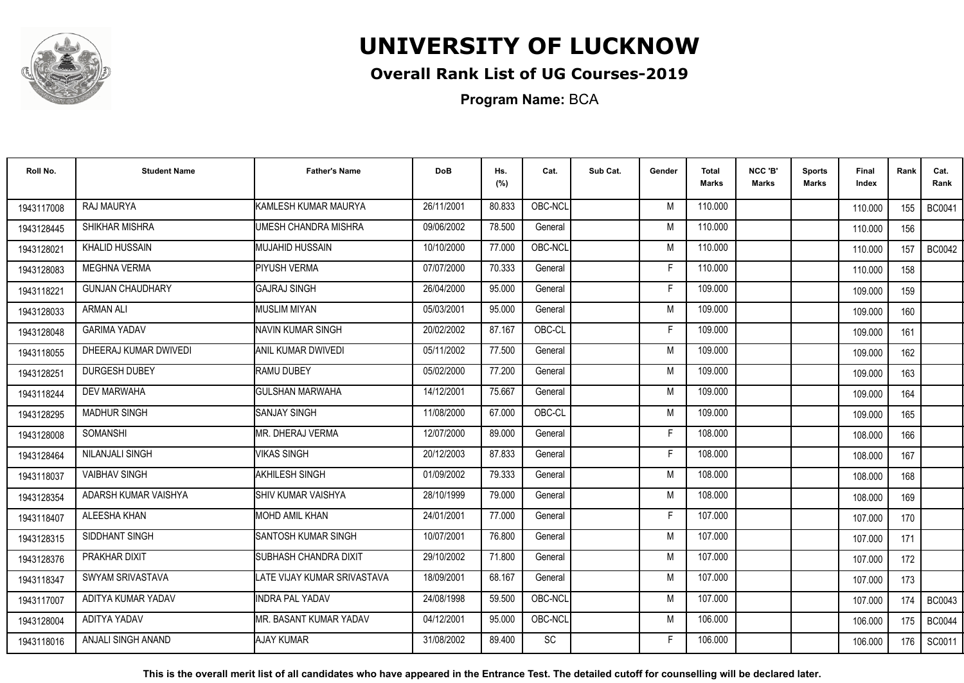

## **Overall Rank List of UG Courses-2019**

**Program Name:** BCA

| Roll No.   | <b>Student Name</b>     | <b>Father's Name</b>         | <b>DoB</b> | Hs.<br>(%) | Cat.      | Sub Cat. | Gender | <b>Total</b><br><b>Marks</b> | NCC 'B'<br><b>Marks</b> | <b>Sports</b><br>Marks | Final<br>Index | Rank | Cat.<br>Rank  |
|------------|-------------------------|------------------------------|------------|------------|-----------|----------|--------|------------------------------|-------------------------|------------------------|----------------|------|---------------|
| 1943117008 | RAJ MAURYA              | KAMLESH KUMAR MAURYA         | 26/11/2001 | 80.833     | OBC-NCL   |          | M      | 110.000                      |                         |                        | 110.000        | 155  | <b>BC0041</b> |
| 1943128445 | SHIKHAR MISHRA          | UMESH CHANDRA MISHRA         | 09/06/2002 | 78.500     | General   |          | M      | 110.000                      |                         |                        | 110.000        | 156  |               |
| 1943128021 | <b>KHALID HUSSAIN</b>   | IMUJAHID HUSSAIN             | 10/10/2000 | 77.000     | OBC-NCL   |          | M      | 110.000                      |                         |                        | 110.000        | 157  | <b>BC0042</b> |
| 1943128083 | <b>MEGHNA VERMA</b>     | <b>PIYUSH VERMA</b>          | 07/07/2000 | 70.333     | General   |          |        | 110.000                      |                         |                        | 110.000        | 158  |               |
| 1943118221 | <b>GUNJAN CHAUDHARY</b> | <b>GAJRAJ SINGH</b>          | 26/04/2000 | 95.000     | General   |          | -F     | 109.000                      |                         |                        | 109.000        | 159  |               |
| 1943128033 | <b>ARMAN ALI</b>        | <b>MUSLIM MIYAN</b>          | 05/03/2001 | 95.000     | General   |          | M      | 109.000                      |                         |                        | 109.000        | 160  |               |
| 1943128048 | <b>GARIMA YADAV</b>     | NAVIN KUMAR SINGH            | 20/02/2002 | 87.167     | OBC-CL    |          | F      | 109.000                      |                         |                        | 109.000        | 161  |               |
| 1943118055 | DHEERAJ KUMAR DWIVEDI   | ANIL KUMAR DWIVEDI           | 05/11/2002 | 77.500     | General   |          | M      | 109.000                      |                         |                        | 109.000        | 162  |               |
| 1943128251 | <b>DURGESH DUBEY</b>    | <b>RAMU DUBEY</b>            | 05/02/2000 | 77.200     | General   |          | M      | 109.000                      |                         |                        | 109.000        | 163  |               |
| 1943118244 | <b>DEV MARWAHA</b>      | <b>GULSHAN MARWAHA</b>       | 14/12/2001 | 75.667     | General   |          | M      | 109.000                      |                         |                        | 109.000        | 164  |               |
| 1943128295 | <b>MADHUR SINGH</b>     | <b>SANJAY SINGH</b>          | 11/08/2000 | 67.000     | OBC-CL    |          | M      | 109.000                      |                         |                        | 109.000        | 165  |               |
| 1943128008 | <b>SOMANSHI</b>         | MR. DHERAJ VERMA             | 12/07/2000 | 89.000     | General   |          | F      | 108.000                      |                         |                        | 108.000        | 166  |               |
| 1943128464 | NILANJALI SINGH         | <b>VIKAS SINGH</b>           | 20/12/2003 | 87.833     | General   |          | Е      | 108.000                      |                         |                        | 108.000        | 167  |               |
| 1943118037 | <b>VAIBHAV SINGH</b>    | AKHILESH SINGH               | 01/09/2002 | 79.333     | General   |          | M      | 108.000                      |                         |                        | 108.000        | 168  |               |
| 1943128354 | ADARSH KUMAR VAISHYA    | ISHIV KUMAR VAISHYA          | 28/10/1999 | 79.000     | General   |          | M      | 108.000                      |                         |                        | 108.000        | 169  |               |
| 1943118407 | ALEESHA KHAN            | <b>MOHD AMIL KHAN</b>        | 24/01/2001 | 77.000     | General   |          | F      | 107.000                      |                         |                        | 107.000        | 170  |               |
| 1943128315 | SIDDHANT SINGH          | <b>I</b> SANTOSH KUMAR SINGH | 10/07/2001 | 76.800     | General   |          | M      | 107.000                      |                         |                        | 107.000        | 171  |               |
| 1943128376 | PRAKHAR DIXIT           | SUBHASH CHANDRA DIXIT        | 29/10/2002 | 71.800     | General   |          | M      | 107.000                      |                         |                        | 107.000        | 172  |               |
| 1943118347 | SWYAM SRIVASTAVA        | LATE VIJAY KUMAR SRIVASTAVA  | 18/09/2001 | 68.167     | General   |          | M      | 107.000                      |                         |                        | 107.000        | 173  |               |
| 1943117007 | ADITYA KUMAR YADAV      | <b>INDRA PAL YADAV</b>       | 24/08/1998 | 59.500     | OBC-NCL   |          | M      | 107.000                      |                         |                        | 107.000        | 174  | <b>BC0043</b> |
| 1943128004 | ADITYA YADAV            | IMR. BASANT KUMAR YADAV      | 04/12/2001 | 95.000     | OBC-NCL   |          | M      | 106.000                      |                         |                        | 106.000        | 175  | <b>BC0044</b> |
| 1943118016 | ANJALI SINGH ANAND      | <b>AJAY KUMAR</b>            | 31/08/2002 | 89.400     | <b>SC</b> |          | F      | 106.000                      |                         |                        | 106.000        | 176  | SC0011        |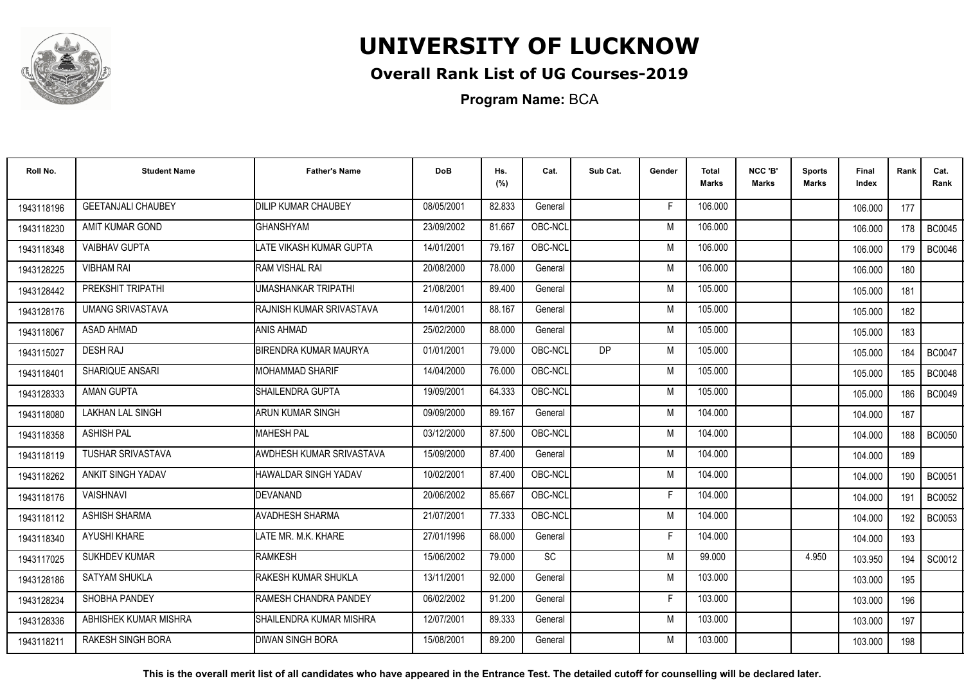

## **Overall Rank List of UG Courses-2019**

**Program Name:** BCA

| Roll No.   | <b>Student Name</b>       | <b>Father's Name</b>              | <b>DoB</b> | Hs.<br>(%) | Cat.    | Sub Cat.  | Gender | <b>Total</b><br><b>Marks</b> | NCC 'B'<br>Marks | <b>Sports</b><br>Marks | Final<br>Index | Rank  | Cat.<br>Rank  |
|------------|---------------------------|-----------------------------------|------------|------------|---------|-----------|--------|------------------------------|------------------|------------------------|----------------|-------|---------------|
| 1943118196 | <b>GEETANJALI CHAUBEY</b> | <b>DILIP KUMAR CHAUBEY</b>        | 08/05/2001 | 82.833     | General |           | F      | 106.000                      |                  |                        | 106.000        | 177   |               |
| 1943118230 | AMIT KUMAR GOND           | GHANSHYAM                         | 23/09/2002 | 81.667     | OBC-NCL |           | M      | 106.000                      |                  |                        | 106.000        | 178   | <b>BC0045</b> |
| 1943118348 | <b>VAIBHAV GUPTA</b>      | LATE VIKASH KUMAR GUPTA           | 14/01/2001 | 79.167     | OBC-NCL |           | M      | 106.000                      |                  |                        | 106.000        | 179   | <b>BC0046</b> |
| 1943128225 | <b>VIBHAM RAI</b>         | <b>RAM VISHAL RAI</b>             | 20/08/2000 | 78,000     | General |           | M      | 106.000                      |                  |                        | 106.000        | 180   |               |
| 1943128442 | PREKSHIT TRIPATHI         | UMASHANKAR TRIPATHI               | 21/08/2001 | 89.400     | General |           | M      | 105.000                      |                  |                        | 105.000        | 181   |               |
| 1943128176 | <b>UMANG SRIVASTAVA</b>   | <b>I</b> RAJNISH KUMAR SRIVASTAVA | 14/01/2001 | 88.167     | General |           | M      | 105.000                      |                  |                        | 105.000        | 182   |               |
| 1943118067 | <b>ASAD AHMAD</b>         | <b>ANIS AHMAD</b>                 | 25/02/2000 | 88.000     | General |           | M      | 105.000                      |                  |                        | 105.000        | 183   |               |
| 1943115027 | <b>DESH RAJ</b>           | <b>BIRENDRA KUMAR MAURYA</b>      | 01/01/2001 | 79.000     | OBC-NCL | <b>DP</b> | M      | 105.000                      |                  |                        | 105.000        | 184 l | <b>BC0047</b> |
| 1943118401 | SHARIQUE ANSARI           | <b>I</b> MOHAMMAD SHARIF          | 14/04/2000 | 76.000     | OBC-NCL |           | M      | 105.000                      |                  |                        | 105.000        | 185   | <b>BC0048</b> |
| 1943128333 | <b>AMAN GUPTA</b>         | <b>I</b> SHAILENDRA GUPTA         | 19/09/2001 | 64.333     | OBC-NCL |           | M      | 105.000                      |                  |                        | 105.000        | 186   | <b>BC0049</b> |
| 1943118080 | LAKHAN LAL SINGH          | ARUN KUMAR SINGH                  | 09/09/2000 | 89.167     | General |           | M      | 104.000                      |                  |                        | 104.000        | 187   |               |
| 1943118358 | <b>ASHISH PAL</b>         | <b>IMAHESH PAL</b>                | 03/12/2000 | 87.500     | OBC-NCL |           | M      | 104.000                      |                  |                        | 104.000        | 188   | <b>BC0050</b> |
| 1943118119 | <b>TUSHAR SRIVASTAVA</b>  | <b>AWDHESH KUMAR SRIVASTAVA</b>   | 15/09/2000 | 87.400     | General |           | M      | 104.000                      |                  |                        | 104.000        | 189   |               |
| 1943118262 | ANKIT SINGH YADAV         | HAWALDAR SINGH YADAV              | 10/02/2001 | 87.400     | OBC-NCL |           | M      | 104.000                      |                  |                        | 104.000        | 190   | <b>BC0051</b> |
| 1943118176 | <b>VAISHNAVI</b>          | DEVANAND                          | 20/06/2002 | 85.667     | OBC-NCL |           | F      | 104.000                      |                  |                        | 104.000        | 191   | <b>BC0052</b> |
| 1943118112 | <b>ASHISH SHARMA</b>      | AVADHESH SHARMA                   | 21/07/2001 | 77.333     | OBC-NCL |           | M      | 104.000                      |                  |                        | 104.000        | 192   | <b>BC0053</b> |
| 1943118340 | <b>AYUSHI KHARE</b>       | LATE MR. M.K. KHARE               | 27/01/1996 | 68.000     | General |           | F      | 104.000                      |                  |                        | 104.000        | 193   |               |
| 1943117025 | <b>SUKHDEV KUMAR</b>      | RAMKESH                           | 15/06/2002 | 79.000     | SC      |           | M      | 99.000                       |                  | 4.950                  | 103.950        | 194   | SC0012        |
| 1943128186 | <b>SATYAM SHUKLA</b>      | <b>RAKESH KUMAR SHUKLA</b>        | 13/11/2001 | 92.000     | General |           | M      | 103.000                      |                  |                        | 103.000        | 195   |               |
| 1943128234 | SHOBHA PANDEY             | <b>RAMESH CHANDRA PANDEY</b>      | 06/02/2002 | 91.200     | General |           | F      | 103.000                      |                  |                        | 103.000        | 196   |               |
| 1943128336 | ABHISHEK KUMAR MISHRA     | <b>I</b> SHAILENDRA KUMAR MISHRA  | 12/07/2001 | 89.333     | General |           | M      | 103.000                      |                  |                        | 103.000        | 197   |               |
| 1943118211 | <b>RAKESH SINGH BORA</b>  | <b>IDIWAN SINGH BORA</b>          | 15/08/2001 | 89.200     | General |           | M      | 103.000                      |                  |                        | 103.000        | 198   |               |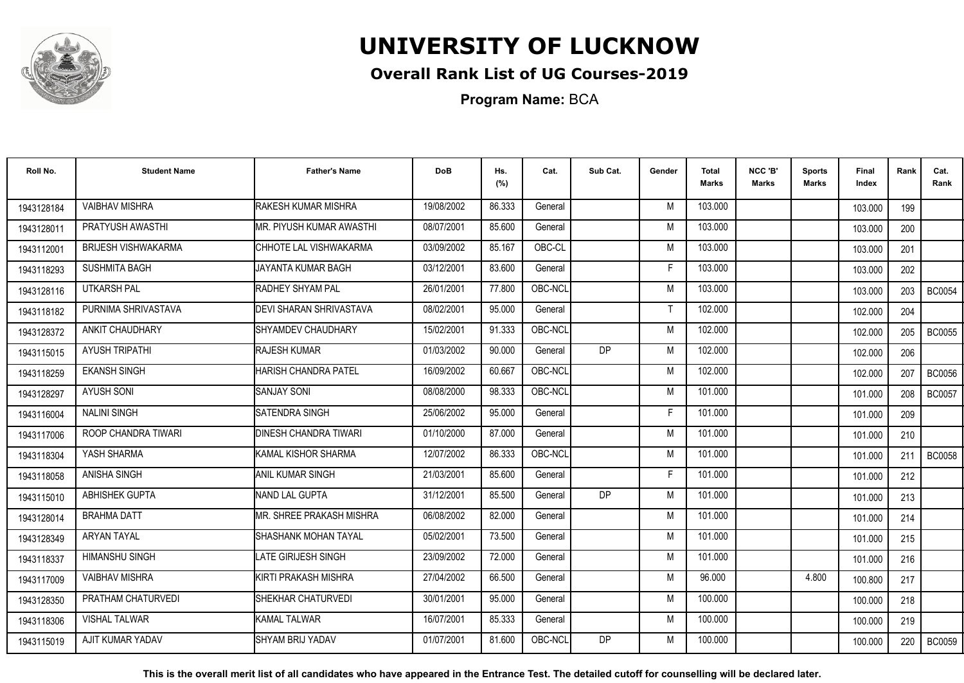

## **Overall Rank List of UG Courses-2019**

**Program Name:** BCA

| Roll No.   | <b>Student Name</b>        | <b>Father's Name</b>          | <b>DoB</b> | Hs.<br>(%) | Cat.    | Sub Cat. | Gender | <b>Total</b><br><b>Marks</b> | NCC 'B'<br>Marks | <b>Sports</b><br>Marks | Final<br>Index | Rank | Cat.<br>Rank  |
|------------|----------------------------|-------------------------------|------------|------------|---------|----------|--------|------------------------------|------------------|------------------------|----------------|------|---------------|
| 1943128184 | <b>VAIBHAV MISHRA</b>      | <b>RAKESH KUMAR MISHRA</b>    | 19/08/2002 | 86.333     | General |          | M      | 103.000                      |                  |                        | 103.000        | 199  |               |
| 1943128011 | PRATYUSH AWASTHI           | IMR. PIYUSH KUMAR AWASTHI     | 08/07/2001 | 85.600     | General |          | M      | 103.000                      |                  |                        | 103.000        | 200  |               |
| 1943112001 | <b>BRIJESH VISHWAKARMA</b> | CHHOTE LAL VISHWAKARMA        | 03/09/2002 | 85.167     | OBC-CL  |          | M      | 103.000                      |                  |                        | 103.000        | 201  |               |
| 1943118293 | <b>SUSHMITA BAGH</b>       | JAYANTA KUMAR BAGH            | 03/12/2001 | 83.600     | General |          |        | 103.000                      |                  |                        | 103.000        | 202  |               |
| 1943128116 | UTKARSH PAL                | RADHEY SHYAM PAL              | 26/01/2001 | 77.800     | OBC-NCL |          | M      | 103.000                      |                  |                        | 103.000        | 203  | <b>BC0054</b> |
| 1943118182 | PURNIMA SHRIVASTAVA        | DEVI SHARAN SHRIVASTAVA       | 08/02/2001 | 95.000     | General |          |        | 102.000                      |                  |                        | 102.000        | 204  |               |
| 1943128372 | ANKIT CHAUDHARY            | <b>SHYAMDEV CHAUDHARY</b>     | 15/02/2001 | 91.333     | OBC-NCL |          | M      | 102.000                      |                  |                        | 102.000        | 205  | <b>BC0055</b> |
| 1943115015 | <b>AYUSH TRIPATHI</b>      | <b>RAJESH KUMAR</b>           | 01/03/2002 | 90.000     | General | DP       | M      | 102.000                      |                  |                        | 102.000        | 206  |               |
| 1943118259 | <b>EKANSH SINGH</b>        | HARISH CHANDRA PATEL          | 16/09/2002 | 60.667     | OBC-NCL |          | M      | 102.000                      |                  |                        | 102.000        | 207  | <b>BC0056</b> |
| 1943128297 | <b>AYUSH SONI</b>          | <b>SANJAY SONI</b>            | 08/08/2000 | 98.333     | OBC-NCL |          | M      | 101.000                      |                  |                        | 101.000        | 208  | <b>BC0057</b> |
| 1943116004 | <b>NALINI SINGH</b>        | <b>SATENDRA SINGH</b>         | 25/06/2002 | 95.000     | General |          | Е      | 101.000                      |                  |                        | 101.000        | 209  |               |
| 1943117006 | ROOP CHANDRA TIWARI        | <b>IDINESH CHANDRA TIWARI</b> | 01/10/2000 | 87.000     | General |          | M      | 101.000                      |                  |                        | 101.000        | 210  |               |
| 1943118304 | YASH SHARMA                | KAMAL KISHOR SHARMA           | 12/07/2002 | 86.333     | OBC-NCL |          | M      | 101.000                      |                  |                        | 101.000        | 211  | <b>BC0058</b> |
| 1943118058 | <b>ANISHA SINGH</b>        | <b>ANIL KUMAR SINGH</b>       | 21/03/2001 | 85.600     | General |          | F      | 101.000                      |                  |                        | 101.000        | 212  |               |
| 1943115010 | ABHISHEK GUPTA             | <b>NAND LAL GUPTA</b>         | 31/12/2001 | 85.500     | General | DP       | M      | 101.000                      |                  |                        | 101.000        | 213  |               |
| 1943128014 | <b>BRAHMA DATT</b>         | IMR. SHREE PRAKASH MISHRA     | 06/08/2002 | 82.000     | General |          | M      | 101.000                      |                  |                        | 101.000        | 214  |               |
| 1943128349 | ARYAN TAYAL                | SHASHANK MOHAN TAYAL          | 05/02/2001 | 73.500     | General |          | M      | 101.000                      |                  |                        | 101.000        | 215  |               |
| 1943118337 | <b>HIMANSHU SINGH</b>      | LATE GIRIJESH SINGH           | 23/09/2002 | 72.000     | General |          | M      | 101.000                      |                  |                        | 101.000        | 216  |               |
| 1943117009 | <b>VAIBHAV MISHRA</b>      | KIRTI PRAKASH MISHRA          | 27/04/2002 | 66.500     | General |          | M      | 96.000                       |                  | 4.800                  | 100.800        | 217  |               |
| 1943128350 | PRATHAM CHATURVEDI         | SHEKHAR CHATURVEDI            | 30/01/2001 | 95.000     | General |          | M      | 100.000                      |                  |                        | 100.000        | 218  |               |
| 1943118306 | VISHAL TALWAR              | KAMAL TALWAR                  | 16/07/2001 | 85.333     | General |          | M      | 100.000                      |                  |                        | 100.000        | 219  |               |
| 1943115019 | AJIT KUMAR YADAV           | SHYAM BRIJ YADAV              | 01/07/2001 | 81.600     | OBC-NCL | DP       | M      | 100.000                      |                  |                        | 100.000        | 220  | <b>BC0059</b> |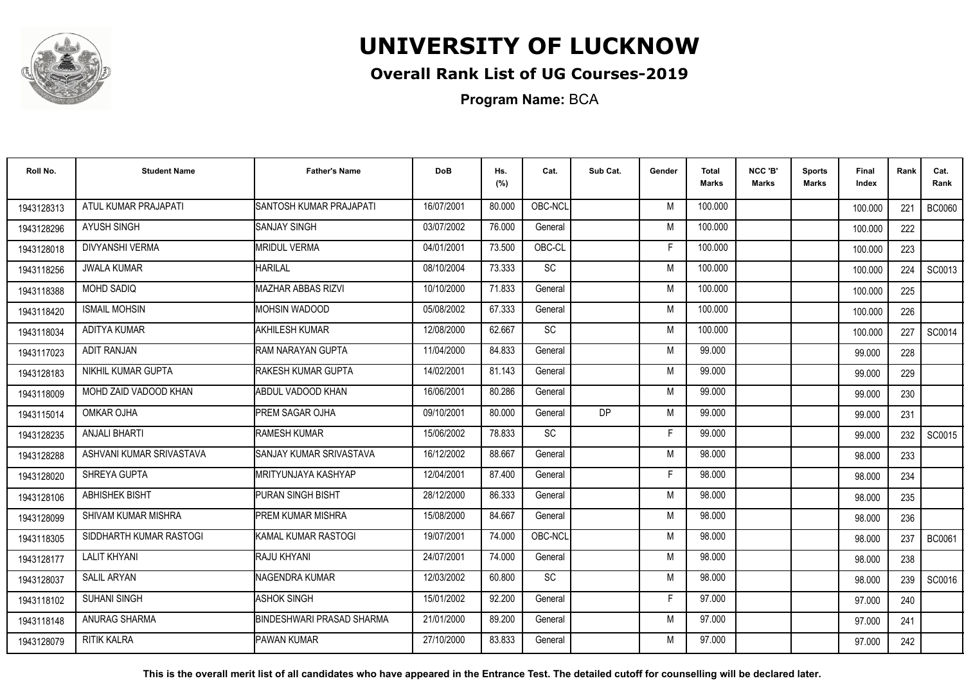

## **Overall Rank List of UG Courses-2019**

**Program Name:** BCA

| Roll No.   | <b>Student Name</b>      | <b>Father's Name</b>      | <b>DoB</b> | Hs.<br>(%) | Cat.      | Sub Cat.  | Gender | Total<br>Marks | NCC 'B'<br><b>Marks</b> | Sports<br><b>Marks</b> | Final<br>Index | Rank | Cat.<br>Rank  |
|------------|--------------------------|---------------------------|------------|------------|-----------|-----------|--------|----------------|-------------------------|------------------------|----------------|------|---------------|
| 1943128313 | ATUL KUMAR PRAJAPATI     | SANTOSH KUMAR PRAJAPATI   | 16/07/2001 | 80.000     | OBC-NCL   |           | M      | 100.000        |                         |                        | 100.000        | 221  | <b>BC0060</b> |
| 1943128296 | <b>AYUSH SINGH</b>       | <b>SANJAY SINGH</b>       | 03/07/2002 | 76.000     | General   |           | M      | 100.000        |                         |                        | 100.000        | 222  |               |
| 1943128018 | <b>DIVYANSHI VERMA</b>   | <b>MRIDUL VERMA</b>       | 04/01/2001 | 73.500     | OBC-CL    |           | E      | 100.000        |                         |                        | 100.000        | 223  |               |
| 1943118256 | <b>JWALA KUMAR</b>       | <b>HARILAL</b>            | 08/10/2004 | 73.333     | <b>SC</b> |           | M      | 100.000        |                         |                        | 100.000        | 224  | SC0013        |
| 1943118388 | <b>MOHD SADIQ</b>        | MAZHAR ABBAS RIZVI        | 10/10/2000 | 71.833     | General   |           | M      | 100.000        |                         |                        | 100.000        | 225  |               |
| 1943118420 | <b>ISMAIL MOHSIN</b>     | <b>MOHSIN WADOOD</b>      | 05/08/2002 | 67.333     | General   |           | M      | 100.000        |                         |                        | 100.000        | 226  |               |
| 1943118034 | <b>ADITYA KUMAR</b>      | <b>AKHILESH KUMAR</b>     | 12/08/2000 | 62.667     | <b>SC</b> |           | M      | 100.000        |                         |                        | 100.000        | 227  | SC0014        |
| 1943117023 | <b>ADIT RANJAN</b>       | RAM NARAYAN GUPTA         | 11/04/2000 | 84.833     | General   |           | M      | 99.000         |                         |                        | 99.000         | 228  |               |
| 1943128183 | NIKHIL KUMAR GUPTA       | <b>RAKESH KUMAR GUPTA</b> | 14/02/2001 | 81.143     | General   |           | M      | 99.000         |                         |                        | 99.000         | 229  |               |
| 1943118009 | MOHD ZAID VADOOD KHAN    | ABDUL VADOOD KHAN         | 16/06/2001 | 80.286     | General   |           | M      | 99.000         |                         |                        | 99.000         | 230  |               |
| 1943115014 | OMKAR OJHA               | PREM SAGAR OJHA           | 09/10/2001 | 80.000     | General   | <b>DP</b> | M      | 99.000         |                         |                        | 99.000         | 231  |               |
| 1943128235 | ANJALI BHARTI            | RAMESH KUMAR              | 15/06/2002 | 78.833     | SC        |           | F      | 99.000         |                         |                        | 99.000         | 232  | SC0015        |
| 1943128288 | ASHVANI KUMAR SRIVASTAVA | SANJAY KUMAR SRIVASTAVA   | 16/12/2002 | 88.667     | General   |           | M      | 98.000         |                         |                        | 98.000         | 233  |               |
| 1943128020 | SHREYA GUPTA             | IMRITYUNJAYA KASHYAP      | 12/04/2001 | 87.400     | General   |           | F      | 98.000         |                         |                        | 98.000         | 234  |               |
| 1943128106 | <b>ABHISHEK BISHT</b>    | IPURAN SINGH BISHT        | 28/12/2000 | 86.333     | General   |           | M      | 98.000         |                         |                        | 98.000         | 235  |               |
| 1943128099 | SHIVAM KUMAR MISHRA      | <b>PREM KUMAR MISHRA</b>  | 15/08/2000 | 84.667     | General   |           | M      | 98.000         |                         |                        | 98.000         | 236  |               |
| 1943118305 | SIDDHARTH KUMAR RASTOGI  | KAMAL KUMAR RASTOGI       | 19/07/2001 | 74.000     | OBC-NCL   |           | M      | 98.000         |                         |                        | 98.000         | 237  | <b>BC0061</b> |
| 1943128177 | <b>LALIT KHYANI</b>      | RAJU KHYANI               | 24/07/2001 | 74.000     | General   |           | M      | 98.000         |                         |                        | 98.000         | 238  |               |
| 1943128037 | <b>SALIL ARYAN</b>       | INAGENDRA KUMAR           | 12/03/2002 | 60.800     | <b>SC</b> |           | M      | 98.000         |                         |                        | 98.000         | 239  | SC0016        |
| 1943118102 | <b>SUHANI SINGH</b>      | <b>ASHOK SINGH</b>        | 15/01/2002 | 92.200     | General   |           | F      | 97.000         |                         |                        | 97.000         | 240  |               |
| 1943118148 | ANURAG SHARMA            | BINDESHWARI PRASAD SHARMA | 21/01/2000 | 89.200     | General   |           | M      | 97.000         |                         |                        | 97.000         | 241  |               |
| 1943128079 | <b>RITIK KALRA</b>       | PAWAN KUMAR               | 27/10/2000 | 83.833     | General   |           | M      | 97.000         |                         |                        | 97.000         | 242  |               |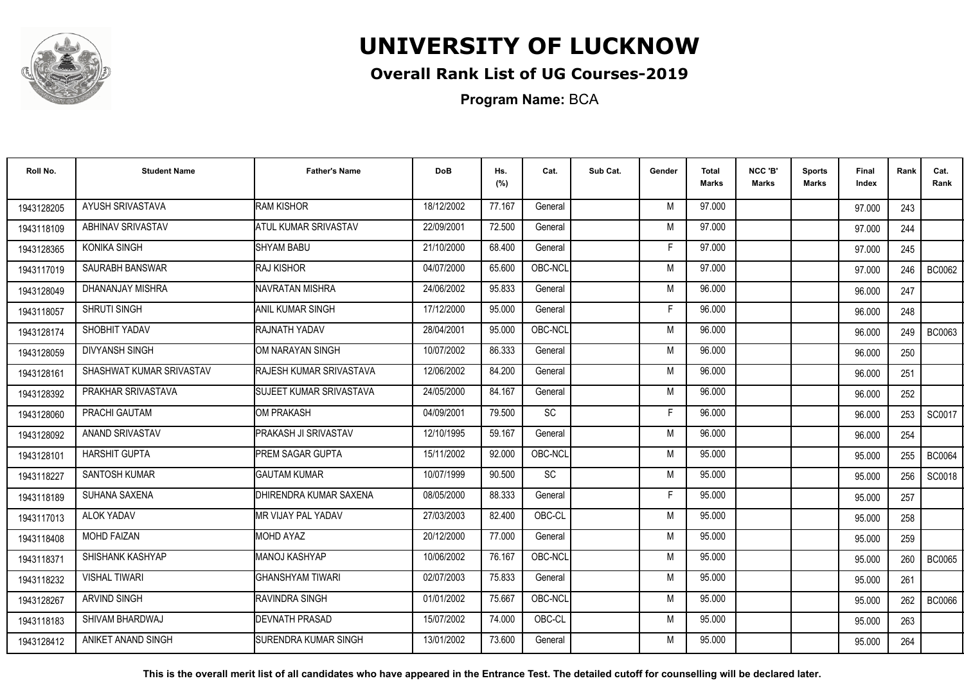

## **Overall Rank List of UG Courses-2019**

**Program Name:** BCA

| Roll No.   | <b>Student Name</b>      | <b>Father's Name</b>         | <b>DoB</b> | Hs.<br>(%) | Cat.    | Sub Cat. | Gender | <b>Total</b><br>Marks | NCC 'B'<br><b>Marks</b> | <b>Sports</b><br><b>Marks</b> | Final<br>Index | Rank | Cat.<br>Rank  |
|------------|--------------------------|------------------------------|------------|------------|---------|----------|--------|-----------------------|-------------------------|-------------------------------|----------------|------|---------------|
| 1943128205 | AYUSH SRIVASTAVA         | <b>RAM KISHOR</b>            | 18/12/2002 | 77.167     | General |          | M      | 97.000                |                         |                               | 97.000         | 243  |               |
| 1943118109 | ABHINAV SRIVASTAV        | <b>ATUL KUMAR SRIVASTAV</b>  | 22/09/2001 | 72.500     | General |          | M      | 97.000                |                         |                               | 97.000         | 244  |               |
| 1943128365 | KONIKA SINGH             | <b>SHYAM BABU</b>            | 21/10/2000 | 68.400     | General |          | E      | 97.000                |                         |                               | 97.000         | 245  |               |
| 1943117019 | <b>SAURABH BANSWAR</b>   | <b>RAJ KISHOR</b>            | 04/07/2000 | 65.600     | OBC-NCL |          | M      | 97.000                |                         |                               | 97.000         | 246  | BC0062        |
| 1943128049 | DHANANJAY MISHRA         | NAVRATAN MISHRA              | 24/06/2002 | 95.833     | General |          | M      | 96.000                |                         |                               | 96.000         | 247  |               |
| 1943118057 | <b>SHRUTI SINGH</b>      | IANIL KUMAR SINGH            | 17/12/2000 | 95.000     | General |          | Е      | 96.000                |                         |                               | 96.000         | 248  |               |
| 1943128174 | SHOBHIT YADAV            | RAJNATH YADAV                | 28/04/2001 | 95.000     | OBC-NCL |          | M      | 96.000                |                         |                               | 96.000         | 249  | BC0063        |
| 1943128059 | <b>DIVYANSH SINGH</b>    | OM NARAYAN SINGH             | 10/07/2002 | 86.333     | General |          | M      | 96.000                |                         |                               | 96.000         | 250  |               |
| 1943128161 | SHASHWAT KUMAR SRIVASTAV | RAJESH KUMAR SRIVASTAVA      | 12/06/2002 | 84.200     | General |          | M      | 96.000                |                         |                               | 96.000         | 251  |               |
| 1943128392 | PRAKHAR SRIVASTAVA       | SUJEET KUMAR SRIVASTAVA      | 24/05/2000 | 84.167     | General |          | M      | 96.000                |                         |                               | 96.000         | 252  |               |
| 1943128060 | PRACHI GAUTAM            | OM PRAKASH                   | 04/09/2001 | 79.500     | SC      |          | Е      | 96.000                |                         |                               | 96.000         | 253  | SC0017        |
| 1943128092 | ANAND SRIVASTAV          | <b>PRAKASH JI SRIVASTAV</b>  | 12/10/1995 | 59.167     | General |          | M      | 96.000                |                         |                               | 96.000         | 254  |               |
| 1943128101 | <b>HARSHIT GUPTA</b>     | <b>IPREM SAGAR GUPTA</b>     | 15/11/2002 | 92.000     | OBC-NCL |          | M      | 95.000                |                         |                               | 95.000         | 255  | <b>BC0064</b> |
| 1943118227 | <b>SANTOSH KUMAR</b>     | <b>GAUTAM KUMAR</b>          | 10/07/1999 | 90.500     | SC      |          | M      | 95.000                |                         |                               | 95.000         | 256  | SC0018        |
| 1943118189 | SUHANA SAXENA            | DHIRENDRA KUMAR SAXENA       | 08/05/2000 | 88.333     | General |          | F      | 95.000                |                         |                               | 95.000         | 257  |               |
| 1943117013 | <b>ALOK YADAV</b>        | <b>IMR VIJAY PAL YADAV</b>   | 27/03/2003 | 82.400     | OBC-CL  |          | M      | 95.000                |                         |                               | 95.000         | 258  |               |
| 1943118408 | <b>MOHD FAIZAN</b>       | <b>IMOHD AYAZ</b>            | 20/12/2000 | 77.000     | General |          | M      | 95.000                |                         |                               | 95.000         | 259  |               |
| 1943118371 | SHISHANK KASHYAP         | <b>I</b> MANOJ KASHYAP       | 10/06/2002 | 76.167     | OBC-NCL |          | M      | 95.000                |                         |                               | 95.000         | 260  | <b>BC0065</b> |
| 1943118232 | <b>VISHAL TIWARI</b>     | GHANSHYAM TIWARI             | 02/07/2003 | 75.833     | General |          | M      | 95.000                |                         |                               | 95.000         | 261  |               |
| 1943128267 | <b>ARVIND SINGH</b>      | <b>RAVINDRA SINGH</b>        | 01/01/2002 | 75.667     | OBC-NCL |          | M      | 95.000                |                         |                               | 95.000         | 262  | <b>BC0066</b> |
| 1943118183 | SHIVAM BHARDWAJ          | <b>I</b> DEVNATH PRASAD      | 15/07/2002 | 74.000     | OBC-CL  |          | M      | 95.000                |                         |                               | 95.000         | 263  |               |
| 1943128412 | ANIKET ANAND SINGH       | <b>ISURENDRA KUMAR SINGH</b> | 13/01/2002 | 73.600     | General |          | M      | 95.000                |                         |                               | 95.000         | 264  |               |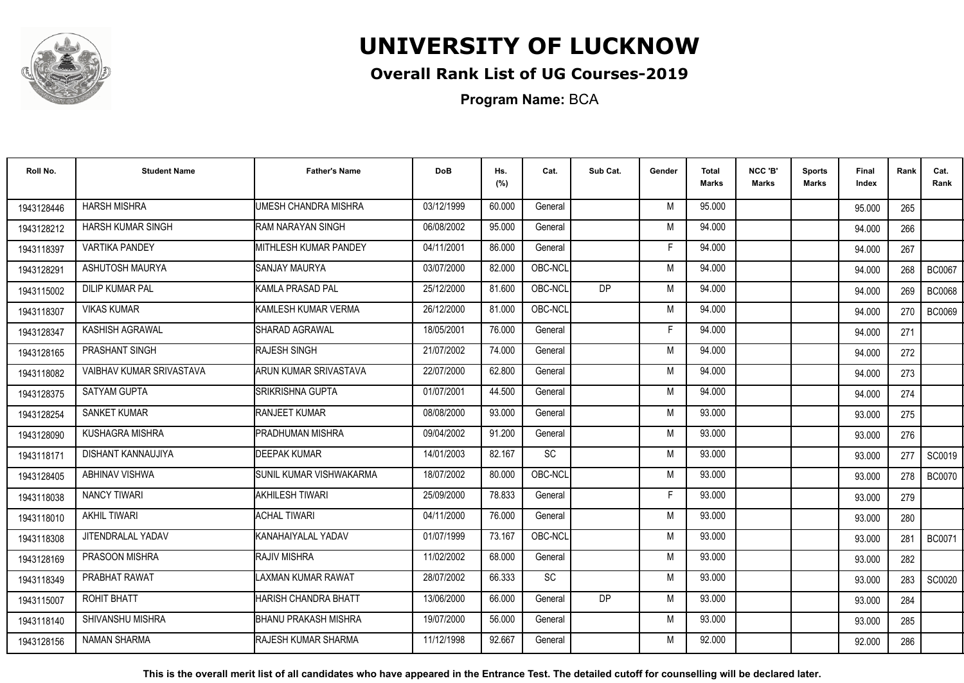

## **Overall Rank List of UG Courses-2019**

**Program Name:** BCA

| Roll No.   | <b>Student Name</b>       | <b>Father's Name</b>        | <b>DoB</b> | Hs.<br>(%) | Cat.      | Sub Cat.  | Gender | Total<br>Marks | NCC 'B'<br><b>Marks</b> | Sports<br><b>Marks</b> | Final<br>Index | Rank | Cat.<br>Rank  |
|------------|---------------------------|-----------------------------|------------|------------|-----------|-----------|--------|----------------|-------------------------|------------------------|----------------|------|---------------|
| 1943128446 | <b>HARSH MISHRA</b>       | UMESH CHANDRA MISHRA        | 03/12/1999 | 60.000     | General   |           | M      | 95.000         |                         |                        | 95.000         | 265  |               |
| 1943128212 | HARSH KUMAR SINGH         | RAM NARAYAN SINGH           | 06/08/2002 | 95.000     | General   |           | M      | 94.000         |                         |                        | 94.000         | 266  |               |
| 1943118397 | <b>VARTIKA PANDEY</b>     | MITHLESH KUMAR PANDEY       | 04/11/2001 | 86.000     | General   |           | E      | 94.000         |                         |                        | 94.000         | 267  |               |
| 1943128291 | <b>ASHUTOSH MAURYA</b>    | <b>SANJAY MAURYA</b>        | 03/07/2000 | 82.000     | OBC-NCL   |           | M      | 94.000         |                         |                        | 94.000         | 268  | <b>BC0067</b> |
| 1943115002 | <b>DILIP KUMAR PAL</b>    | <b>I</b> KAMLA PRASAD PAL   | 25/12/2000 | 81.600     | OBC-NCL   | <b>DP</b> | M      | 94.000         |                         |                        | 94.000         | 269  | <b>BC0068</b> |
| 1943118307 | <b>VIKAS KUMAR</b>        | KAMLESH KUMAR VERMA         | 26/12/2000 | 81.000     | OBC-NCL   |           | M      | 94.000         |                         |                        | 94.000         | 270  | <b>BC0069</b> |
| 1943128347 | KASHISH AGRAWAL           | SHARAD AGRAWAL              | 18/05/2001 | 76.000     | General   |           | F      | 94.000         |                         |                        | 94.000         | 271  |               |
| 1943128165 | PRASHANT SINGH            | RAJESH SINGH                | 21/07/2002 | 74.000     | General   |           | M      | 94.000         |                         |                        | 94.000         | 272  |               |
| 1943118082 | VAIBHAV KUMAR SRIVASTAVA  | ARUN KUMAR SRIVASTAVA       | 22/07/2000 | 62.800     | General   |           | M      | 94.000         |                         |                        | 94.000         | 273  |               |
| 1943128375 | SATYAM GUPTA              | SRIKRISHNA GUPTA            | 01/07/2001 | 44.500     | General   |           | M      | 94.000         |                         |                        | 94.000         | 274  |               |
| 1943128254 | SANKET KUMAR              | <b>RANJEET KUMAR</b>        | 08/08/2000 | 93.000     | General   |           | M      | 93.000         |                         |                        | 93.000         | 275  |               |
| 1943128090 | KUSHAGRA MISHRA           | PRADHUMAN MISHRA            | 09/04/2002 | 91.200     | General   |           | M      | 93.000         |                         |                        | 93.000         | 276  |               |
| 1943118171 | <b>DISHANT KANNAUJIYA</b> | <b>DEEPAK KUMAR</b>         | 14/01/2003 | 82.167     | SC        |           | M      | 93.000         |                         |                        | 93.000         | 277  | SC0019        |
| 1943128405 | <b>ABHINAV VISHWA</b>     | ISUNIL KUMAR VISHWAKARMA    | 18/07/2002 | 80.000     | OBC-NCL   |           | M      | 93.000         |                         |                        | 93.000         | 278  | <b>BC0070</b> |
| 1943118038 | <b>NANCY TIWARI</b>       | AKHILESH TIWARI             | 25/09/2000 | 78.833     | General   |           | F      | 93.000         |                         |                        | 93.000         | 279  |               |
| 1943118010 | <b>AKHIL TIWARI</b>       | <b>ACHAL TIWARI</b>         | 04/11/2000 | 76.000     | General   |           | M      | 93.000         |                         |                        | 93.000         | 280  |               |
| 1943118308 | JITENDRALAL YADAV         | KANAHAIYALAL YADAV          | 01/07/1999 | 73.167     | OBC-NCL   |           | M      | 93.000         |                         |                        | 93.000         | 281  | <b>BC0071</b> |
| 1943128169 | PRASOON MISHRA            | <b>RAJIV MISHRA</b>         | 11/02/2002 | 68.000     | General   |           | M      | 93.000         |                         |                        | 93.000         | 282  |               |
| 1943118349 | PRABHAT RAWAT             | LAXMAN KUMAR RAWAT          | 28/07/2002 | 66.333     | <b>SC</b> |           | M      | 93.000         |                         |                        | 93.000         | 283  | SC0020        |
| 1943115007 | ROHIT BHATT               | HARISH CHANDRA BHATT        | 13/06/2000 | 66.000     | General   | <b>DP</b> | M      | 93.000         |                         |                        | 93.000         | 284  |               |
| 1943118140 | SHIVANSHU MISHRA          | BHANU PRAKASH MISHRA        | 19/07/2000 | 56.000     | General   |           | M      | 93.000         |                         |                        | 93.000         | 285  |               |
| 1943128156 | <b>NAMAN SHARMA</b>       | <b>IRAJESH KUMAR SHARMA</b> | 11/12/1998 | 92.667     | General   |           | M      | 92.000         |                         |                        | 92.000         | 286  |               |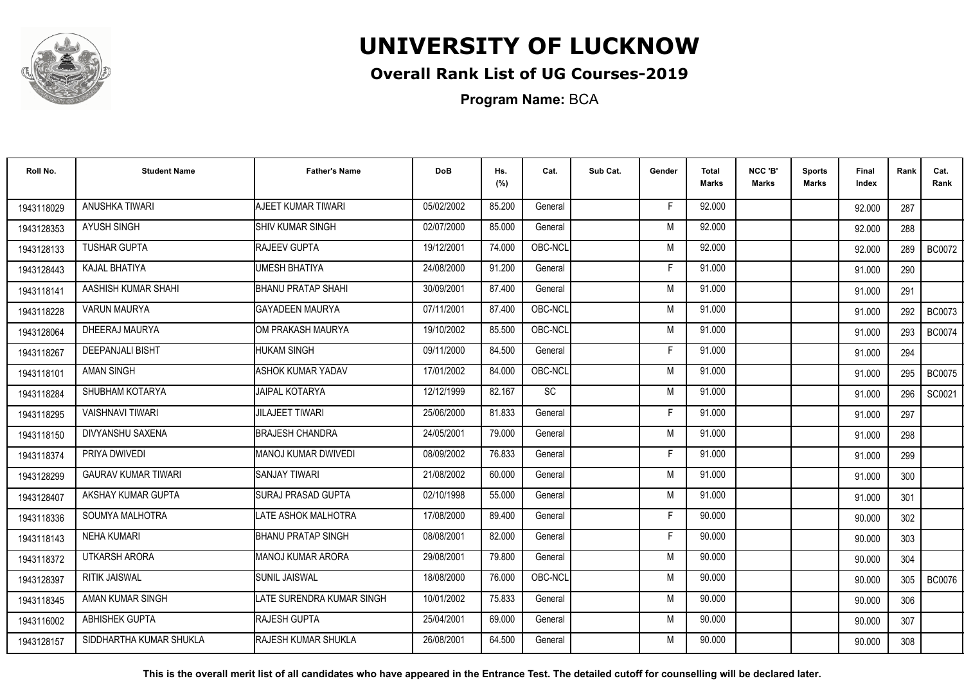

## **Overall Rank List of UG Courses-2019**

**Program Name:** BCA

| Roll No.   | <b>Student Name</b>        | <b>Father's Name</b>        | <b>DoB</b> | Hs.<br>(%) | Cat.      | Sub Cat. | Gender | <b>Total</b><br><b>Marks</b> | NCC 'B'<br>Marks | <b>Sports</b><br>Marks | Final<br>Index | Rank | Cat.<br>Rank  |
|------------|----------------------------|-----------------------------|------------|------------|-----------|----------|--------|------------------------------|------------------|------------------------|----------------|------|---------------|
| 1943118029 | ANUSHKA TIWARI             | AJEET KUMAR TIWARI          | 05/02/2002 | 85.200     | General   |          | F      | 92.000                       |                  |                        | 92.000         | 287  |               |
| 1943128353 | <b>AYUSH SINGH</b>         | <b>SHIV KUMAR SINGH</b>     | 02/07/2000 | 85.000     | General   |          | M      | 92.000                       |                  |                        | 92.000         | 288  |               |
| 1943128133 | <b>TUSHAR GUPTA</b>        | <b>RAJEEV GUPTA</b>         | 19/12/2001 | 74.000     | OBC-NCL   |          | M      | 92.000                       |                  |                        | 92.000         | 289  | <b>BC0072</b> |
| 1943128443 | KAJAL BHATIYA              | UMESH BHATIYA               | 24/08/2000 | 91.200     | General   |          | F      | 91.000                       |                  |                        | 91.000         | 290  |               |
| 1943118141 | AASHISH KUMAR SHAHI        | <b>BHANU PRATAP SHAHI</b>   | 30/09/2001 | 87.400     | General   |          | M      | 91.000                       |                  |                        | 91.000         | 291  |               |
| 1943118228 | <b>VARUN MAURYA</b>        | GAYADEEN MAURYA             | 07/11/2001 | 87.400     | OBC-NCL   |          | M      | 91.000                       |                  |                        | 91.000         | 292  | <b>BC0073</b> |
| 1943128064 | DHEERAJ MAURYA             | OM PRAKASH MAURYA           | 19/10/2002 | 85.500     | OBC-NCL   |          | M      | 91.000                       |                  |                        | 91.000         | 293  | <b>BC0074</b> |
| 1943118267 | <b>DEEPANJALI BISHT</b>    | <b>HUKAM SINGH</b>          | 09/11/2000 | 84.500     | General   |          | F      | 91.000                       |                  |                        | 91.000         | 294  |               |
| 1943118101 | AMAN SINGH                 | ASHOK KUMAR YADAV           | 17/01/2002 | 84.000     | OBC-NCL   |          | M      | 91.000                       |                  |                        | 91.000         | 295  | <b>BC0075</b> |
| 1943118284 | SHUBHAM KOTARYA            | <b>JAIPAL KOTARYA</b>       | 12/12/1999 | 82.167     | <b>SC</b> |          | M      | 91.000                       |                  |                        | 91.000         | 296  | SC0021        |
| 1943118295 | <b>VAISHNAVI TIWARI</b>    | <b>JILAJEET TIWARI</b>      | 25/06/2000 | 81.833     | General   |          | F      | 91.000                       |                  |                        | 91.000         | 297  |               |
| 1943118150 | DIVYANSHU SAXENA           | <b>IBRAJESH CHANDRA</b>     | 24/05/2001 | 79.000     | General   |          | M      | 91.000                       |                  |                        | 91.000         | 298  |               |
| 1943118374 | PRIYA DWIVEDI              | MANOJ KUMAR DWIVEDI         | 08/09/2002 | 76.833     | General   |          | F      | 91.000                       |                  |                        | 91.000         | 299  |               |
| 1943128299 | <b>GAURAV KUMAR TIWARI</b> | ISANJAY TIWARI              | 21/08/2002 | 60.000     | General   |          | M      | 91.000                       |                  |                        | 91.000         | 300  |               |
| 1943128407 | AKSHAY KUMAR GUPTA         | <b>ISURAJ PRASAD GUPTA</b>  | 02/10/1998 | 55.000     | General   |          | M      | 91.000                       |                  |                        | 91.000         | 301  |               |
| 1943118336 | SOUMYA MALHOTRA            | LATE ASHOK MALHOTRA         | 17/08/2000 | 89.400     | General   |          | F      | 90.000                       |                  |                        | 90.000         | 302  |               |
| 1943118143 | <b>NEHA KUMARI</b>         | <b>IBHANU PRATAP SINGH</b>  | 08/08/2001 | 82.000     | General   |          | F      | 90.000                       |                  |                        | 90.000         | 303  |               |
| 1943118372 | <b>UTKARSH ARORA</b>       | IMANOJ KUMAR ARORA          | 29/08/2001 | 79.800     | General   |          | M      | 90.000                       |                  |                        | 90.000         | 304  |               |
| 1943128397 | <b>RITIK JAISWAL</b>       | <b>SUNIL JAISWAL</b>        | 18/08/2000 | 76.000     | OBC-NCL   |          | M      | 90.000                       |                  |                        | 90.000         | 305  | <b>BC0076</b> |
| 1943118345 | AMAN KUMAR SINGH           | LATE SURENDRA KUMAR SINGH   | 10/01/2002 | 75.833     | General   |          | M      | 90.000                       |                  |                        | 90.000         | 306  |               |
| 1943116002 | ABHISHEK GUPTA             | <b>RAJESH GUPTA</b>         | 25/04/2001 | 69.000     | General   |          | M      | 90.000                       |                  |                        | 90.000         | 307  |               |
| 1943128157 | SIDDHARTHA KUMAR SHUKLA    | <b>IRAJESH KUMAR SHUKLA</b> | 26/08/2001 | 64.500     | General   |          | M      | 90.000                       |                  |                        | 90.000         | 308  |               |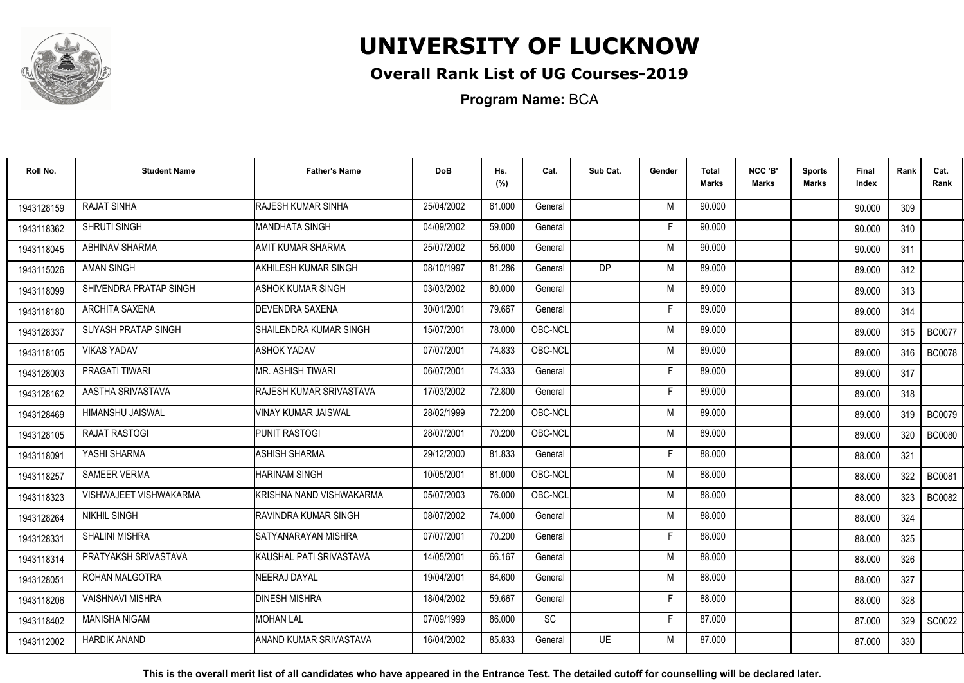

## **Overall Rank List of UG Courses-2019**

**Program Name:** BCA

| Roll No.   | <b>Student Name</b>     | <b>Father's Name</b>          | <b>DoB</b> | Hs.<br>(%) | Cat.    | Sub Cat.  | Gender | <b>Total</b><br>Marks | NCC 'B'<br>Marks | <b>Sports</b><br>Marks | Final<br>Index | Rank | Cat.<br>Rank  |
|------------|-------------------------|-------------------------------|------------|------------|---------|-----------|--------|-----------------------|------------------|------------------------|----------------|------|---------------|
|            | <b>RAJAT SINHA</b>      | <b>RAJESH KUMAR SINHA</b>     |            |            |         |           |        | 90.000                |                  |                        |                |      |               |
| 1943128159 |                         |                               | 25/04/2002 | 61.000     | General |           | M      |                       |                  |                        | 90.000         | 309  |               |
| 1943118362 | SHRUTI SINGH            | MANDHATA SINGH                | 04/09/2002 | 59.000     | General |           | Е      | 90.000                |                  |                        | 90.000         | 310  |               |
| 1943118045 | ABHINAV SHARMA          | AMIT KUMAR SHARMA             | 25/07/2002 | 56.000     | General |           | M      | 90.000                |                  |                        | 90.000         | 311  |               |
| 1943115026 | <b>AMAN SINGH</b>       | <b>I</b> AKHILESH KUMAR SINGH | 08/10/1997 | 81.286     | General | <b>DP</b> | M      | 89.000                |                  |                        | 89.000         | 312  |               |
| 1943118099 | SHIVENDRA PRATAP SINGH  | ASHOK KUMAR SINGH             | 03/03/2002 | 80.000     | General |           | M      | 89.000                |                  |                        | 89.000         | 313  |               |
| 1943118180 | ARCHITA SAXENA          | <b>I</b> DEVENDRA SAXENA      | 30/01/2001 | 79.667     | General |           | F      | 89.000                |                  |                        | 89.000         | 314  |               |
| 1943128337 | SUYASH PRATAP SINGH     | ISHAILENDRA KUMAR SINGH       | 15/07/2001 | 78.000     | OBC-NCL |           | M      | 89.000                |                  |                        | 89.000         | 315  | <b>BC0077</b> |
| 1943118105 | <b>VIKAS YADAV</b>      | <b>ASHOK YADAV</b>            | 07/07/2001 | 74.833     | OBC-NCL |           | M      | 89.000                |                  |                        | 89.000         | 316  | <b>BC0078</b> |
| 1943128003 | PRAGATI TIWARI          | <b>IMR. ASHISH TIWARI</b>     | 06/07/2001 | 74.333     | General |           | F      | 89.000                |                  |                        | 89.000         | 317  |               |
| 1943128162 | AASTHA SRIVASTAVA       | RAJESH KUMAR SRIVASTAVA       | 17/03/2002 | 72.800     | General |           | Е      | 89.000                |                  |                        | 89.000         | 318  |               |
| 1943128469 | HIMANSHU JAISWAL        | <b>VINAY KUMAR JAISWAL</b>    | 28/02/1999 | 72.200     | OBC-NCL |           | M      | 89.000                |                  |                        | 89.000         | 319  | <b>BC0079</b> |
| 1943128105 | <b>RAJAT RASTOGI</b>    | <b>PUNIT RASTOGI</b>          | 28/07/2001 | 70.200     | OBC-NCL |           | M      | 89.000                |                  |                        | 89.000         | 320  | <b>BC0080</b> |
| 1943118091 | YASHI SHARMA            | ASHISH SHARMA                 | 29/12/2000 | 81.833     | General |           | Е      | 88.000                |                  |                        | 88.000         | 321  |               |
| 1943118257 | <b>SAMEER VERMA</b>     | <b>HARINAM SINGH</b>          | 10/05/2001 | 81.000     | OBC-NCL |           | M      | 88.000                |                  |                        | 88.000         | 322  | <b>BC0081</b> |
| 1943118323 | VISHWAJEET VISHWAKARMA  | KRISHNA NAND VISHWAKARMA      | 05/07/2003 | 76.000     | OBC-NCL |           | M      | 88,000                |                  |                        | 88.000         | 323  | <b>BC0082</b> |
| 1943128264 | <b>NIKHIL SINGH</b>     | RAVINDRA KUMAR SINGH          | 08/07/2002 | 74.000     | General |           | M      | 88.000                |                  |                        | 88.000         | 324  |               |
| 1943128331 | <b>SHALINI MISHRA</b>   | <b>I</b> SATYANARAYAN MISHRA  | 07/07/2001 | 70.200     | General |           | F      | 88,000                |                  |                        | 88.000         | 325  |               |
| 1943118314 | PRATYAKSH SRIVASTAVA    | KAUSHAL PATI SRIVASTAVA       | 14/05/2001 | 66.167     | General |           | M      | 88.000                |                  |                        | 88.000         | 326  |               |
| 1943128051 | ROHAN MALGOTRA          | NEERAJ DAYAL                  | 19/04/2001 | 64.600     | General |           | M      | 88.000                |                  |                        | 88.000         | 327  |               |
| 1943118206 | <b>VAISHNAVI MISHRA</b> | <b>DINESH MISHRA</b>          | 18/04/2002 | 59.667     | General |           | F      | 88.000                |                  |                        | 88.000         | 328  |               |
| 1943118402 | <b>MANISHA NIGAM</b>    | <b>IMOHAN LAL</b>             | 07/09/1999 | 86.000     | SC      |           | F.     | 87.000                |                  |                        | 87.000         | 329  | SC0022        |
| 1943112002 | <b>HARDIK ANAND</b>     | <b>ANAND KUMAR SRIVASTAVA</b> | 16/04/2002 | 85.833     | General | <b>UE</b> | M      | 87.000                |                  |                        | 87.000         | 330  |               |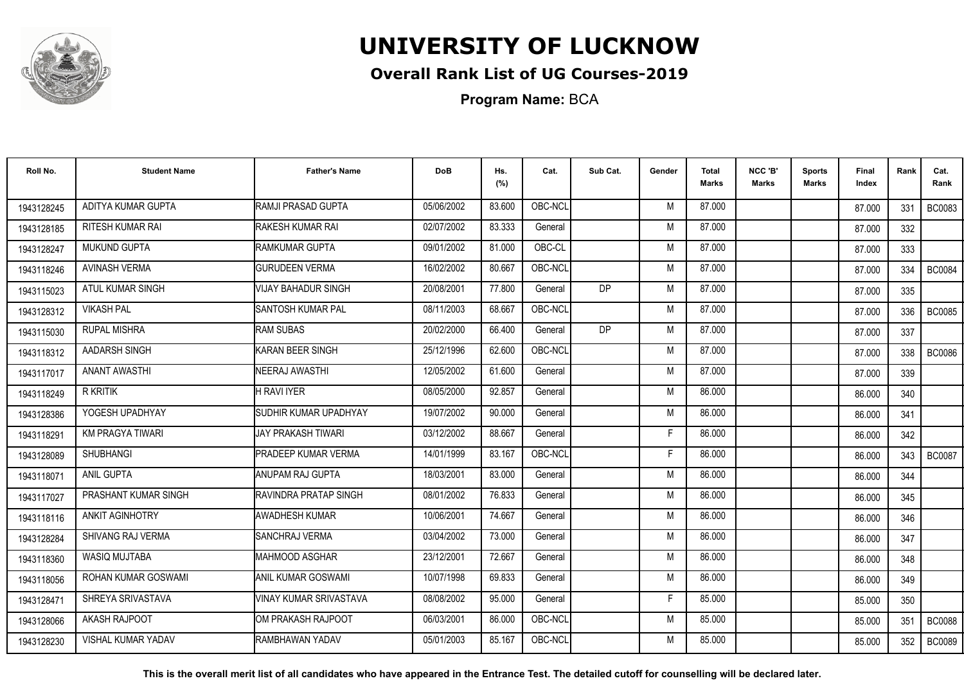

## **Overall Rank List of UG Courses-2019**

**Program Name:** BCA

| Roll No.   | <b>Student Name</b>       | <b>Father's Name</b>          | <b>DoB</b> | Hs.<br>(%) | Cat.    | Sub Cat.  | Gender | Total<br>Marks | NCC 'B'<br><b>Marks</b> | Sports<br><b>Marks</b> | Final<br>Index | Rank | Cat.<br>Rank  |
|------------|---------------------------|-------------------------------|------------|------------|---------|-----------|--------|----------------|-------------------------|------------------------|----------------|------|---------------|
| 1943128245 | ADITYA KUMAR GUPTA        | RAMJI PRASAD GUPTA            | 05/06/2002 | 83.600     | OBC-NCL |           | M      | 87.000         |                         |                        | 87.000         | 331  | <b>BC0083</b> |
| 1943128185 | <b>RITESH KUMAR RAI</b>   | RAKESH KUMAR RAI              | 02/07/2002 | 83.333     | General |           | M      | 87.000         |                         |                        | 87.000         | 332  |               |
| 1943128247 | <b>MUKUND GUPTA</b>       | <b>IRAMKUMAR GUPTA</b>        | 09/01/2002 | 81.000     | OBC-CL  |           | M      | 87.000         |                         |                        | 87.000         | 333  |               |
| 1943118246 | <b>AVINASH VERMA</b>      | <b>GURUDEEN VERMA</b>         | 16/02/2002 | 80.667     | OBC-NCL |           | M      | 87.000         |                         |                        | 87.000         | 334  | <b>BC0084</b> |
| 1943115023 | ATUL KUMAR SINGH          | <b>VIJAY BAHADUR SINGH</b>    | 20/08/2001 | 77.800     | General | <b>DP</b> | M      | 87.000         |                         |                        | 87.000         | 335  |               |
| 1943128312 | <b>VIKASH PAL</b>         | <b>I</b> SANTOSH KUMAR PAL    | 08/11/2003 | 68.667     | OBC-NCL |           | M      | 87.000         |                         |                        | 87.000         | 336  | <b>BC0085</b> |
| 1943115030 | <b>RUPAL MISHRA</b>       | <b>RAM SUBAS</b>              | 20/02/2000 | 66.400     | General | DP        | M      | 87.000         |                         |                        | 87.000         | 337  |               |
| 1943118312 | AADARSH SINGH             | KARAN BEER SINGH              | 25/12/1996 | 62.600     | OBC-NCL |           | M      | 87.000         |                         |                        | 87.000         | 338  | <b>BC0086</b> |
| 1943117017 | <b>ANANT AWASTHI</b>      | <b>NEERAJ AWASTHI</b>         | 12/05/2002 | 61.600     | General |           | M      | 87.000         |                         |                        | 87.000         | 339  |               |
| 1943118249 | <b>R KRITIK</b>           | <b>H RAVI IYER</b>            | 08/05/2000 | 92.857     | General |           | M      | 86.000         |                         |                        | 86.000         | 340  |               |
| 1943128386 | YOGESH UPADHYAY           | <b>SUDHIR KUMAR UPADHYAY</b>  | 19/07/2002 | 90.000     | General |           | M      | 86.000         |                         |                        | 86.000         | 341  |               |
| 1943118291 | <b>KM PRAGYA TIWARI</b>   | IJAY PRAKASH TIWARI           | 03/12/2002 | 88.667     | General |           | F      | 86.000         |                         |                        | 86.000         | 342  |               |
| 1943128089 | SHUBHANGI                 | <b>PRADEEP KUMAR VERMA</b>    | 14/01/1999 | 83.167     | OBC-NCL |           | E      | 86.000         |                         |                        | 86.000         | 343  | <b>BC0087</b> |
| 1943118071 | <b>ANIL GUPTA</b>         | ANUPAM RAJ GUPTA              | 18/03/2001 | 83.000     | General |           | M      | 86.000         |                         |                        | 86.000         | 344  |               |
| 1943117027 | PRASHANT KUMAR SINGH      | RAVINDRA PRATAP SINGH         | 08/01/2002 | 76.833     | General |           | M      | 86.000         |                         |                        | 86.000         | 345  |               |
| 1943118116 | <b>ANKIT AGINHOTRY</b>    | <b>AWADHESH KUMAR</b>         | 10/06/2001 | 74.667     | General |           | M      | 86.000         |                         |                        | 86.000         | 346  |               |
| 1943128284 | <b>SHIVANG RAJ VERMA</b>  | <b>ISANCHRAJ VERMA</b>        | 03/04/2002 | 73.000     | General |           | M      | 86.000         |                         |                        | 86.000         | 347  |               |
| 1943118360 | <b>WASIQ MUJTABA</b>      | IMAHMOOD ASGHAR               | 23/12/2001 | 72.667     | General |           | M      | 86.000         |                         |                        | 86.000         | 348  |               |
| 1943118056 | ROHAN KUMAR GOSWAMI       | <b>ANIL KUMAR GOSWAMI</b>     | 10/07/1998 | 69.833     | General |           | M      | 86.000         |                         |                        | 86.000         | 349  |               |
| 1943128471 | SHREYA SRIVASTAVA         | <b>VINAY KUMAR SRIVASTAVA</b> | 08/08/2002 | 95.000     | General |           |        | 85.000         |                         |                        | 85.000         | 350  |               |
| 1943128066 | AKASH RAJPOOT             | IOM PRAKASH RAJPOOT           | 06/03/2001 | 86.000     | OBC-NCL |           | M      | 85.000         |                         |                        | 85.000         | 351  | <b>BC0088</b> |
| 1943128230 | <b>VISHAL KUMAR YADAV</b> | RAMBHAWAN YADAV               | 05/01/2003 | 85.167     | OBC-NCL |           | M      | 85.000         |                         |                        | 85.000         | 352  | <b>BC0089</b> |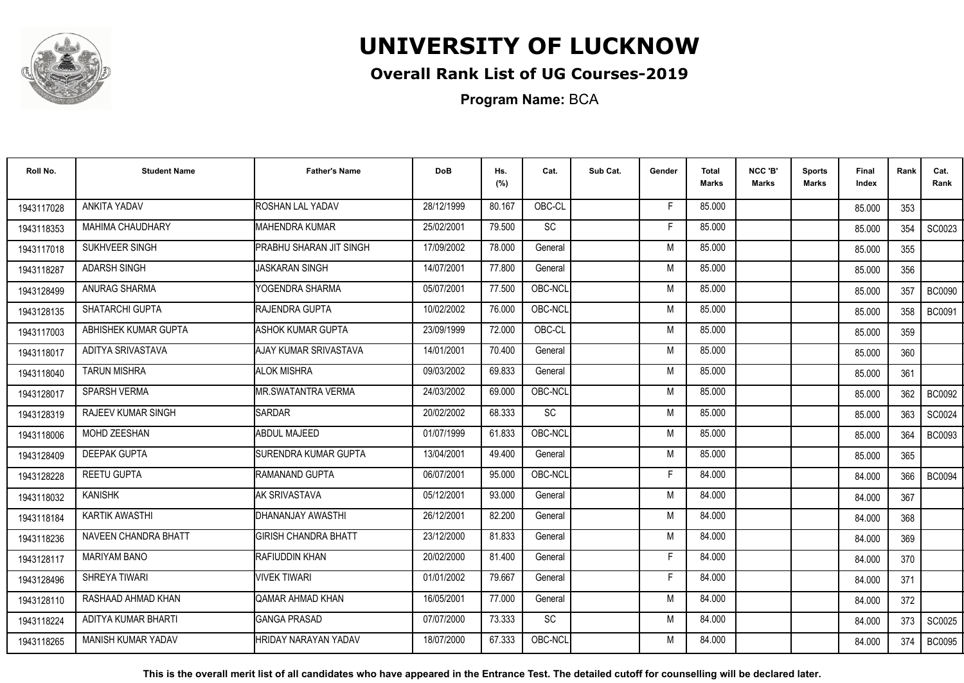

## **Overall Rank List of UG Courses-2019**

**Program Name:** BCA

| Roll No.   | <b>Student Name</b>       | <b>Father's Name</b>        | <b>DoB</b> | Hs.<br>(%) | Cat.      | Sub Cat. | Gender | Total<br>Marks | NCC 'B'<br><b>Marks</b> | Sports<br><b>Marks</b> | Final<br>Index | Rank | Cat.<br>Rank  |
|------------|---------------------------|-----------------------------|------------|------------|-----------|----------|--------|----------------|-------------------------|------------------------|----------------|------|---------------|
| 1943117028 | ANKITA YADAV              | <b>ROSHAN LAL YADAV</b>     | 28/12/1999 | 80.167     | OBC-CL    |          | F.     | 85.000         |                         |                        | 85.000         | 353  |               |
| 1943118353 | MAHIMA CHAUDHARY          | <b>I</b> MAHENDRA KUMAR     | 25/02/2001 | 79.500     | SC        |          | Е      | 85.000         |                         |                        | 85.000         | 354  | SC0023        |
| 1943117018 | SUKHVEER SINGH            | PRABHU SHARAN JIT SINGH     | 17/09/2002 | 78.000     | General   |          | M      | 85.000         |                         |                        | 85.000         | 355  |               |
| 1943118287 | <b>ADARSH SINGH</b>       | <b>JASKARAN SINGH</b>       | 14/07/2001 | 77.800     | General   |          | M      | 85.000         |                         |                        | 85.000         | 356  |               |
| 1943128499 | ANURAG SHARMA             | YOGENDRA SHARMA             | 05/07/2001 | 77.500     | OBC-NCL   |          | M      | 85.000         |                         |                        | 85.000         | 357  | <b>BC0090</b> |
| 1943128135 | SHATARCHI GUPTA           | <b>IRAJENDRA GUPTA</b>      | 10/02/2002 | 76.000     | OBC-NCL   |          | M      | 85.000         |                         |                        | 85.000         | 358  | <b>BC0091</b> |
| 1943117003 | ABHISHEK KUMAR GUPTA      | <b>ASHOK KUMAR GUPTA</b>    | 23/09/1999 | 72.000     | OBC-CL    |          | M      | 85.000         |                         |                        | 85.000         | 359  |               |
| 1943118017 | ADITYA SRIVASTAVA         | AJAY KUMAR SRIVASTAVA       | 14/01/2001 | 70.400     | General   |          | M      | 85.000         |                         |                        | 85.000         | 360  |               |
| 1943118040 | <b>TARUN MISHRA</b>       | <b>ALOK MISHRA</b>          | 09/03/2002 | 69.833     | General   |          | M      | 85.000         |                         |                        | 85.000         | 361  |               |
| 1943128017 | SPARSH VERMA              | MR.SWATANTRA VERMA          | 24/03/2002 | 69.000     | OBC-NCL   |          | M      | 85.000         |                         |                        | 85.000         | 362  | <b>BC0092</b> |
| 1943128319 | RAJEEV KUMAR SINGH        | <b>SARDAR</b>               | 20/02/2002 | 68.333     | SC        |          | M      | 85.000         |                         |                        | 85.000         | 363  | SC0024        |
| 1943118006 | MOHD ZEESHAN              | <b>ABDUL MAJEED</b>         | 01/07/1999 | 61.833     | OBC-NCL   |          | M      | 85.000         |                         |                        | 85.000         | 364  | <b>BC0093</b> |
| 1943128409 | <b>DEEPAK GUPTA</b>       | ISURENDRA KUMAR GUPTA       | 13/04/2001 | 49.400     | General   |          | M      | 85.000         |                         |                        | 85.000         | 365  |               |
| 1943128228 | <b>REETU GUPTA</b>        | <b>IRAMANAND GUPTA</b>      | 06/07/2001 | 95.000     | OBC-NCL   |          | F      | 84.000         |                         |                        | 84.000         | 366  | <b>BC0094</b> |
| 1943118032 | <b>KANISHK</b>            | AK SRIVASTAVA               | 05/12/2001 | 93.000     | General   |          | M      | 84.000         |                         |                        | 84.000         | 367  |               |
| 1943118184 | <b>KARTIK AWASTHI</b>     | DHANANJAY AWASTHI           | 26/12/2001 | 82.200     | General   |          | M      | 84.000         |                         |                        | 84.000         | 368  |               |
| 1943118236 | NAVEEN CHANDRA BHATT      | <b>GIRISH CHANDRA BHATT</b> | 23/12/2000 | 81.833     | General   |          | M      | 84.000         |                         |                        | 84.000         | 369  |               |
| 1943128117 | <b>MARIYAM BANO</b>       | RAFIUDDIN KHAN              | 20/02/2000 | 81.400     | General   |          | F      | 84.000         |                         |                        | 84.000         | 370  |               |
| 1943128496 | SHREYA TIWARI             | <b>VIVEK TIWARI</b>         | 01/01/2002 | 79.667     | General   |          | E      | 84.000         |                         |                        | 84.000         | 371  |               |
| 1943128110 | RASHAAD AHMAD KHAN        | QAMAR AHMAD KHAN            | 16/05/2001 | 77.000     | General   |          | M      | 84.000         |                         |                        | 84.000         | 372  |               |
| 1943118224 | ADITYA KUMAR BHARTI       | <b>GANGA PRASAD</b>         | 07/07/2000 | 73.333     | <b>SC</b> |          | M      | 84.000         |                         |                        | 84.000         | 373  | SC0025        |
| 1943118265 | <b>MANISH KUMAR YADAV</b> | <b>HRIDAY NARAYAN YADAV</b> | 18/07/2000 | 67.333     | OBC-NCL   |          | M      | 84.000         |                         |                        | 84.000         | 374  | <b>BC0095</b> |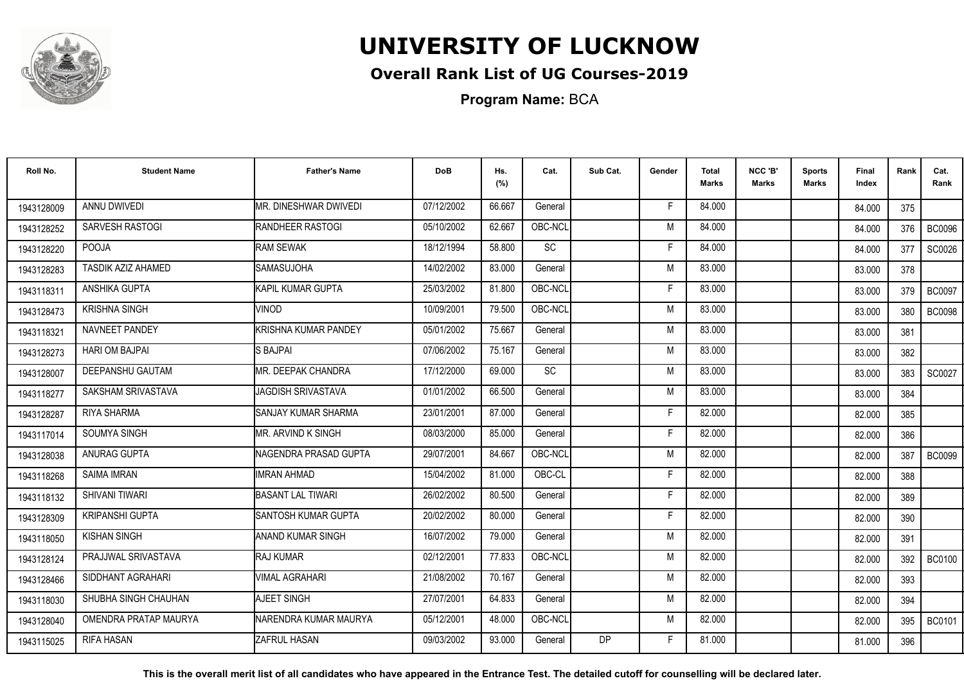

## **Overall Rank List of UG Courses-2019**

**Program Name:** BCA

| Roll No.   | <b>Student Name</b>    | <b>Father's Name</b>       | <b>DoB</b> | Hs.<br>(%) | Cat.    | Sub Cat.  | Gender | <b>Total</b><br><b>Marks</b> | NCC 'B'<br><b>Marks</b> | <b>Sports</b><br><b>Marks</b> | Final<br>Index | Rank | Cat.<br>Rank  |
|------------|------------------------|----------------------------|------------|------------|---------|-----------|--------|------------------------------|-------------------------|-------------------------------|----------------|------|---------------|
| 1943128009 | ANNU DWIVEDI           | MR. DINESHWAR DWIVEDI      | 07/12/2002 | 66.667     | General |           | F      | 84.000                       |                         |                               | 84.000         | 375  |               |
| 1943128252 | SARVESH RASTOGI        | <b>IRANDHEER RASTOGI</b>   | 05/10/2002 | 62.667     | OBC-NCL |           | M      | 84.000                       |                         |                               | 84.000         | 376  | <b>BC0096</b> |
| 1943128220 | POOJA                  | <b>RAM SEWAK</b>           | 18/12/1994 | 58.800     | SC      |           | F      | 84.000                       |                         |                               | 84.000         | 377  | SC0026        |
| 1943128283 | TASDIK AZIZ AHAMED     | <b>SAMASUJOHA</b>          | 14/02/2002 | 83.000     | General |           | M      | 83.000                       |                         |                               | 83.000         | 378  |               |
| 1943118311 | ANSHIKA GUPTA          | <b>I</b> KAPIL KUMAR GUPTA | 25/03/2002 | 81.800     | OBC-NCL |           | F      | 83.000                       |                         |                               | 83.000         | 379  | <b>BC0097</b> |
| 1943128473 | <b>KRISHNA SINGH</b>   | <b>NINOD</b>               | 10/09/2001 | 79.500     | OBC-NCL |           | M      | 83.000                       |                         |                               | 83.000         | 380  | <b>BC0098</b> |
| 1943118321 | NAVNEET PANDEY         | KRISHNA KUMAR PANDEY       | 05/01/2002 | 75.667     | General |           | M      | 83.000                       |                         |                               | 83.000         | 381  |               |
| 1943128273 | <b>HARI OM BAJPAI</b>  | <b>S BAJPAI</b>            | 07/06/2002 | 75.167     | General |           | M      | 83.000                       |                         |                               | 83.000         | 382  |               |
| 1943128007 | DEEPANSHU GAUTAM       | MR. DEEPAK CHANDRA         | 17/12/2000 | 69.000     | SC      |           | M      | 83.000                       |                         |                               | 83.000         | 383  | SC0027        |
| 1943118277 | SAKSHAM SRIVASTAVA     | JAGDISH SRIVASTAVA         | 01/01/2002 | 66.500     | General |           | M      | 83.000                       |                         |                               | 83.000         | 384  |               |
| 1943128287 | <b>RIYA SHARMA</b>     | SANJAY KUMAR SHARMA        | 23/01/2001 | 87.000     | General |           | F      | 82.000                       |                         |                               | 82.000         | 385  |               |
| 1943117014 | SOUMYA SINGH           | MR. ARVIND K SINGH         | 08/03/2000 | 85.000     | General |           | F      | 82.000                       |                         |                               | 82.000         | 386  |               |
| 1943128038 | ANURAG GUPTA           | NAGENDRA PRASAD GUPTA      | 29/07/2001 | 84.667     | OBC-NCL |           | M      | 82.000                       |                         |                               | 82.000         | 387  | <b>BC0099</b> |
| 1943118268 | <b>SAIMA IMRAN</b>     | IIMRAN AHMAD               | 15/04/2002 | 81.000     | OBC-CL  |           | F      | 82.000                       |                         |                               | 82.000         | 388  |               |
| 1943118132 | SHIVANI TIWARI         | <b>BASANT LAL TIWARI</b>   | 26/02/2002 | 80.500     | General |           | E      | 82.000                       |                         |                               | 82.000         | 389  |               |
| 1943128309 | <b>KRIPANSHI GUPTA</b> | SANTOSH KUMAR GUPTA        | 20/02/2002 | 80.000     | General |           | F      | 82.000                       |                         |                               | 82.000         | 390  |               |
| 1943118050 | <b>KISHAN SINGH</b>    | <b>ANAND KUMAR SINGH</b>   | 16/07/2002 | 79.000     | General |           | M      | 82.000                       |                         |                               | 82.000         | 391  |               |
| 1943128124 | PRAJJWAL SRIVASTAVA    | <b>IRAJ KUMAR</b>          | 02/12/2001 | 77.833     | OBC-NCL |           | M      | 82.000                       |                         |                               | 82.000         | 392  | <b>BC0100</b> |
| 1943128466 | SIDDHANT AGRAHARI      | <b>VIMAL AGRAHARI</b>      | 21/08/2002 | 70.167     | General |           | M      | 82.000                       |                         |                               | 82.000         | 393  |               |
| 1943118030 | SHUBHA SINGH CHAUHAN   | <b>AJEET SINGH</b>         | 27/07/2001 | 64.833     | General |           | M      | 82.000                       |                         |                               | 82.000         | 394  |               |
| 1943128040 | OMENDRA PRATAP MAURYA  | NARENDRA KUMAR MAURYA      | 05/12/2001 | 48.000     | OBC-NCL |           | M      | 82.000                       |                         |                               | 82.000         | 395  | <b>BC0101</b> |
| 1943115025 | <b>RIFA HASAN</b>      | <b>ZAFRUL HASAN</b>        | 09/03/2002 | 93.000     | General | <b>DP</b> | F      | 81.000                       |                         |                               | 81.000         | 396  |               |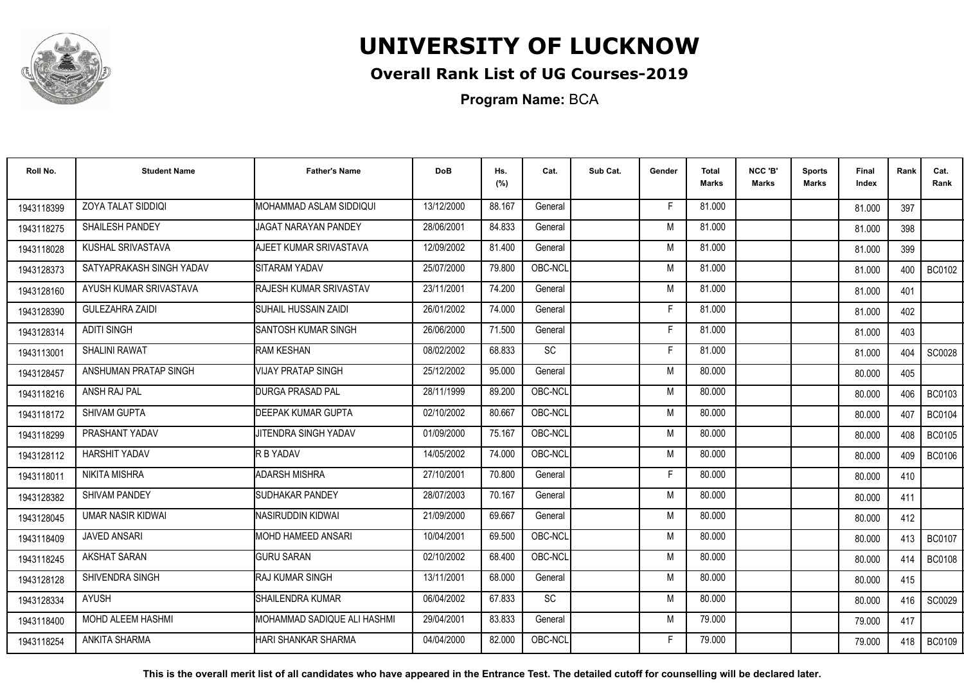

## **Overall Rank List of UG Courses-2019**

**Program Name:** BCA

| Roll No.   | <b>Student Name</b>      | <b>Father's Name</b>        | <b>DoB</b> | Hs.<br>(%) | Cat.    | Sub Cat. | Gender | <b>Total</b><br><b>Marks</b> | NCC 'B'<br><b>Marks</b> | <b>Sports</b><br>Marks | Final<br>Index | Rank    | Cat.<br>Rank  |
|------------|--------------------------|-----------------------------|------------|------------|---------|----------|--------|------------------------------|-------------------------|------------------------|----------------|---------|---------------|
| 1943118399 | ZOYA TALAT SIDDIQI       | MOHAMMAD ASLAM SIDDIQUI     | 13/12/2000 | 88.167     | General |          | F      | 81.000                       |                         |                        | 81.000         | 397     |               |
| 1943118275 | SHAILESH PANDEY          | JAGAT NARAYAN PANDEY        | 28/06/2001 | 84.833     | General |          | M      | 81.000                       |                         |                        | 81.000         | 398     |               |
| 1943118028 | KUSHAL SRIVASTAVA        | AJEET KUMAR SRIVASTAVA      | 12/09/2002 | 81.400     | General |          | M      | 81.000                       |                         |                        | 81.000         | 399     |               |
| 1943128373 | SATYAPRAKASH SINGH YADAV | SITARAM YADAV               | 25/07/2000 | 79.800     | OBC-NCL |          | M      | 81.000                       |                         |                        | 81.000         | 400     | <b>BC0102</b> |
| 1943128160 | AYUSH KUMAR SRIVASTAVA   | RAJESH KUMAR SRIVASTAV      | 23/11/2001 | 74.200     | General |          | M      | 81.000                       |                         |                        | 81.000         | 401     |               |
| 1943128390 | <b>GULEZAHRA ZAIDI</b>   | <b>SUHAIL HUSSAIN ZAIDI</b> | 26/01/2002 | 74.000     | General |          | F      | 81.000                       |                         |                        | 81.000         | 402     |               |
| 1943128314 | <b>ADITI SINGH</b>       | <b>SANTOSH KUMAR SINGH</b>  | 26/06/2000 | 71.500     | General |          | F      | 81.000                       |                         |                        | 81.000         | 403     |               |
| 1943113001 | <b>SHALINI RAWAT</b>     | RAM KESHAN                  | 08/02/2002 | 68.833     | SC      |          | F      | 81.000                       |                         |                        | 81.000         | 404     | <b>SC0028</b> |
| 1943128457 | ANSHUMAN PRATAP SINGH    | <b>VIJAY PRATAP SINGH</b>   | 25/12/2002 | 95.000     | General |          | M      | 80.000                       |                         |                        | 80.000         | 405     |               |
| 1943118216 | ANSH RAJ PAL             | <b>DURGA PRASAD PAL</b>     | 28/11/1999 | 89.200     | OBC-NCL |          | M      | 80.000                       |                         |                        | 80.000         | 406     | <b>BC0103</b> |
| 1943118172 | <b>SHIVAM GUPTA</b>      | <b>DEEPAK KUMAR GUPTA</b>   | 02/10/2002 | 80.667     | OBC-NCL |          | M      | 80.000                       |                         |                        | 80.000         | 407     | <b>BC0104</b> |
| 1943118299 | PRASHANT YADAV           | JITENDRA SINGH YADAV        | 01/09/2000 | 75.167     | OBC-NCL |          | M      | 80.000                       |                         |                        | 80.000         | 408     | <b>BC0105</b> |
| 1943128112 | HARSHIT YADAV            | R B YADAV                   | 14/05/2002 | 74.000     | OBC-NCL |          | M      | 80.000                       |                         |                        | 80.000         | 409     | <b>BC0106</b> |
| 1943118011 | NIKITA MISHRA            | <b>ADARSH MISHRA</b>        | 27/10/2001 | 70.800     | General |          | F      | 80.000                       |                         |                        | 80.000         | 410     |               |
| 1943128382 | <b>SHIVAM PANDEY</b>     | <b>SUDHAKAR PANDEY</b>      | 28/07/2003 | 70.167     | General |          | M      | 80.000                       |                         |                        | 80.000         | 411     |               |
| 1943128045 | <b>UMAR NASIR KIDWAI</b> | INASIRUDDIN KIDWAI          | 21/09/2000 | 69.667     | General |          | M      | 80.000                       |                         |                        | 80.000         | 412     |               |
| 1943118409 | <b>JAVED ANSARI</b>      | MOHD HAMEED ANSARI          | 10/04/2001 | 69.500     | OBC-NCL |          | M      | 80.000                       |                         |                        | 80.000         | $413$ I | <b>BC0107</b> |
| 1943118245 | <b>AKSHAT SARAN</b>      | <b>GURU SARAN</b>           | 02/10/2002 | 68.400     | OBC-NCL |          | M      | 80.000                       |                         |                        | 80.000         | 414     | <b>BC0108</b> |
| 1943128128 | SHIVENDRA SINGH          | <b>RAJ KUMAR SINGH</b>      | 13/11/2001 | 68.000     | General |          | M      | 80.000                       |                         |                        | 80.000         | 415     |               |
| 1943128334 | <b>AYUSH</b>             | SHAILENDRA KUMAR            | 06/04/2002 | 67.833     | SC      |          | M      | 80.000                       |                         |                        | 80.000         | 416     | SC0029        |
| 1943118400 | <b>MOHD ALEEM HASHMI</b> | MOHAMMAD SADIQUE ALI HASHMI | 29/04/2001 | 83.833     | General |          | M      | 79.000                       |                         |                        | 79.000         | 417     |               |
| 1943118254 | <b>ANKITA SHARMA</b>     | HARI SHANKAR SHARMA         | 04/04/2000 | 82.000     | OBC-NCL |          | F      | 79.000                       |                         |                        | 79.000         | 418     | <b>BC0109</b> |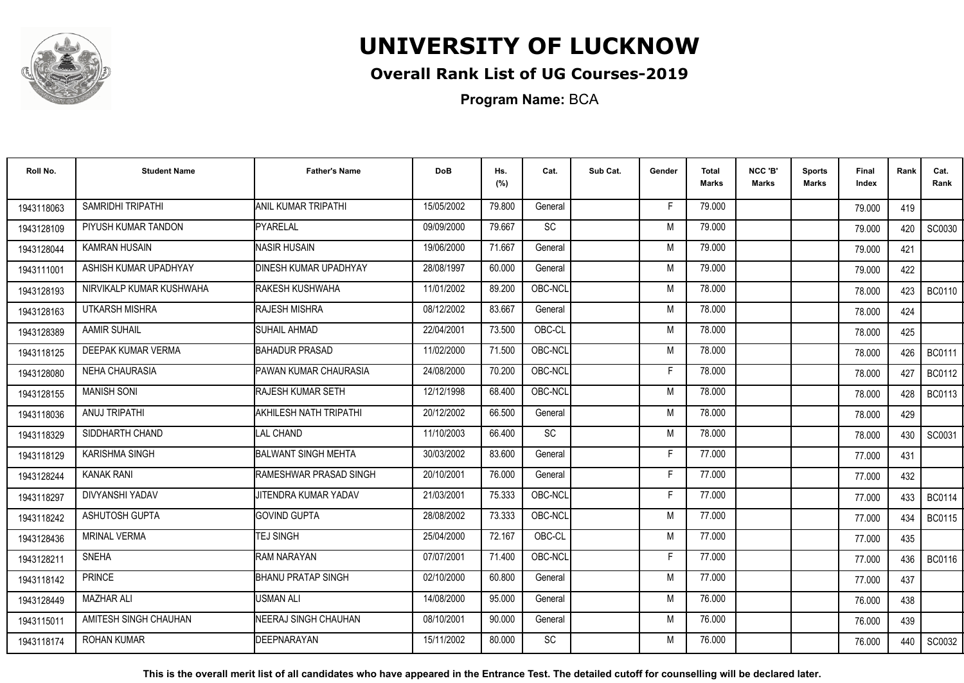

## **Overall Rank List of UG Courses-2019**

**Program Name:** BCA

| Roll No.   | <b>Student Name</b>      | <b>Father's Name</b>           | <b>DoB</b> | Hs.<br>(%) | Cat.      | Sub Cat. | Gender | <b>Total</b><br><b>Marks</b> | NCC 'B'<br><b>Marks</b> | <b>Sports</b><br>Marks | Final<br>Index | Rank | Cat.<br>Rank  |
|------------|--------------------------|--------------------------------|------------|------------|-----------|----------|--------|------------------------------|-------------------------|------------------------|----------------|------|---------------|
| 1943118063 | SAMRIDHI TRIPATHI        | <b>ANIL KUMAR TRIPATHI</b>     | 15/05/2002 | 79.800     | General   |          | F      | 79.000                       |                         |                        | 79.000         | 419  |               |
| 1943128109 | PIYUSH KUMAR TANDON      | PYARELAL                       | 09/09/2000 | 79.667     | SC        |          | M      | 79.000                       |                         |                        | 79.000         | 420  | SC0030        |
| 1943128044 | <b>KAMRAN HUSAIN</b>     | <b>NASIR HUSAIN</b>            | 19/06/2000 | 71.667     | General   |          | M      | 79.000                       |                         |                        | 79.000         | 421  |               |
| 1943111001 | ASHISH KUMAR UPADHYAY    | <b>IDINESH KUMAR UPADHYAY</b>  | 28/08/1997 | 60.000     | General   |          | M      | 79.000                       |                         |                        | 79.000         | 422  |               |
| 1943128193 | NIRVIKALP KUMAR KUSHWAHA | <b>IRAKESH KUSHWAHA</b>        | 11/01/2002 | 89.200     | OBC-NCL   |          | M      | 78.000                       |                         |                        | 78.000         | 423  | <b>BC0110</b> |
| 1943128163 | UTKARSH MISHRA           | <b>RAJESH MISHRA</b>           | 08/12/2002 | 83.667     | General   |          | M      | 78.000                       |                         |                        | 78.000         | 424  |               |
| 1943128389 | <b>AAMIR SUHAIL</b>      | ISUHAIL AHMAD                  | 22/04/2001 | 73.500     | OBC-CL    |          | M      | 78.000                       |                         |                        | 78.000         | 425  |               |
| 1943118125 | DEEPAK KUMAR VERMA       | <b>BAHADUR PRASAD</b>          | 11/02/2000 | 71.500     | OBC-NCL   |          | M      | 78.000                       |                         |                        | 78,000         | 426  | <b>BC0111</b> |
| 1943128080 | <b>NEHA CHAURASIA</b>    | <b>PAWAN KUMAR CHAURASIA</b>   | 24/08/2000 | 70.200     | OBC-NCL   |          | F      | 78.000                       |                         |                        | 78,000         | 427  | <b>BC0112</b> |
| 1943128155 | <b>MANISH SONI</b>       | <b>RAJESH KUMAR SETH</b>       | 12/12/1998 | 68.400     | OBC-NCL   |          | M      | 78.000                       |                         |                        | 78.000         | 428  | <b>BC0113</b> |
| 1943118036 | ANUJ TRIPATHI            | <b>AKHILESH NATH TRIPATHI</b>  | 20/12/2002 | 66.500     | General   |          | M      | 78.000                       |                         |                        | 78.000         | 429  |               |
| 1943118329 | SIDDHARTH CHAND          | <b>I</b> LAL CHAND             | 11/10/2003 | 66.400     | <b>SC</b> |          | M      | 78.000                       |                         |                        | 78.000         | 430  | SC0031        |
| 1943118129 | <b>KARISHMA SINGH</b>    | <b>BALWANT SINGH MEHTA</b>     | 30/03/2002 | 83.600     | General   |          | Е      | 77.000                       |                         |                        | 77.000         | 431  |               |
| 1943128244 | <b>KANAK RANI</b>        | <b>IRAMESHWAR PRASAD SINGH</b> | 20/10/2001 | 76.000     | General   |          | F      | 77.000                       |                         |                        | 77.000         | 432  |               |
| 1943118297 | <b>DIVYANSHI YADAV</b>   | JITENDRA KUMAR YADAV           | 21/03/2001 | 75.333     | OBC-NCL   |          | F      | 77.000                       |                         |                        | 77.000         | 433  | <b>BC0114</b> |
| 1943118242 | <b>ASHUTOSH GUPTA</b>    | <b>GOVIND GUPTA</b>            | 28/08/2002 | 73.333     | OBC-NCL   |          | M      | 77.000                       |                         |                        | 77.000         | 434  | <b>BC0115</b> |
| 1943128436 | <b>MRINAL VERMA</b>      | <b>TEJ SINGH</b>               | 25/04/2000 | 72.167     | OBC-CL    |          | M      | 77.000                       |                         |                        | 77.000         | 435  |               |
| 1943128211 | <b>SNEHA</b>             | RAM NARAYAN                    | 07/07/2001 | 71.400     | OBC-NCL   |          | F      | 77.000                       |                         |                        | 77.000         | 436  | <b>BC0116</b> |
| 1943118142 | <b>PRINCE</b>            | <b>IBHANU PRATAP SINGH</b>     | 02/10/2000 | 60.800     | General   |          | M      | 77.000                       |                         |                        | 77.000         | 437  |               |
| 1943128449 | <b>MAZHAR ALI</b>        | <b>USMAN ALI</b>               | 14/08/2000 | 95.000     | General   |          | M      | 76.000                       |                         |                        | 76.000         | 438  |               |
| 1943115011 | AMITESH SINGH CHAUHAN    | <b>INEERAJ SINGH CHAUHAN</b>   | 08/10/2001 | 90.000     | General   |          | M      | 76.000                       |                         |                        | 76.000         | 439  |               |
| 1943118174 | <b>ROHAN KUMAR</b>       | <b>IDEEPNARAYAN</b>            | 15/11/2002 | 80.000     | SC        |          | M      | 76.000                       |                         |                        | 76.000         | 440  | SC0032        |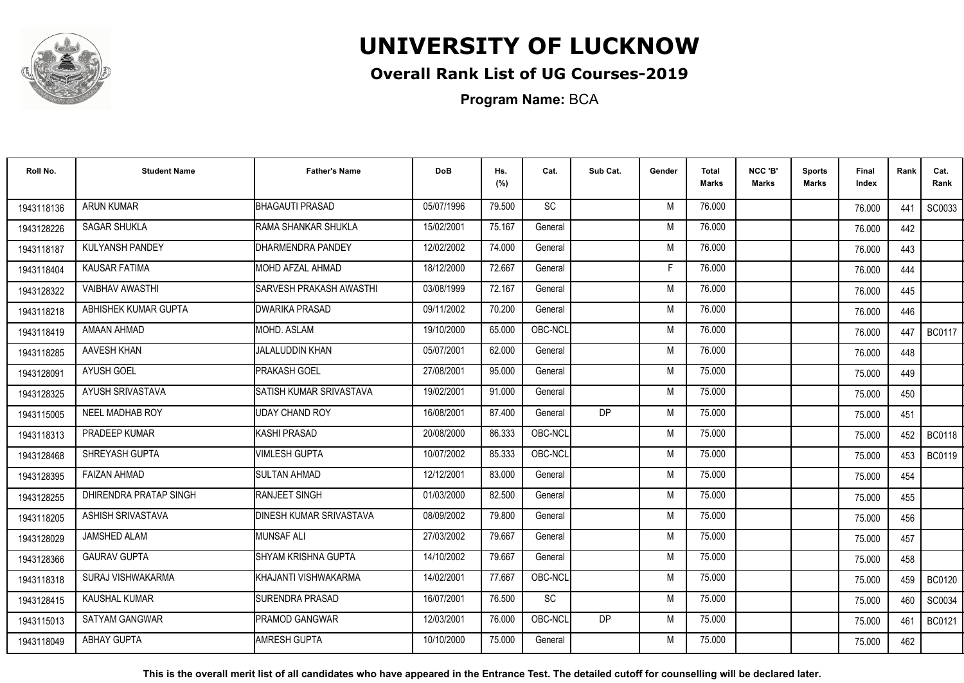

## **Overall Rank List of UG Courses-2019**

**Program Name:** BCA

| Roll No.   | <b>Student Name</b>    | <b>Father's Name</b>           | <b>DoB</b> | Hs.<br>(%) | Cat.      | Sub Cat.  | Gender | Total<br><b>Marks</b> | NCC 'B'<br><b>Marks</b> | Sports<br><b>Marks</b> | Final<br>Index | Rank | Cat.<br>Rank  |
|------------|------------------------|--------------------------------|------------|------------|-----------|-----------|--------|-----------------------|-------------------------|------------------------|----------------|------|---------------|
| 1943118136 | <b>ARUN KUMAR</b>      | <b>BHAGAUTI PRASAD</b>         | 05/07/1996 | 79.500     | <b>SC</b> |           | M      | 76.000                |                         |                        | 76.000         | 441  | SC0033        |
| 1943128226 | <b>SAGAR SHUKLA</b>    | RAMA SHANKAR SHUKLA            | 15/02/2001 | 75.167     | General   |           | M      | 76.000                |                         |                        | 76.000         | 442  |               |
| 1943118187 | <b>KULYANSH PANDEY</b> | DHARMENDRA PANDEY              | 12/02/2002 | 74.000     | General   |           | M      | 76.000                |                         |                        | 76.000         | 443  |               |
| 1943118404 | <b>KAUSAR FATIMA</b>   | MOHD AFZAL AHMAD               | 18/12/2000 | 72.667     | General   |           | Е      | 76.000                |                         |                        | 76.000         | 444  |               |
| 1943128322 | <b>VAIBHAV AWASTHI</b> | SARVESH PRAKASH AWASTHI        | 03/08/1999 | 72.167     | General   |           | M      | 76.000                |                         |                        | 76.000         | 445  |               |
| 1943118218 | ABHISHEK KUMAR GUPTA   | <b>DWARIKA PRASAD</b>          | 09/11/2002 | 70.200     | General   |           | M      | 76.000                |                         |                        | 76.000         | 446  |               |
| 1943118419 | AMAAN AHMAD            | MOHD. ASLAM                    | 19/10/2000 | 65.000     | OBC-NCL   |           | M      | 76.000                |                         |                        | 76.000         | 447  | <b>BC0117</b> |
| 1943118285 | AAVESH KHAN            | <b>JALALUDDIN KHAN</b>         | 05/07/2001 | 62.000     | General   |           | M      | 76.000                |                         |                        | 76.000         | 448  |               |
| 1943128091 | <b>AYUSH GOEL</b>      | <b>PRAKASH GOEL</b>            | 27/08/2001 | 95.000     | General   |           | M      | 75.000                |                         |                        | 75.000         | 449  |               |
| 1943128325 | AYUSH SRIVASTAVA       | SATISH KUMAR SRIVASTAVA        | 19/02/2001 | 91.000     | General   |           | M      | 75.000                |                         |                        | 75.000         | 450  |               |
| 1943115005 | NEEL MADHAB ROY        | <b>UDAY CHAND ROY</b>          | 16/08/2001 | 87.400     | General   | <b>DP</b> | M      | 75.000                |                         |                        | 75.000         | 451  |               |
| 1943118313 | PRADEEP KUMAR          | KASHI PRASAD                   | 20/08/2000 | 86.333     | OBC-NCL   |           | M      | 75.000                |                         |                        | 75.000         | 452  | <b>BC0118</b> |
| 1943128468 | SHREYASH GUPTA         | VIMLESH GUPTA                  | 10/07/2002 | 85.333     | OBC-NCL   |           | M      | 75.000                |                         |                        | 75.000         | 453  | <b>BC0119</b> |
| 1943128395 | <b>FAIZAN AHMAD</b>    | <b>SULTAN AHMAD</b>            | 12/12/2001 | 83.000     | General   |           | M      | 75.000                |                         |                        | 75.000         | 454  |               |
| 1943128255 | DHIRENDRA PRATAP SINGH | <b>RANJEET SINGH</b>           | 01/03/2000 | 82.500     | General   |           | M      | 75.000                |                         |                        | 75.000         | 455  |               |
| 1943118205 | ASHISH SRIVASTAVA      | <b>DINESH KUMAR SRIVASTAVA</b> | 08/09/2002 | 79.800     | General   |           | M      | 75.000                |                         |                        | 75.000         | 456  |               |
| 1943128029 | <b>JAMSHED ALAM</b>    | <b>MUNSAF ALI</b>              | 27/03/2002 | 79.667     | General   |           | M      | 75.000                |                         |                        | 75.000         | 457  |               |
| 1943128366 | <b>GAURAV GUPTA</b>    | SHYAM KRISHNA GUPTA            | 14/10/2002 | 79.667     | General   |           | M      | 75.000                |                         |                        | 75.000         | 458  |               |
| 1943118318 | SURAJ VISHWAKARMA      | KHAJANTI VISHWAKARMA           | 14/02/2001 | 77.667     | OBC-NCL   |           | M      | 75.000                |                         |                        | 75.000         | 459  | <b>BC0120</b> |
| 1943128415 | KAUSHAL KUMAR          | SURENDRA PRASAD                | 16/07/2001 | 76.500     | <b>SC</b> |           | M      | 75.000                |                         |                        | 75.000         | 460  | SC0034        |
| 1943115013 | <b>SATYAM GANGWAR</b>  | <b>PRAMOD GANGWAR</b>          | 12/03/2001 | 76.000     | OBC-NCL   | DP        | M      | 75.000                |                         |                        | 75.000         | 461  | BC0121        |
| 1943118049 | <b>ABHAY GUPTA</b>     | <b>AMRESH GUPTA</b>            | 10/10/2000 | 75.000     | General   |           | M      | 75.000                |                         |                        | 75.000         | 462  |               |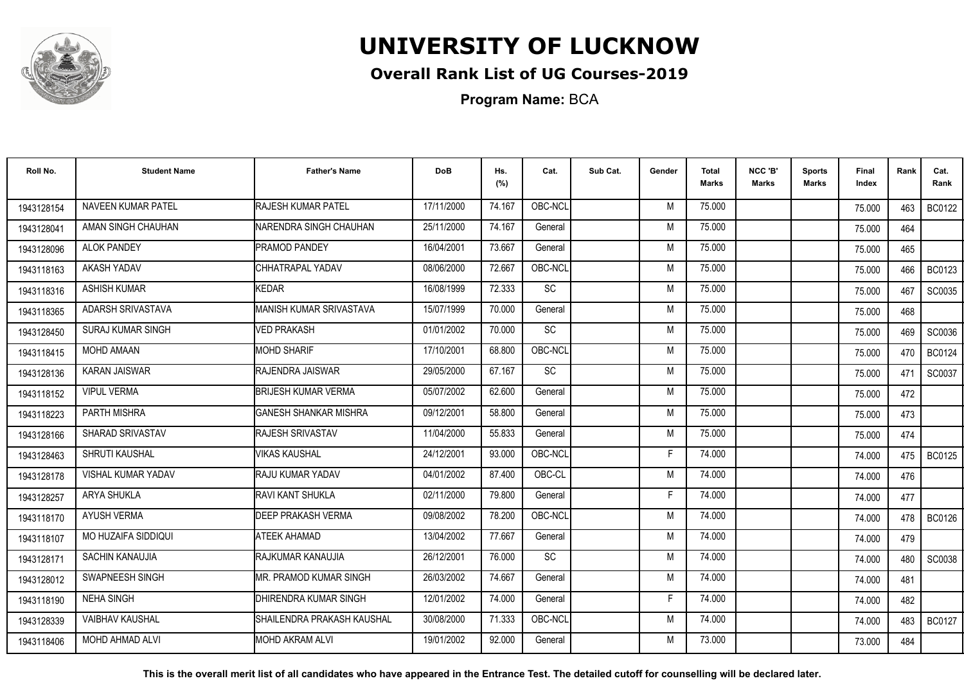

## **Overall Rank List of UG Courses-2019**

**Program Name:** BCA

| Roll No.   | <b>Student Name</b>        | <b>Father's Name</b>         | <b>DoB</b> | Hs.<br>(%) | Cat.      | Sub Cat. | Gender | <b>Total</b><br><b>Marks</b> | NCC 'B'<br>Marks | <b>Sports</b><br>Marks | Final<br>Index | Rank | Cat.<br>Rank  |
|------------|----------------------------|------------------------------|------------|------------|-----------|----------|--------|------------------------------|------------------|------------------------|----------------|------|---------------|
| 1943128154 | <b>NAVEEN KUMAR PATEL</b>  | <b>RAJESH KUMAR PATEL</b>    | 17/11/2000 | 74.167     | OBC-NCL   |          | M      | 75.000                       |                  |                        | 75.000         | 463  | <b>BC0122</b> |
| 1943128041 | AMAN SINGH CHAUHAN         | NARENDRA SINGH CHAUHAN       | 25/11/2000 | 74.167     | General   |          | M      | 75.000                       |                  |                        | 75.000         | 464  |               |
| 1943128096 | <b>ALOK PANDEY</b>         | PRAMOD PANDEY                | 16/04/2001 | 73.667     | General   |          | M      | 75.000                       |                  |                        | 75.000         | 465  |               |
| 1943118163 | AKASH YADAV                | CHHATRAPAL YADAV             | 08/06/2000 | 72.667     | OBC-NCL   |          | M      | 75.000                       |                  |                        | 75.000         | 466  | <b>BC0123</b> |
| 1943118316 | <b>ASHISH KUMAR</b>        | <b>KEDAR</b>                 | 16/08/1999 | 72.333     | SC        |          | M      | 75.000                       |                  |                        | 75.000         | 467  | SC0035        |
| 1943118365 | ADARSH SRIVASTAVA          | IMANISH KUMAR SRIVASTAVA     | 15/07/1999 | 70.000     | General   |          | M      | 75.000                       |                  |                        | 75.000         | 468  |               |
| 1943128450 | <b>SURAJ KUMAR SINGH</b>   | <b>VED PRAKASH</b>           | 01/01/2002 | 70.000     | <b>SC</b> |          | M      | 75.000                       |                  |                        | 75.000         | 469  | SC0036        |
| 1943118415 | <b>MOHD AMAAN</b>          | <b>IMOHD SHARIF</b>          | 17/10/2001 | 68.800     | OBC-NCL   |          | M      | 75.000                       |                  |                        | 75.000         | 470  | <b>BC0124</b> |
| 1943128136 | <b>KARAN JAISWAR</b>       | RAJENDRA JAISWAR             | 29/05/2000 | 67.167     | <b>SC</b> |          | M      | 75.000                       |                  |                        | 75.000         | 471  | SC0037        |
| 1943118152 | <b>VIPUL VERMA</b>         | <b>BRIJESH KUMAR VERMA</b>   | 05/07/2002 | 62.600     | General   |          | M      | 75.000                       |                  |                        | 75.000         | 472  |               |
| 1943118223 | PARTH MISHRA               | <b>GANESH SHANKAR MISHRA</b> | 09/12/2001 | 58.800     | General   |          | M      | 75.000                       |                  |                        | 75.000         | 473  |               |
| 1943128166 | SHARAD SRIVASTAV           | <b>RAJESH SRIVASTAV</b>      | 11/04/2000 | 55.833     | General   |          | M      | 75.000                       |                  |                        | 75.000         | 474  |               |
| 1943128463 | <b>SHRUTI KAUSHAL</b>      | VIKAS KAUSHAL                | 24/12/2001 | 93.000     | OBC-NCL   |          |        | 74.000                       |                  |                        | 74.000         | 475  | <b>BC0125</b> |
| 1943128178 | <b>VISHAL KUMAR YADAV</b>  | <b>RAJU KUMAR YADAV</b>      | 04/01/2002 | 87.400     | OBC-CL    |          | M      | 74.000                       |                  |                        | 74.000         | 476  |               |
| 1943128257 | <b>ARYA SHUKLA</b>         | IRAVI KANT SHUKLA            | 02/11/2000 | 79.800     | General   |          | Е      | 74.000                       |                  |                        | 74.000         | 477  |               |
| 1943118170 | <b>AYUSH VERMA</b>         | <b>DEEP PRAKASH VERMA</b>    | 09/08/2002 | 78.200     | OBC-NCL   |          | M      | 74.000                       |                  |                        | 74.000         | 478  | <b>BC0126</b> |
| 1943118107 | <b>MO HUZAIFA SIDDIQUI</b> | <b>ATEEK AHAMAD</b>          | 13/04/2002 | 77.667     | General   |          | M      | 74.000                       |                  |                        | 74.000         | 479  |               |
| 1943128171 | SACHIN KANAUJIA            | RAJKUMAR KANAUJIA            | 26/12/2001 | 76.000     | <b>SC</b> |          | M      | 74.000                       |                  |                        | 74.000         | 480  | SC0038        |
| 1943128012 | SWAPNEESH SINGH            | MR. PRAMOD KUMAR SINGH       | 26/03/2002 | 74.667     | General   |          | M      | 74.000                       |                  |                        | 74.000         | 481  |               |
| 1943118190 | <b>NEHA SINGH</b>          | DHIRENDRA KUMAR SINGH        | 12/01/2002 | 74.000     | General   |          | F      | 74.000                       |                  |                        | 74.000         | 482  |               |
| 1943128339 | VAIBHAV KAUSHAL            | SHAILENDRA PRAKASH KAUSHAL   | 30/08/2000 | 71.333     | OBC-NCL   |          | M      | 74.000                       |                  |                        | 74.000         | 483  | <b>BC0127</b> |
| 1943118406 | <b>MOHD AHMAD ALVI</b>     | IMOHD AKRAM ALVI             | 19/01/2002 | 92.000     | General   |          | M      | 73.000                       |                  |                        | 73.000         | 484  |               |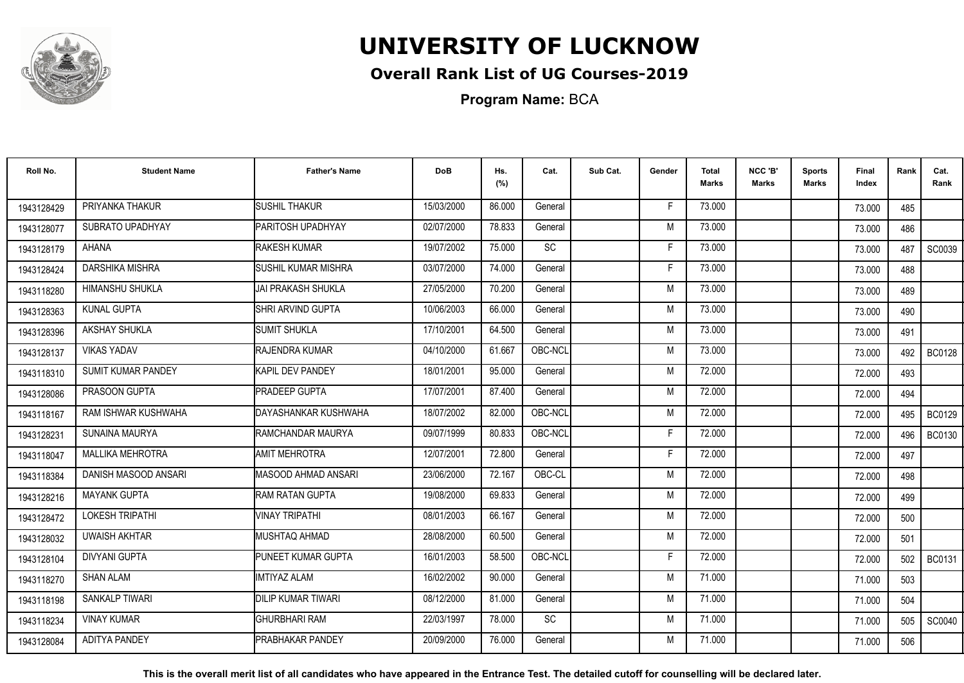

## **Overall Rank List of UG Courses-2019**

**Program Name:** BCA

| Roll No.   | <b>Student Name</b>       | <b>Father's Name</b>       | <b>DoB</b> | Hs.<br>(%) | Cat.                         | Sub Cat. | Gender | <b>Total</b><br><b>Marks</b> | NCC 'B'<br>Marks | <b>Sports</b><br>Marks | Final<br>Index | Rank | Cat.<br>Rank  |
|------------|---------------------------|----------------------------|------------|------------|------------------------------|----------|--------|------------------------------|------------------|------------------------|----------------|------|---------------|
| 1943128429 | PRIYANKA THAKUR           | <b>SUSHIL THAKUR</b>       | 15/03/2000 | 86.000     | General                      |          | Е      | 73.000                       |                  |                        | 73.000         | 485  |               |
| 1943128077 | SUBRATO UPADHYAY          | PARITOSH UPADHYAY          | 02/07/2000 | 78.833     | General                      |          | M      | 73.000                       |                  |                        | 73.000         | 486  |               |
| 1943128179 | <b>AHANA</b>              | RAKESH KUMAR               | 19/07/2002 | 75.000     | $\operatorname{\textsf{SC}}$ |          | F.     | 73.000                       |                  |                        | 73.000         | 487  | SC0039        |
| 1943128424 | DARSHIKA MISHRA           | <b>SUSHIL KUMAR MISHRA</b> | 03/07/2000 | 74.000     | General                      |          | Е      | 73.000                       |                  |                        | 73.000         | 488  |               |
| 1943118280 | HIMANSHU SHUKLA           | JAI PRAKASH SHUKLA         | 27/05/2000 | 70.200     | General                      |          | M      | 73.000                       |                  |                        | 73.000         | 489  |               |
| 1943128363 | <b>KUNAL GUPTA</b>        | <b>SHRI ARVIND GUPTA</b>   | 10/06/2003 | 66.000     | General                      |          | M      | 73.000                       |                  |                        | 73.000         | 490  |               |
| 1943128396 | AKSHAY SHUKLA             | <b>SUMIT SHUKLA</b>        | 17/10/2001 | 64.500     | General                      |          | M      | 73.000                       |                  |                        | 73.000         | 491  |               |
| 1943128137 | <b>VIKAS YADAV</b>        | RAJENDRA KUMAR             | 04/10/2000 | 61.667     | OBC-NCL                      |          | M      | 73.000                       |                  |                        | 73.000         | 492  | <b>BC0128</b> |
| 1943118310 | <b>SUMIT KUMAR PANDEY</b> | KAPIL DEV PANDEY           | 18/01/2001 | 95.000     | General                      |          | M      | 72.000                       |                  |                        | 72.000         | 493  |               |
| 1943128086 | PRASOON GUPTA             | <b>PRADEEP GUPTA</b>       | 17/07/2001 | 87.400     | General                      |          | M      | 72.000                       |                  |                        | 72.000         | 494  |               |
| 1943118167 | RAM ISHWAR KUSHWAHA       | DAYASHANKAR KUSHWAHA       | 18/07/2002 | 82.000     | OBC-NCL                      |          | M      | 72.000                       |                  |                        | 72.000         | 495  | BC0129        |
| 1943128231 | SUNAINA MAURYA            | RAMCHANDAR MAURYA          | 09/07/1999 | 80.833     | OBC-NCL                      |          |        | 72.000                       |                  |                        | 72.000         | 496  | <b>BC0130</b> |
| 1943118047 | <b>MALLIKA MEHROTRA</b>   | <b>AMIT MEHROTRA</b>       | 12/07/2001 | 72.800     | General                      |          |        | 72.000                       |                  |                        | 72.000         | 497  |               |
| 1943118384 | DANISH MASOOD ANSARI      | IMASOOD AHMAD ANSARI       | 23/06/2000 | 72.167     | OBC-CL                       |          | M      | 72.000                       |                  |                        | 72.000         | 498  |               |
| 1943128216 | <b>MAYANK GUPTA</b>       | <b>RAM RATAN GUPTA</b>     | 19/08/2000 | 69.833     | General                      |          | M      | 72.000                       |                  |                        | 72.000         | 499  |               |
| 1943128472 | <b>LOKESH TRIPATHI</b>    | <b>VINAY TRIPATHI</b>      | 08/01/2003 | 66.167     | General                      |          | M      | 72.000                       |                  |                        | 72.000         | 500  |               |
| 1943128032 | <b>UWAISH AKHTAR</b>      | MUSHTAQ AHMAD              | 28/08/2000 | 60.500     | General                      |          | M      | 72.000                       |                  |                        | 72.000         | 501  |               |
| 1943128104 | <b>DIVYANI GUPTA</b>      | PUNEET KUMAR GUPTA         | 16/01/2003 | 58.500     | OBC-NCL                      |          | F      | 72.000                       |                  |                        | 72.000         | 502  | <b>BC0131</b> |
| 1943118270 | <b>SHAN ALAM</b>          | <b>IMTIYAZ ALAM</b>        | 16/02/2002 | 90.000     | General                      |          | M      | 71.000                       |                  |                        | 71.000         | 503  |               |
| 1943118198 | <b>SANKALP TIWARI</b>     | <b>DILIP KUMAR TIWARI</b>  | 08/12/2000 | 81.000     | General                      |          | M      | 71.000                       |                  |                        | 71.000         | 504  |               |
| 1943118234 | <b>VINAY KUMAR</b>        | <b>GHURBHARI RAM</b>       | 22/03/1997 | 78.000     | SC                           |          | M      | 71.000                       |                  |                        | 71.000         | 505  | SC0040        |
| 1943128084 | <b>ADITYA PANDEY</b>      | PRABHAKAR PANDEY           | 20/09/2000 | 76.000     | General                      |          | M      | 71.000                       |                  |                        | 71.000         | 506  |               |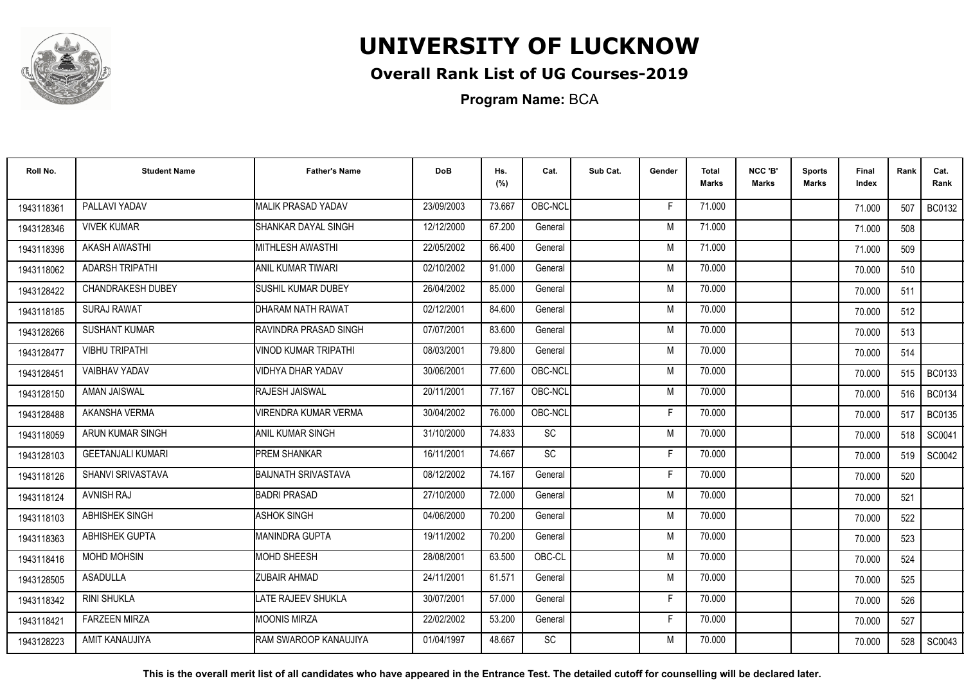

## **Overall Rank List of UG Courses-2019**

**Program Name:** BCA

| Roll No.   | <b>Student Name</b>      | <b>Father's Name</b>        | <b>DoB</b> | Hs.<br>(%) | Cat.      | Sub Cat. | Gender | Total<br><b>Marks</b> | NCC 'B'<br><b>Marks</b> | <b>Sports</b><br>Marks | Final<br>Index | Rank | Cat.<br>Rank  |
|------------|--------------------------|-----------------------------|------------|------------|-----------|----------|--------|-----------------------|-------------------------|------------------------|----------------|------|---------------|
| 1943118361 | PALLAVI YADAV            | <b>MALIK PRASAD YADAV</b>   | 23/09/2003 | 73.667     | OBC-NCL   |          | F      | 71.000                |                         |                        | 71.000         | 507  | <b>BC0132</b> |
| 1943128346 | <b>VIVEK KUMAR</b>       | SHANKAR DAYAL SINGH         | 12/12/2000 | 67.200     | General   |          | M      | 71.000                |                         |                        | 71.000         | 508  |               |
| 1943118396 | AKASH AWASTHI            | <b>MITHLESH AWASTHI</b>     | 22/05/2002 | 66.400     | General   |          | M      | 71.000                |                         |                        | 71.000         | 509  |               |
| 1943118062 | <b>ADARSH TRIPATHI</b>   | ANIL KUMAR TIWARI           | 02/10/2002 | 91.000     | General   |          | M      | 70.000                |                         |                        | 70.000         | 510  |               |
| 1943128422 | <b>CHANDRAKESH DUBEY</b> | <b>I</b> SUSHIL KUMAR DUBEY | 26/04/2002 | 85.000     | General   |          | M      | 70.000                |                         |                        | 70.000         | 511  |               |
| 1943118185 | <b>SURAJ RAWAT</b>       | DHARAM NATH RAWAT           | 02/12/2001 | 84.600     | General   |          | M      | 70.000                |                         |                        | 70.000         | 512  |               |
| 1943128266 | <b>SUSHANT KUMAR</b>     | RAVINDRA PRASAD SINGH       | 07/07/2001 | 83.600     | General   |          | M      | 70.000                |                         |                        | 70.000         | 513  |               |
| 1943128477 | <b>VIBHU TRIPATHI</b>    | <b>VINOD KUMAR TRIPATHI</b> | 08/03/2001 | 79.800     | General   |          | M      | 70.000                |                         |                        | 70.000         | 514  |               |
| 1943128451 | <b>VAIBHAV YADAV</b>     | <b>VIDHYA DHAR YADAV</b>    | 30/06/2001 | 77.600     | OBC-NCL   |          | M      | 70.000                |                         |                        | 70.000         | 515  | <b>BC0133</b> |
| 1943128150 | AMAN JAISWAL             | RAJESH JAISWAL              | 20/11/2001 | 77.167     | OBC-NCL   |          | M      | 70.000                |                         |                        | 70.000         | 516  | BC0134        |
| 1943128488 | AKANSHA VERMA            | <b>VIRENDRA KUMAR VERMA</b> | 30/04/2002 | 76.000     | OBC-NCL   |          | E      | 70.000                |                         |                        | 70.000         | 517  | <b>BC0135</b> |
| 1943118059 | ARUN KUMAR SINGH         | IANIL KUMAR SINGH           | 31/10/2000 | 74.833     | <b>SC</b> |          | M      | 70.000                |                         |                        | 70.000         | 518  | SC0041        |
| 1943128103 | <b>GEETANJALI KUMARI</b> | <b>PREM SHANKAR</b>         | 16/11/2001 | 74.667     | <b>SC</b> |          | Е      | 70.000                |                         |                        | 70.000         | 519  | SC0042        |
| 1943118126 | SHANVI SRIVASTAVA        | <b>BAIJNATH SRIVASTAVA</b>  | 08/12/2002 | 74.167     | General   |          | F      | 70.000                |                         |                        | 70.000         | 520  |               |
| 1943118124 | <b>AVNISH RAJ</b>        | <b>BADRI PRASAD</b>         | 27/10/2000 | 72.000     | General   |          | M      | 70.000                |                         |                        | 70.000         | 521  |               |
| 1943118103 | ABHISHEK SINGH           | <b>ASHOK SINGH</b>          | 04/06/2000 | 70.200     | General   |          | M      | 70.000                |                         |                        | 70.000         | 522  |               |
| 1943118363 | <b>ABHISHEK GUPTA</b>    | <b>MANINDRA GUPTA</b>       | 19/11/2002 | 70.200     | General   |          | M      | 70.000                |                         |                        | 70.000         | 523  |               |
| 1943118416 | MOHD MOHSIN              | <b>MOHD SHEESH</b>          | 28/08/2001 | 63.500     | OBC-CL    |          | M      | 70.000                |                         |                        | 70.000         | 524  |               |
| 1943128505 | <b>ASADULLA</b>          | <b>ZUBAIR AHMAD</b>         | 24/11/2001 | 61.571     | General   |          | M      | 70.000                |                         |                        | 70.000         | 525  |               |
| 1943118342 | <b>RINI SHUKLA</b>       | LATE RAJEEV SHUKLA          | 30/07/2001 | 57.000     | General   |          | F      | 70.000                |                         |                        | 70.000         | 526  |               |
| 1943118421 | <b>FARZEEN MIRZA</b>     | <b>MOONIS MIRZA</b>         | 22/02/2002 | 53.200     | General   |          | F.     | 70.000                |                         |                        | 70.000         | 527  |               |
| 1943128223 | AMIT KANAUJIYA           | IRAM SWAROOP KANAUJIYA      | 01/04/1997 | 48.667     | <b>SC</b> |          | M      | 70.000                |                         |                        | 70.000         | 528  | SC0043        |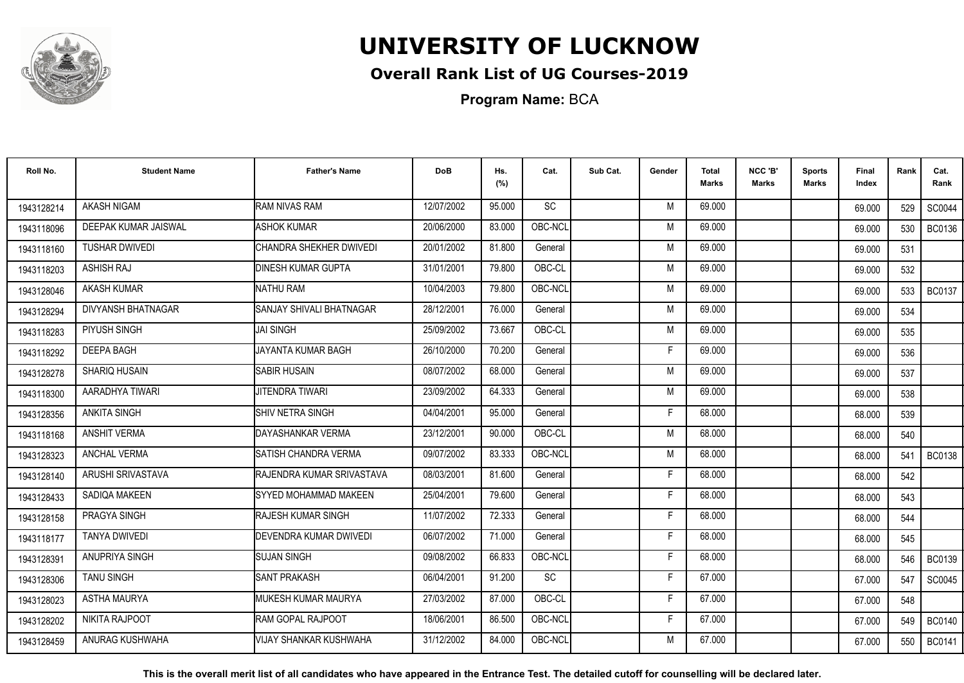

## **Overall Rank List of UG Courses-2019**

**Program Name:** BCA

| Roll No.   | <b>Student Name</b>       | <b>Father's Name</b>      | <b>DoB</b> | Hs.<br>(%) | Cat.      | Sub Cat. | Gender | Total<br><b>Marks</b> | NCC 'B'<br><b>Marks</b> | <b>Sports</b><br>Marks | Final<br>Index | Rank | Cat.<br>Rank  |
|------------|---------------------------|---------------------------|------------|------------|-----------|----------|--------|-----------------------|-------------------------|------------------------|----------------|------|---------------|
| 1943128214 | <b>AKASH NIGAM</b>        | <b>RAM NIVAS RAM</b>      | 12/07/2002 | 95.000     | <b>SC</b> |          | M      | 69.000                |                         |                        | 69.000         | 529  | SC0044        |
| 1943118096 | DEEPAK KUMAR JAISWAL      | <b>ASHOK KUMAR</b>        | 20/06/2000 | 83.000     | OBC-NCL   |          | M      | 69.000                |                         |                        | 69.000         | 530  | <b>BC0136</b> |
| 1943118160 | <b>TUSHAR DWIVEDI</b>     | CHANDRA SHEKHER DWIVEDI   | 20/01/2002 | 81.800     | General   |          | M      | 69.000                |                         |                        | 69.000         | 531  |               |
| 1943118203 | <b>ASHISH RAJ</b>         | <b>DINESH KUMAR GUPTA</b> | 31/01/2001 | 79.800     | OBC-CL    |          | M      | 69.000                |                         |                        | 69.000         | 532  |               |
| 1943128046 | <b>AKASH KUMAR</b>        | <b>NATHU RAM</b>          | 10/04/2003 | 79.800     | OBC-NCL   |          | M      | 69.000                |                         |                        | 69.000         | 533  | <b>BC0137</b> |
| 1943128294 | <b>DIVYANSH BHATNAGAR</b> | ISANJAY SHIVALI BHATNAGAR | 28/12/2001 | 76.000     | General   |          | M      | 69.000                |                         |                        | 69.000         | 534  |               |
| 1943118283 | PIYUSH SINGH              | <b>JAI SINGH</b>          | 25/09/2002 | 73.667     | OBC-CL    |          | M      | 69.000                |                         |                        | 69.000         | 535  |               |
| 1943118292 | <b>DEEPA BAGH</b>         | JAYANTA KUMAR BAGH        | 26/10/2000 | 70.200     | General   |          | F      | 69.000                |                         |                        | 69.000         | 536  |               |
| 1943128278 | SHARIQ HUSAIN             | <b>SABIR HUSAIN</b>       | 08/07/2002 | 68.000     | General   |          | M      | 69.000                |                         |                        | 69.000         | 537  |               |
| 1943118300 | AARADHYA TIWARI           | <b>JITENDRA TIWARI</b>    | 23/09/2002 | 64.333     | General   |          | M      | 69.000                |                         |                        | 69.000         | 538  |               |
| 1943128356 | <b>ANKITA SINGH</b>       | SHIV NETRA SINGH          | 04/04/2001 | 95.000     | General   |          | E      | 68.000                |                         |                        | 68.000         | 539  |               |
| 1943118168 | <b>ANSHIT VERMA</b>       | DAYASHANKAR VERMA         | 23/12/2001 | 90.000     | OBC-CL    |          | M      | 68.000                |                         |                        | 68.000         | 540  |               |
| 1943128323 | <b>ANCHAL VERMA</b>       | ISATISH CHANDRA VERMA     | 09/07/2002 | 83.333     | OBC-NCL   |          | M      | 68.000                |                         |                        | 68.000         | 541  | <b>BC0138</b> |
| 1943128140 | ARUSHI SRIVASTAVA         | RAJENDRA KUMAR SRIVASTAVA | 08/03/2001 | 81.600     | General   |          | F      | 68.000                |                         |                        | 68.000         | 542  |               |
| 1943128433 | SADIQA MAKEEN             | ISYYED MOHAMMAD MAKEEN    | 25/04/2001 | 79.600     | General   |          | F      | 68.000                |                         |                        | 68.000         | 543  |               |
| 1943128158 | PRAGYA SINGH              | <b>RAJESH KUMAR SINGH</b> | 11/07/2002 | 72.333     | General   |          | F      | 68.000                |                         |                        | 68.000         | 544  |               |
| 1943118177 | <b>TANYA DWIVEDI</b>      | DEVENDRA KUMAR DWIVEDI    | 06/07/2002 | 71.000     | General   |          | F      | 68.000                |                         |                        | 68.000         | 545  |               |
| 1943128391 | ANUPRIYA SINGH            | <b>SUJAN SINGH</b>        | 09/08/2002 | 66.833     | OBC-NCL   |          | F      | 68.000                |                         |                        | 68.000         | 546  | <b>BC0139</b> |
| 1943128306 | <b>TANU SINGH</b>         | <b>SANT PRAKASH</b>       | 06/04/2001 | 91.200     | SC        |          | F      | 67.000                |                         |                        | 67.000         | 547  | SC0045        |
| 1943128023 | <b>ASTHA MAURYA</b>       | MUKESH KUMAR MAURYA       | 27/03/2002 | 87.000     | OBC-CL    |          | F      | 67.000                |                         |                        | 67.000         | 548  |               |
| 1943128202 | NIKITA RAJPOOT            | RAM GOPAL RAJPOOT         | 18/06/2001 | 86.500     | OBC-NCL   |          | F.     | 67.000                |                         |                        | 67.000         | 549  | <b>BC0140</b> |
| 1943128459 | ANURAG KUSHWAHA           | VIJAY SHANKAR KUSHWAHA    | 31/12/2002 | 84.000     | OBC-NCL   |          | M      | 67.000                |                         |                        | 67.000         | 550  | <b>BC0141</b> |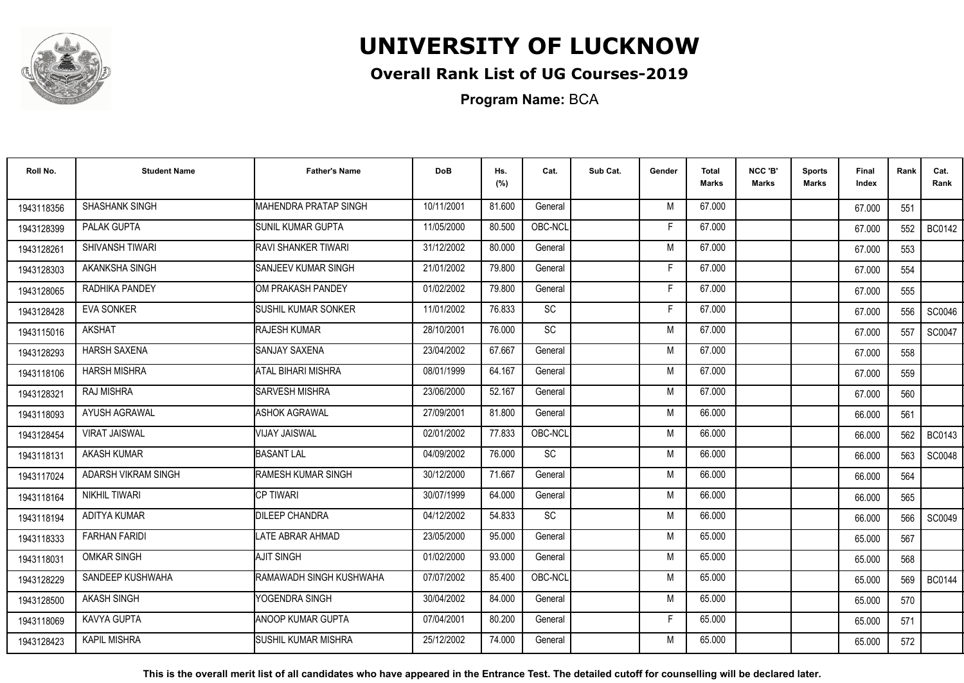

## **Overall Rank List of UG Courses-2019**

**Program Name:** BCA

| Roll No.   | <b>Student Name</b>  | <b>Father's Name</b>         | <b>DoB</b> | Hs.<br>(%) | Cat.      | Sub Cat. | Gender | Total<br><b>Marks</b> | NCC 'B'<br><b>Marks</b> | <b>Sports</b><br>Marks | Final<br>Index | Rank | Cat.<br>Rank  |
|------------|----------------------|------------------------------|------------|------------|-----------|----------|--------|-----------------------|-------------------------|------------------------|----------------|------|---------------|
| 1943118356 | SHASHANK SINGH       | MAHENDRA PRATAP SINGH        | 10/11/2001 | 81.600     | General   |          | M      | 67.000                |                         |                        | 67.000         | 551  |               |
| 1943128399 | PALAK GUPTA          | <b>SUNIL KUMAR GUPTA</b>     | 11/05/2000 | 80.500     | OBC-NCL   |          | Е      | 67.000                |                         |                        | 67.000         | 552  | <b>BC0142</b> |
| 1943128261 | SHIVANSH TIWARI      | <b>RAVI SHANKER TIWARI</b>   | 31/12/2002 | 80.000     | General   |          | M      | 67.000                |                         |                        | 67.000         | 553  |               |
| 1943128303 | AKANKSHA SINGH       | <b>I</b> SANJEEV KUMAR SINGH | 21/01/2002 | 79.800     | General   |          |        | 67.000                |                         |                        | 67.000         | 554  |               |
| 1943128065 | RADHIKA PANDEY       | <b>IOM PRAKASH PANDEY</b>    | 01/02/2002 | 79.800     | General   |          | F      | 67.000                |                         |                        | 67.000         | 555  |               |
| 1943128428 | <b>EVA SONKER</b>    | <b>SUSHIL KUMAR SONKER</b>   | 11/01/2002 | 76.833     | SC        |          | F      | 67.000                |                         |                        | 67.000         | 556  | SC0046        |
| 1943115016 | <b>AKSHAT</b>        | <b>RAJESH KUMAR</b>          | 28/10/2001 | 76.000     | SC        |          | M      | 67.000                |                         |                        | 67.000         | 557  | SC0047        |
| 1943128293 | <b>HARSH SAXENA</b>  | <b>SANJAY SAXENA</b>         | 23/04/2002 | 67.667     | General   |          | M      | 67.000                |                         |                        | 67.000         | 558  |               |
| 1943118106 | <b>HARSH MISHRA</b>  | ATAL BIHARI MISHRA           | 08/01/1999 | 64.167     | General   |          | M      | 67.000                |                         |                        | 67.000         | 559  |               |
| 1943128321 | RAJ MISHRA           | <b>SARVESH MISHRA</b>        | 23/06/2000 | 52.167     | General   |          | M      | 67.000                |                         |                        | 67.000         | 560  |               |
| 1943118093 | AYUSH AGRAWAL        | <b>ASHOK AGRAWAL</b>         | 27/09/2001 | 81.800     | General   |          | M      | 66.000                |                         |                        | 66.000         | 561  |               |
| 1943128454 | <b>VIRAT JAISWAL</b> | <b>VIJAY JAISWAL</b>         | 02/01/2002 | 77.833     | OBC-NCL   |          | M      | 66.000                |                         |                        | 66.000         | 562  | <b>BC0143</b> |
| 1943118131 | <b>AKASH KUMAR</b>   | <b>BASANT LAL</b>            | 04/09/2002 | 76.000     | <b>SC</b> |          | M      | 66.000                |                         |                        | 66.000         | 563  | <b>SC0048</b> |
| 1943117024 | ADARSH VIKRAM SINGH  | <b>RAMESH KUMAR SINGH</b>    | 30/12/2000 | 71.667     | General   |          | M      | 66.000                |                         |                        | 66.000         | 564  |               |
| 1943118164 | <b>NIKHIL TIWARI</b> | <b>CP TIWARI</b>             | 30/07/1999 | 64.000     | General   |          | M      | 66.000                |                         |                        | 66.000         | 565  |               |
| 1943118194 | <b>ADITYA KUMAR</b>  | <b>DILEEP CHANDRA</b>        | 04/12/2002 | 54.833     | SC        |          | M      | 66.000                |                         |                        | 66.000         | 566  | SC0049        |
| 1943118333 | <b>FARHAN FARIDI</b> | <b>LATE ABRAR AHMAD</b>      | 23/05/2000 | 95.000     | General   |          | M      | 65.000                |                         |                        | 65.000         | 567  |               |
| 1943118031 | <b>OMKAR SINGH</b>   | <b>AJIT SINGH</b>            | 01/02/2000 | 93.000     | General   |          | M      | 65.000                |                         |                        | 65.000         | 568  |               |
| 1943128229 | SANDEEP KUSHWAHA     | RAMAWADH SINGH KUSHWAHA      | 07/07/2002 | 85.400     | OBC-NCL   |          | M      | 65.000                |                         |                        | 65.000         | 569  | <b>BC0144</b> |
| 1943128500 | <b>AKASH SINGH</b>   | YOGENDRA SINGH               | 30/04/2002 | 84.000     | General   |          | M      | 65.000                |                         |                        | 65.000         | 570  |               |
| 1943118069 | KAVYA GUPTA          | <b>ANOOP KUMAR GUPTA</b>     | 07/04/2001 | 80.200     | General   |          | F      | 65.000                |                         |                        | 65.000         | 571  |               |
| 1943128423 | <b>KAPIL MISHRA</b>  | İSUSHIL KUMAR MISHRA         | 25/12/2002 | 74.000     | General   |          | M      | 65.000                |                         |                        | 65.000         | 572  |               |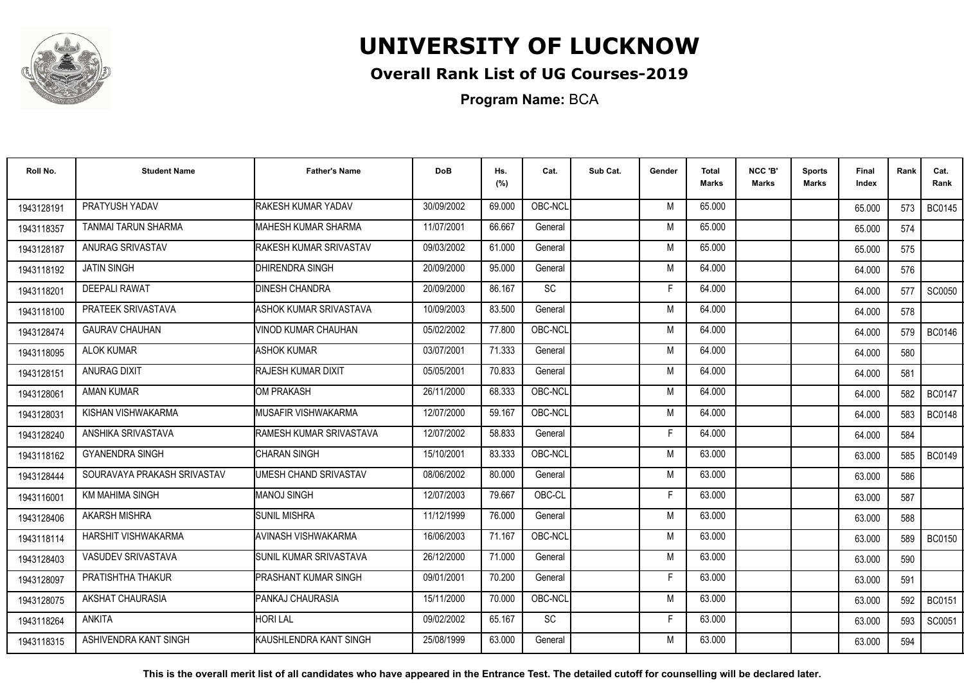

## **Overall Rank List of UG Courses-2019**

**Program Name:** BCA

| Roll No.   | <b>Student Name</b>         | <b>Father's Name</b>          | <b>DoB</b> | Hs.<br>(%) | Cat.    | Sub Cat. | Gender | <b>Total</b><br><b>Marks</b> | NCC 'B'<br><b>Marks</b> | <b>Sports</b><br>Marks | Final<br>Index | Rank | Cat.<br>Rank  |
|------------|-----------------------------|-------------------------------|------------|------------|---------|----------|--------|------------------------------|-------------------------|------------------------|----------------|------|---------------|
| 1943128191 | PRATYUSH YADAV              | <b>RAKESH KUMAR YADAV</b>     | 30/09/2002 | 69.000     | OBC-NCL |          | M      | 65.000                       |                         |                        | 65.000         | 573  | <b>BC0145</b> |
| 1943118357 | <b>TANMAI TARUN SHARMA</b>  | <b>MAHESH KUMAR SHARMA</b>    | 11/07/2001 | 66.667     | General |          | M      | 65.000                       |                         |                        | 65.000         | 574  |               |
| 1943128187 | ANURAG SRIVASTAV            | RAKESH KUMAR SRIVASTAV        | 09/03/2002 | 61.000     | General |          | M      | 65.000                       |                         |                        | 65.000         | 575  |               |
| 1943118192 | <b>JATIN SINGH</b>          | <b>DHIRENDRA SINGH</b>        | 20/09/2000 | 95.000     | General |          | M      | 64.000                       |                         |                        | 64.000         | 576  |               |
| 1943118201 | <b>DEEPALI RAWAT</b>        | <b>DINESH CHANDRA</b>         | 20/09/2000 | 86.167     | SC      |          | F      | 64.000                       |                         |                        | 64.000         | 577  | <b>SC0050</b> |
| 1943118100 | PRATEEK SRIVASTAVA          | <b>ASHOK KUMAR SRIVASTAVA</b> | 10/09/2003 | 83.500     | General |          | M      | 64.000                       |                         |                        | 64.000         | 578  |               |
| 1943128474 | <b>GAURAV CHAUHAN</b>       | <b>VINOD KUMAR CHAUHAN</b>    | 05/02/2002 | 77.800     | OBC-NCL |          | M      | 64.000                       |                         |                        | 64.000         | 579  | <b>BC0146</b> |
| 1943118095 | <b>ALOK KUMAR</b>           | <b>ASHOK KUMAR</b>            | 03/07/2001 | 71.333     | General |          | M      | 64.000                       |                         |                        | 64.000         | 580  |               |
| 1943128151 | ANURAG DIXIT                | RAJESH KUMAR DIXIT            | 05/05/2001 | 70.833     | General |          | M      | 64.000                       |                         |                        | 64.000         | 581  |               |
| 1943128061 | <b>AMAN KUMAR</b>           | OM PRAKASH                    | 26/11/2000 | 68.333     | OBC-NCL |          | M      | 64.000                       |                         |                        | 64.000         | 582  | <b>BC0147</b> |
| 1943128031 | KISHAN VISHWAKARMA          | MUSAFIR VISHWAKARMA           | 12/07/2000 | 59.167     | OBC-NCL |          | M      | 64.000                       |                         |                        | 64.000         | 583  | <b>BC0148</b> |
| 1943128240 | ANSHIKA SRIVASTAVA          | RAMESH KUMAR SRIVASTAVA       | 12/07/2002 | 58.833     | General |          |        | 64.000                       |                         |                        | 64.000         | 584  |               |
| 1943118162 | <b>GYANENDRA SINGH</b>      | <b>CHARAN SINGH</b>           | 15/10/2001 | 83.333     | OBC-NCL |          | M      | 63.000                       |                         |                        | 63.000         | 585  | <b>BC0149</b> |
| 1943128444 | SOURAVAYA PRAKASH SRIVASTAV | UMESH CHAND SRIVASTAV         | 08/06/2002 | 80.000     | General |          | M      | 63.000                       |                         |                        | 63.000         | 586  |               |
| 1943116001 | <b>KM MAHIMA SINGH</b>      | <b>MANOJ SINGH</b>            | 12/07/2003 | 79.667     | OBC-CL  |          | Е      | 63.000                       |                         |                        | 63.000         | 587  |               |
| 1943128406 | <b>AKARSH MISHRA</b>        | <b>SUNIL MISHRA</b>           | 11/12/1999 | 76.000     | General |          | M      | 63.000                       |                         |                        | 63.000         | 588  |               |
| 1943118114 | <b>HARSHIT VISHWAKARMA</b>  | AVINASH VISHWAKARMA           | 16/06/2003 | 71.167     | OBC-NCL |          | M      | 63.000                       |                         |                        | 63.000         | 589  | <b>BC0150</b> |
| 1943128403 | <b>VASUDEV SRIVASTAVA</b>   | SUNIL KUMAR SRIVASTAVA        | 26/12/2000 | 71.000     | General |          | M      | 63.000                       |                         |                        | 63.000         | 590  |               |
| 1943128097 | PRATISHTHA THAKUR           | PRASHANT KUMAR SINGH          | 09/01/2001 | 70.200     | General |          | F      | 63.000                       |                         |                        | 63.000         | 591  |               |
| 1943128075 | AKSHAT CHAURASIA            | <b>PANKAJ CHAURASIA</b>       | 15/11/2000 | 70.000     | OBC-NCL |          | M      | 63.000                       |                         |                        | 63.000         | 592  | <b>BC0151</b> |
| 1943118264 | ANKITA                      | HORI LAL                      | 09/02/2002 | 65.167     | SC      |          | Е      | 63.000                       |                         |                        | 63.000         | 593  | SC0051        |
| 1943118315 | ASHIVENDRA KANT SINGH       | İKAUSHLENDRA KANT SINGH       | 25/08/1999 | 63.000     | General |          | м      | 63.000                       |                         |                        | 63.000         | 594  |               |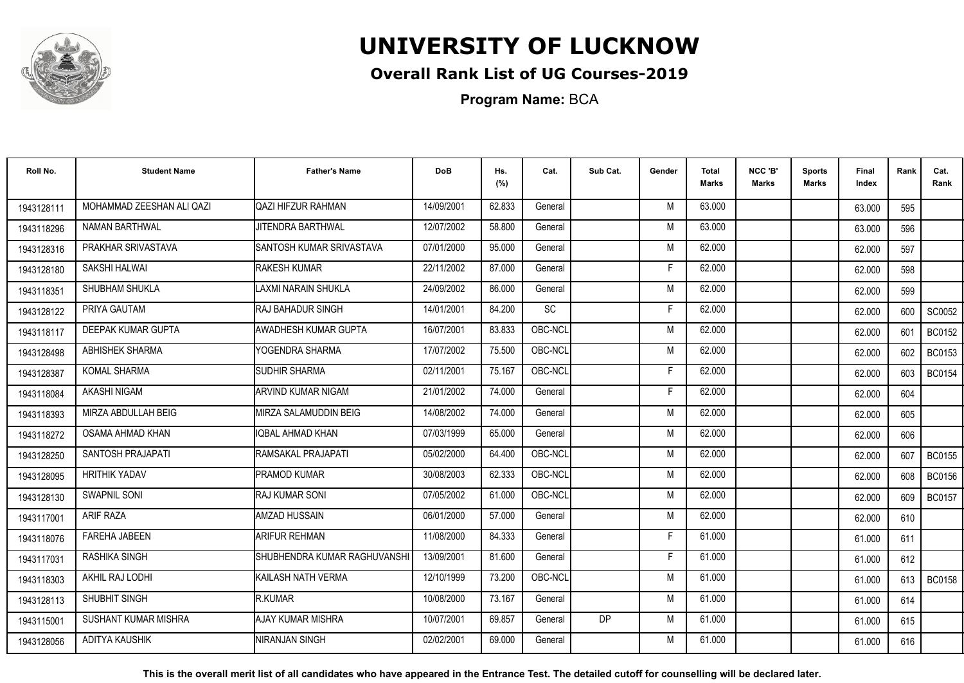

## **Overall Rank List of UG Courses-2019**

**Program Name:** BCA

| Roll No.   | <b>Student Name</b>       | <b>Father's Name</b>         | <b>DoB</b> | Hs.<br>(%) | Cat.    | Sub Cat. | Gender | <b>Total</b><br><b>Marks</b> | NCC 'B'<br><b>Marks</b> | <b>Sports</b><br>Marks | Final<br>Index | Rank | Cat.<br>Rank  |
|------------|---------------------------|------------------------------|------------|------------|---------|----------|--------|------------------------------|-------------------------|------------------------|----------------|------|---------------|
| 1943128111 | MOHAMMAD ZEESHAN ALI QAZI | QAZI HIFZUR RAHMAN           | 14/09/2001 | 62.833     | General |          | M      | 63.000                       |                         |                        | 63.000         | 595  |               |
| 1943118296 | <b>NAMAN BARTHWAL</b>     | JITENDRA BARTHWAL            | 12/07/2002 | 58.800     | General |          | M      | 63.000                       |                         |                        | 63.000         | 596  |               |
| 1943128316 | PRAKHAR SRIVASTAVA        | ISANTOSH KUMAR SRIVASTAVA    | 07/01/2000 | 95.000     | General |          | M      | 62.000                       |                         |                        | 62.000         | 597  |               |
| 1943128180 | SAKSHI HALWAI             | <b>RAKESH KUMAR</b>          | 22/11/2002 | 87.000     | General |          | Е      | 62.000                       |                         |                        | 62.000         | 598  |               |
| 1943118351 | SHUBHAM SHUKLA            | LAXMI NARAIN SHUKLA          | 24/09/2002 | 86.000     | General |          | M      | 62.000                       |                         |                        | 62.000         | 599  |               |
| 1943128122 | PRIYA GAUTAM              | RAJ BAHADUR SINGH            | 14/01/2001 | 84.200     | SC      |          | F      | 62.000                       |                         |                        | 62.000         | 600  | SC0052        |
| 1943118117 | DEEPAK KUMAR GUPTA        | AWADHESH KUMAR GUPTA         | 16/07/2001 | 83.833     | OBC-NCL |          | M      | 62.000                       |                         |                        | 62.000         | 601  | <b>BC0152</b> |
| 1943128498 | ABHISHEK SHARMA           | YOGENDRA SHARMA              | 17/07/2002 | 75.500     | OBC-NCL |          | M      | 62.000                       |                         |                        | 62.000         | 602  | <b>BC0153</b> |
| 1943128387 | <b>KOMAL SHARMA</b>       | <b>SUDHIR SHARMA</b>         | 02/11/2001 | 75.167     | OBC-NCL |          | F      | 62.000                       |                         |                        | 62.000         | 603  | <b>BC0154</b> |
| 1943118084 | AKASHI NIGAM              | ARVIND KUMAR NIGAM           | 21/01/2002 | 74.000     | General |          | F      | 62.000                       |                         |                        | 62.000         | 604  |               |
| 1943118393 | MIRZA ABDULLAH BEIG       | MIRZA SALAMUDDIN BEIG        | 14/08/2002 | 74.000     | General |          | M      | 62.000                       |                         |                        | 62.000         | 605  |               |
| 1943118272 | OSAMA AHMAD KHAN          | IOBAL AHMAD KHAN             | 07/03/1999 | 65.000     | General |          | M      | 62.000                       |                         |                        | 62.000         | 606  |               |
| 1943128250 | SANTOSH PRAJAPATI         | RAMSAKAL PRAJAPATI           | 05/02/2000 | 64.400     | OBC-NCL |          | M      | 62.000                       |                         |                        | 62.000         | 607  | <b>BC0155</b> |
| 1943128095 | <b>HRITHIK YADAV</b>      | <b>PRAMOD KUMAR</b>          | 30/08/2003 | 62.333     | OBC-NCL |          | M      | 62.000                       |                         |                        | 62.000         | 608  | <b>BC0156</b> |
| 1943128130 | <b>SWAPNIL SONI</b>       | <b>RAJ KUMAR SONI</b>        | 07/05/2002 | 61.000     | OBC-NCL |          | M      | 62.000                       |                         |                        | 62.000         | 609  | <b>BC0157</b> |
| 1943117001 | <b>ARIF RAZA</b>          | AMZAD HUSSAIN                | 06/01/2000 | 57.000     | General |          | M      | 62.000                       |                         |                        | 62.000         | 610  |               |
| 1943118076 | <b>FAREHA JABEEN</b>      | <b>ARIFUR REHMAN</b>         | 11/08/2000 | 84.333     | General |          | F      | 61.000                       |                         |                        | 61.000         | 611  |               |
| 1943117031 | RASHIKA SINGH             | SHUBHENDRA KUMAR RAGHUVANSHI | 13/09/2001 | 81.600     | General |          | F      | 61.000                       |                         |                        | 61.000         | 612  |               |
| 1943118303 | AKHIL RAJ LODHI           | KAILASH NATH VERMA           | 12/10/1999 | 73.200     | OBC-NCL |          | M      | 61.000                       |                         |                        | 61.000         | 613  | <b>BC0158</b> |
| 1943128113 | SHUBHIT SINGH             | R.KUMAR                      | 10/08/2000 | 73.167     | General |          | M      | 61.000                       |                         |                        | 61.000         | 614  |               |
| 1943115001 | SUSHANT KUMAR MISHRA      | AJAY KUMAR MISHRA            | 10/07/2001 | 69.857     | General | DP       | M      | 61.000                       |                         |                        | 61.000         | 615  |               |
| 1943128056 | ADITYA KAUSHIK            | <b>NIRANJAN SINGH</b>        | 02/02/2001 | 69.000     | General |          | M      | 61.000                       |                         |                        | 61.000         | 616  |               |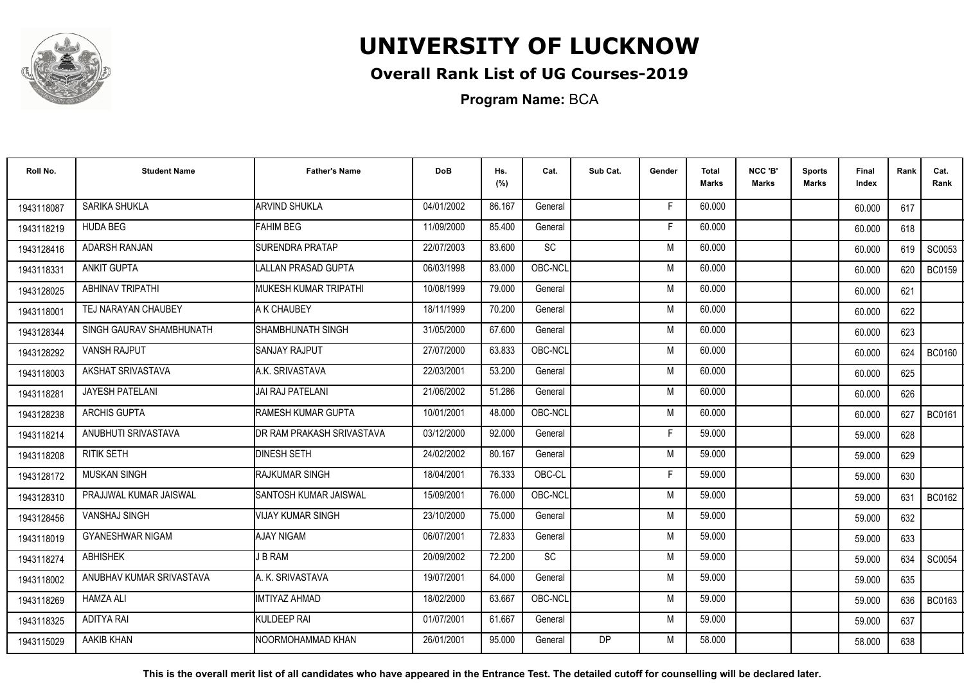

## **Overall Rank List of UG Courses-2019**

**Program Name:** BCA

| Roll No.   | <b>Student Name</b>      | <b>Father's Name</b>       | <b>DoB</b> | Hs.<br>(%) | Cat.      | Sub Cat.  | Gender | Total<br>Marks | NCC 'B'<br><b>Marks</b> | Sports<br><b>Marks</b> | Final<br>Index | Rank | Cat.<br>Rank  |
|------------|--------------------------|----------------------------|------------|------------|-----------|-----------|--------|----------------|-------------------------|------------------------|----------------|------|---------------|
| 1943118087 | SARIKA SHUKLA            | <b>ARVIND SHUKLA</b>       | 04/01/2002 | 86.167     | General   |           | F.     | 60.000         |                         |                        | 60.000         | 617  |               |
| 1943118219 | <b>HUDA BEG</b>          | <b>FAHIM BEG</b>           | 11/09/2000 | 85.400     | General   |           | Е      | 60.000         |                         |                        | 60.000         | 618  |               |
| 1943128416 | <b>ADARSH RANJAN</b>     | <b>SURENDRA PRATAP</b>     | 22/07/2003 | 83.600     | <b>SC</b> |           | M      | 60.000         |                         |                        | 60.000         | 619  | SC0053        |
| 1943118331 | <b>ANKIT GUPTA</b>       | <b>LALLAN PRASAD GUPTA</b> | 06/03/1998 | 83.000     | OBC-NCL   |           | M      | 60.000         |                         |                        | 60.000         | 620  | <b>BC0159</b> |
| 1943128025 | <b>ABHINAV TRIPATHI</b>  | IMUKESH KUMAR TRIPATHI     | 10/08/1999 | 79.000     | General   |           | M      | 60.000         |                         |                        | 60.000         | 621  |               |
| 1943118001 | TEJ NARAYAN CHAUBEY      | A K CHAUBEY                | 18/11/1999 | 70.200     | General   |           | M      | 60.000         |                         |                        | 60.000         | 622  |               |
| 1943128344 | SINGH GAURAV SHAMBHUNATH | SHAMBHUNATH SINGH          | 31/05/2000 | 67.600     | General   |           | M      | 60.000         |                         |                        | 60.000         | 623  |               |
| 1943128292 | <b>VANSH RAJPUT</b>      | <b>SANJAY RAJPUT</b>       | 27/07/2000 | 63.833     | OBC-NCL   |           | M      | 60.000         |                         |                        | 60.000         | 624  | <b>BC0160</b> |
| 1943118003 | AKSHAT SRIVASTAVA        | A.K. SRIVASTAVA            | 22/03/2001 | 53.200     | General   |           | M      | 60.000         |                         |                        | 60.000         | 625  |               |
| 1943118281 | JAYESH PATELANI          | JAI RAJ PATELANI           | 21/06/2002 | 51.286     | General   |           | M      | 60.000         |                         |                        | 60.000         | 626  |               |
| 1943128238 | <b>ARCHIS GUPTA</b>      | <b>RAMESH KUMAR GUPTA</b>  | 10/01/2001 | 48.000     | OBC-NCL   |           | M      | 60.000         |                         |                        | 60.000         | 627  | <b>BC0161</b> |
| 1943118214 | ANUBHUTI SRIVASTAVA      | DR RAM PRAKASH SRIVASTAVA  | 03/12/2000 | 92.000     | General   |           | E      | 59.000         |                         |                        | 59.000         | 628  |               |
| 1943118208 | <b>RITIK SETH</b>        | <b>DINESH SETH</b>         | 24/02/2002 | 80.167     | General   |           | M      | 59.000         |                         |                        | 59.000         | 629  |               |
| 1943128172 | <b>MUSKAN SINGH</b>      | <b>IRAJKUMAR SINGH</b>     | 18/04/2001 | 76.333     | OBC-CL    |           | F      | 59.000         |                         |                        | 59.000         | 630  |               |
| 1943128310 | PRAJJWAL KUMAR JAISWAL   | ISANTOSH KUMAR JAISWAL     | 15/09/2001 | 76.000     | OBC-NCL   |           | M      | 59.000         |                         |                        | 59.000         | 631  | BC0162        |
| 1943128456 | <b>VANSHAJ SINGH</b>     | <b>VIJAY KUMAR SINGH</b>   | 23/10/2000 | 75.000     | General   |           | M      | 59.000         |                         |                        | 59.000         | 632  |               |
| 1943118019 | <b>GYANESHWAR NIGAM</b>  | <b>AJAY NIGAM</b>          | 06/07/2001 | 72.833     | General   |           | M      | 59.000         |                         |                        | 59.000         | 633  |               |
| 1943118274 | <b>ABHISHEK</b>          | J B RAM                    | 20/09/2002 | 72.200     | SC        |           | M      | 59.000         |                         |                        | 59.000         | 634  | SC0054        |
| 1943118002 | ANUBHAV KUMAR SRIVASTAVA | A. K. SRIVASTAVA           | 19/07/2001 | 64.000     | General   |           | M      | 59.000         |                         |                        | 59.000         | 635  |               |
| 1943118269 | <b>HAMZA ALI</b>         | <b>IMTIYAZ AHMAD</b>       | 18/02/2000 | 63.667     | OBC-NCL   |           | M      | 59.000         |                         |                        | 59.000         | 636  | <b>BC0163</b> |
| 1943118325 | <b>ADITYA RAI</b>        | KULDEEP RAI                | 01/07/2001 | 61.667     | General   |           | M      | 59.000         |                         |                        | 59.000         | 637  |               |
| 1943115029 | <b>AAKIB KHAN</b>        | NOORMOHAMMAD KHAN          | 26/01/2001 | 95.000     | General   | <b>DP</b> | M      | 58.000         |                         |                        | 58.000         | 638  |               |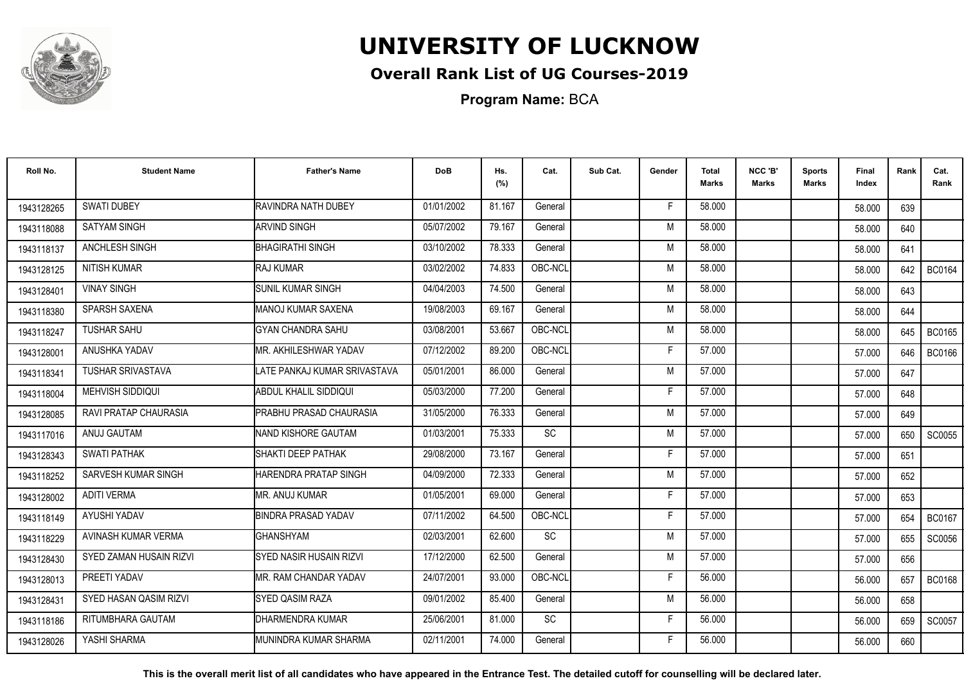

## **Overall Rank List of UG Courses-2019**

**Program Name:** BCA

| Roll No.   | <b>Student Name</b>     | <b>Father's Name</b>           | <b>DoB</b> | Hs.<br>(%) | Cat.      | Sub Cat. | Gender | Total<br><b>Marks</b> | NCC 'B'<br><b>Marks</b> | <b>Sports</b><br><b>Marks</b> | Final<br>Index | Rank | Cat.<br>Rank  |
|------------|-------------------------|--------------------------------|------------|------------|-----------|----------|--------|-----------------------|-------------------------|-------------------------------|----------------|------|---------------|
| 1943128265 | <b>SWATI DUBEY</b>      | RAVINDRA NATH DUBEY            | 01/01/2002 | 81.167     | General   |          | F.     | 58.000                |                         |                               | 58.000         | 639  |               |
| 1943118088 | <b>SATYAM SINGH</b>     | <b>ARVIND SINGH</b>            | 05/07/2002 | 79.167     | General   |          | M      | 58.000                |                         |                               | 58.000         | 640  |               |
| 1943118137 | <b>ANCHLESH SINGH</b>   | <b>BHAGIRATHI SINGH</b>        | 03/10/2002 | 78.333     | General   |          | M      | 58.000                |                         |                               | 58.000         | 641  |               |
| 1943128125 | <b>NITISH KUMAR</b>     | RAJ KUMAR                      | 03/02/2002 | 74.833     | OBC-NCL   |          | M      | 58.000                |                         |                               | 58.000         | 642  | <b>BC0164</b> |
| 1943128401 | <b>VINAY SINGH</b>      | SUNIL KUMAR SINGH              | 04/04/2003 | 74.500     | General   |          | M      | 58.000                |                         |                               | 58.000         | 643  |               |
| 1943118380 | SPARSH SAXENA           | MANOJ KUMAR SAXENA             | 19/08/2003 | 69.167     | General   |          | M      | 58.000                |                         |                               | 58.000         | 644  |               |
| 1943118247 | <b>TUSHAR SAHU</b>      | <b>GYAN CHANDRA SAHU</b>       | 03/08/2001 | 53.667     | OBC-NCL   |          | M      | 58.000                |                         |                               | 58.000         | 645  | <b>BC0165</b> |
| 1943128001 | ANUSHKA YADAV           | MR. AKHILESHWAR YADAV          | 07/12/2002 | 89.200     | OBC-NCL   |          | F      | 57.000                |                         |                               | 57.000         | 646  | <b>BC0166</b> |
| 1943118341 | TUSHAR SRIVASTAVA       | LATE PANKAJ KUMAR SRIVASTAVA   | 05/01/2001 | 86.000     | General   |          | M      | 57.000                |                         |                               | 57.000         | 647  |               |
| 1943118004 | MEHVISH SIDDIQUI        | <b>ABDUL KHALIL SIDDIQUI</b>   | 05/03/2000 | 77.200     | General   |          | E      | 57.000                |                         |                               | 57.000         | 648  |               |
| 1943128085 | RAVI PRATAP CHAURASIA   | PRABHU PRASAD CHAURASIA        | 31/05/2000 | 76.333     | General   |          | M      | 57.000                |                         |                               | 57.000         | 649  |               |
| 1943117016 | ANUJ GAUTAM             | <b>NAND KISHORE GAUTAM</b>     | 01/03/2001 | 75.333     | SC        |          | M      | 57.000                |                         |                               | 57.000         | 650  | SC0055        |
| 1943128343 | <b>SWATI PATHAK</b>     | SHAKTI DEEP PATHAK             | 29/08/2000 | 73.167     | General   |          | Е      | 57.000                |                         |                               | 57.000         | 651  |               |
| 1943118252 | SARVESH KUMAR SINGH     | HARENDRA PRATAP SINGH          | 04/09/2000 | 72.333     | General   |          | M      | 57.000                |                         |                               | 57.000         | 652  |               |
| 1943128002 | <b>ADITI VERMA</b>      | MR. ANUJ KUMAR                 | 01/05/2001 | 69.000     | General   |          | F      | 57.000                |                         |                               | 57.000         | 653  |               |
| 1943118149 | AYUSHI YADAV            | BINDRA PRASAD YADAV            | 07/11/2002 | 64.500     | OBC-NCL   |          | F      | 57.000                |                         |                               | 57.000         | 654  | <b>BC0167</b> |
| 1943118229 | AVINASH KUMAR VERMA     | <b>GHANSHYAM</b>               | 02/03/2001 | 62.600     | SC        |          | M      | 57.000                |                         |                               | 57.000         | 655  | SC0056        |
| 1943128430 | SYED ZAMAN HUSAIN RIZVI | <b>SYED NASIR HUSAIN RIZVI</b> | 17/12/2000 | 62.500     | General   |          | M      | 57.000                |                         |                               | 57.000         | 656  |               |
| 1943128013 | PREETI YADAV            | MR. RAM CHANDAR YADAV          | 24/07/2001 | 93.000     | OBC-NCL   |          | F      | 56.000                |                         |                               | 56.000         | 657  | <b>BC0168</b> |
| 1943128431 | SYED HASAN QASIM RIZVI  | <b>SYED QASIM RAZA</b>         | 09/01/2002 | 85.400     | General   |          | M      | 56.000                |                         |                               | 56.000         | 658  |               |
| 1943118186 | RITUMBHARA GAUTAM       | DHARMENDRA KUMAR               | 25/06/2001 | 81.000     | <b>SC</b> |          | F      | 56.000                |                         |                               | 56.000         | 659  | SC0057        |
| 1943128026 | YASHI SHARMA            | IMUNINDRA KUMAR SHARMA         | 02/11/2001 | 74.000     | General   |          | F      | 56.000                |                         |                               | 56.000         | 660  |               |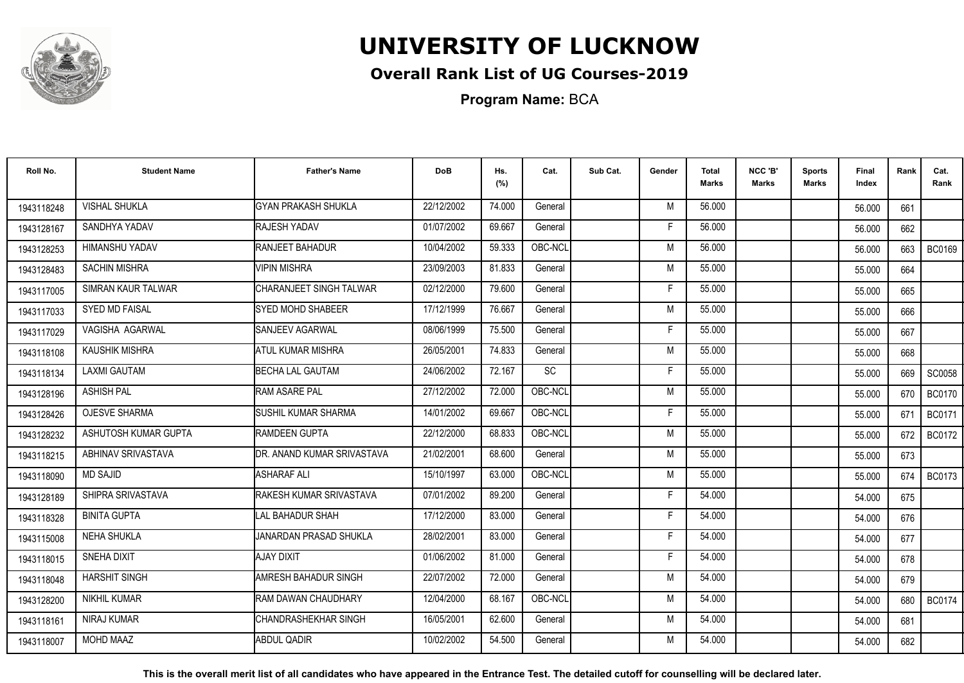

## **Overall Rank List of UG Courses-2019**

**Program Name:** BCA

| Roll No.   | <b>Student Name</b>       | <b>Father's Name</b>            | <b>DoB</b> | Hs.<br>(%) | Cat.      | Sub Cat. | Gender | <b>Total</b><br><b>Marks</b> | NCC 'B'<br><b>Marks</b> | <b>Sports</b><br>Marks | Final<br>Index | Rank | Cat.<br>Rank  |
|------------|---------------------------|---------------------------------|------------|------------|-----------|----------|--------|------------------------------|-------------------------|------------------------|----------------|------|---------------|
| 1943118248 | <b>VISHAL SHUKLA</b>      | <b>GYAN PRAKASH SHUKLA</b>      | 22/12/2002 | 74.000     | General   |          | M      | 56.000                       |                         |                        | 56.000         | 661  |               |
| 1943128167 | SANDHYA YADAV             | RAJESH YADAV                    | 01/07/2002 | 69.667     | General   |          | Е      | 56.000                       |                         |                        | 56.000         | 662  |               |
| 1943128253 | HIMANSHU YADAV            | <b>RANJEET BAHADUR</b>          | 10/04/2002 | 59.333     | OBC-NCL   |          | M      | 56.000                       |                         |                        | 56.000         | 663  | <b>BC0169</b> |
| 1943128483 | <b>SACHIN MISHRA</b>      | <b>VIPIN MISHRA</b>             | 23/09/2003 | 81.833     | General   |          | M      | 55.000                       |                         |                        | 55.000         | 664  |               |
| 1943117005 | <b>SIMRAN KAUR TALWAR</b> | CHARANJEET SINGH TALWAR         | 02/12/2000 | 79.600     | General   |          | F      | 55.000                       |                         |                        | 55.000         | 665  |               |
| 1943117033 | <b>SYED MD FAISAL</b>     | <b>SYED MOHD SHABEER</b>        | 17/12/1999 | 76.667     | General   |          | M      | 55.000                       |                         |                        | 55.000         | 666  |               |
| 1943117029 | VAGISHA AGARWAL           | SANJEEV AGARWAL                 | 08/06/1999 | 75.500     | General   |          | F      | 55.000                       |                         |                        | 55.000         | 667  |               |
| 1943118108 | <b>KAUSHIK MISHRA</b>     | <b>ATUL KUMAR MISHRA</b>        | 26/05/2001 | 74.833     | General   |          | M      | 55.000                       |                         |                        | 55.000         | 668  |               |
| 1943118134 | <b>LAXMI GAUTAM</b>       | <b>BECHA LAL GAUTAM</b>         | 24/06/2002 | 72.167     | <b>SC</b> |          | F      | 55.000                       |                         |                        | 55.000         | 669  | SC0058        |
| 1943128196 | <b>ASHISH PAL</b>         | <b>RAM ASARE PAL</b>            | 27/12/2002 | 72.000     | OBC-NCL   |          | M      | 55.000                       |                         |                        | 55.000         | 670  | <b>BC0170</b> |
| 1943128426 | <b>OJESVE SHARMA</b>      | <b>SUSHIL KUMAR SHARMA</b>      | 14/01/2002 | 69.667     | OBC-NCL   |          | F      | 55.000                       |                         |                        | 55.000         | 671  | <b>BC0171</b> |
| 1943128232 | ASHUTOSH KUMAR GUPTA      | <b>RAMDEEN GUPTA</b>            | 22/12/2000 | 68.833     | OBC-NCL   |          | M      | 55.000                       |                         |                        | 55.000         | 672  | <b>BC0172</b> |
| 1943118215 | <b>ABHINAV SRIVASTAVA</b> | DR. ANAND KUMAR SRIVASTAVA      | 21/02/2001 | 68.600     | General   |          | M      | 55.000                       |                         |                        | 55.000         | 673  |               |
| 1943118090 | <b>MD SAJID</b>           | <b>ASHARAF ALI</b>              | 15/10/1997 | 63.000     | OBC-NCL   |          | M      | 55.000                       |                         |                        | 55.000         | 674  | <b>BC0173</b> |
| 1943128189 | SHIPRA SRIVASTAVA         | <b>IRAKESH KUMAR SRIVASTAVA</b> | 07/01/2002 | 89.200     | General   |          | F      | 54.000                       |                         |                        | 54.000         | 675  |               |
| 1943118328 | <b>BINITA GUPTA</b>       | <b>LAL BAHADUR SHAH</b>         | 17/12/2000 | 83.000     | General   |          | F      | 54.000                       |                         |                        | 54.000         | 676  |               |
| 1943115008 | <b>NEHA SHUKLA</b>        | JANARDAN PRASAD SHUKLA          | 28/02/2001 | 83.000     | General   |          | F      | 54.000                       |                         |                        | 54.000         | 677  |               |
| 1943118015 | <b>SNEHA DIXIT</b>        | <b>AJAY DIXIT</b>               | 01/06/2002 | 81.000     | General   |          | F      | 54.000                       |                         |                        | 54.000         | 678  |               |
| 1943118048 | <b>HARSHIT SINGH</b>      | AMRESH BAHADUR SINGH            | 22/07/2002 | 72.000     | General   |          | M      | 54.000                       |                         |                        | 54.000         | 679  |               |
| 1943128200 | <b>NIKHIL KUMAR</b>       | RAM DAWAN CHAUDHARY             | 12/04/2000 | 68.167     | OBC-NCL   |          | M      | 54.000                       |                         |                        | 54.000         | 680  | <b>BC0174</b> |
| 1943118161 | NIRAJ KUMAR               | ICHANDRASHEKHAR SINGH           | 16/05/2001 | 62.600     | General   |          | M      | 54.000                       |                         |                        | 54.000         | 681  |               |
| 1943118007 | <b>MOHD MAAZ</b>          | <b>ABDUL QADIR</b>              | 10/02/2002 | 54.500     | General   |          | M      | 54.000                       |                         |                        | 54.000         | 682  |               |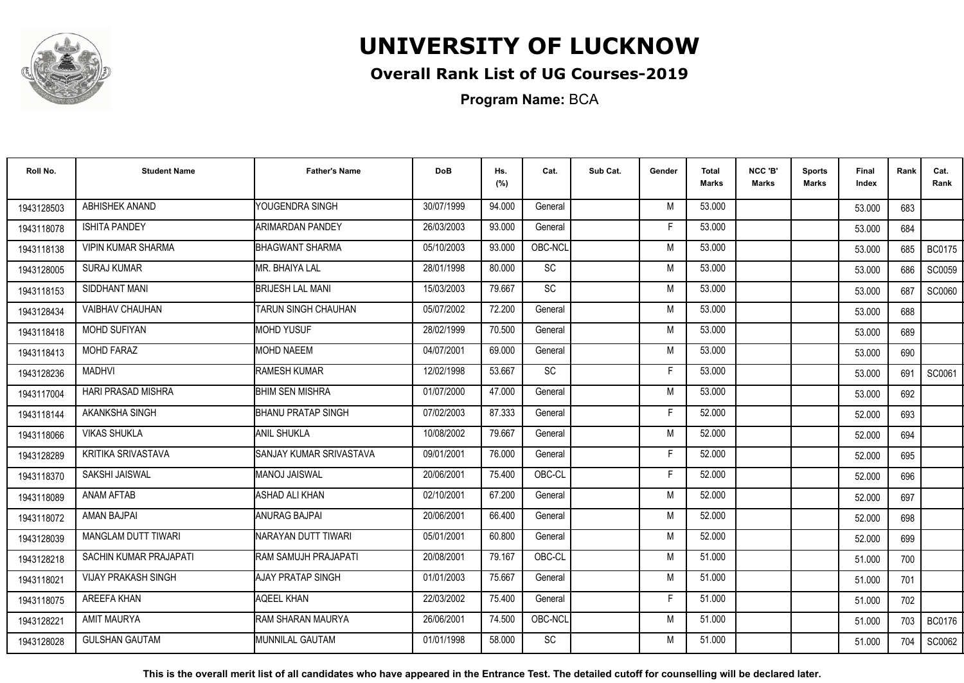

## **Overall Rank List of UG Courses-2019**

**Program Name:** BCA

| Roll No.   | <b>Student Name</b>        | <b>Father's Name</b>      | <b>DoB</b> | Hs.<br>(%) | Cat.      | Sub Cat. | Gender | Total<br><b>Marks</b> | NCC 'B'<br><b>Marks</b> | <b>Sports</b><br>Marks | Final<br>Index | Rank  | Cat.<br>Rank  |
|------------|----------------------------|---------------------------|------------|------------|-----------|----------|--------|-----------------------|-------------------------|------------------------|----------------|-------|---------------|
| 1943128503 | ABHISHEK ANAND             | YOUGENDRA SINGH           | 30/07/1999 | 94.000     | General   |          | M      | 53.000                |                         |                        | 53.000         | 683   |               |
| 1943118078 | <b>ISHITA PANDEY</b>       | ARIMARDAN PANDEY          | 26/03/2003 | 93.000     | General   |          | Е      | 53.000                |                         |                        | 53.000         | 684   |               |
| 1943118138 | <b>VIPIN KUMAR SHARMA</b>  | <b>BHAGWANT SHARMA</b>    | 05/10/2003 | 93.000     | OBC-NCL   |          | M      | 53.000                |                         |                        | 53.000         | 685   | <b>BC0175</b> |
| 1943128005 | <b>SURAJ KUMAR</b>         | <b>I</b> MR. BHAIYA LAL   | 28/01/1998 | 80.000     | SC        |          | M      | 53.000                |                         |                        | 53.000         | 686   | SC0059        |
| 1943118153 | SIDDHANT MANI              | <b>BRIJESH LAL MANI</b>   | 15/03/2003 | 79.667     | <b>SC</b> |          | M      | 53.000                |                         |                        | 53.000         | 687   | <b>SC0060</b> |
| 1943128434 | <b>VAIBHAV CHAUHAN</b>     | ITARUN SINGH CHAUHAN      | 05/07/2002 | 72.200     | General   |          | M      | 53.000                |                         |                        | 53.000         | 688   |               |
| 1943118418 | <b>MOHD SUFIYAN</b>        | <b>MOHD YUSUF</b>         | 28/02/1999 | 70.500     | General   |          | M      | 53.000                |                         |                        | 53.000         | 689   |               |
| 1943118413 | <b>MOHD FARAZ</b>          | <b>MOHD NAEEM</b>         | 04/07/2001 | 69.000     | General   |          | M      | 53.000                |                         |                        | 53.000         | 690   |               |
| 1943128236 | <b>MADHVI</b>              | RAMESH KUMAR              | 12/02/1998 | 53.667     | <b>SC</b> |          | F      | 53.000                |                         |                        | 53.000         | 691   | SC0061        |
| 1943117004 | HARI PRASAD MISHRA         | <b>BHIM SEN MISHRA</b>    | 01/07/2000 | 47.000     | General   |          | M      | 53.000                |                         |                        | 53.000         | 692   |               |
| 1943118144 | AKANKSHA SINGH             | <b>BHANU PRATAP SINGH</b> | 07/02/2003 | 87.333     | General   |          | E      | 52.000                |                         |                        | 52.000         | 693   |               |
| 1943118066 | <b>VIKAS SHUKLA</b>        | <b>ANIL SHUKLA</b>        | 10/08/2002 | 79.667     | General   |          | M      | 52.000                |                         |                        | 52.000         | 694   |               |
| 1943128289 | KRITIKA SRIVASTAVA         | SANJAY KUMAR SRIVASTAVA   | 09/01/2001 | 76.000     | General   |          | Е      | 52.000                |                         |                        | 52.000         | 695   |               |
| 1943118370 | <b>SAKSHI JAISWAL</b>      | <b>MANOJ JAISWAL</b>      | 20/06/2001 | 75.400     | OBC-CL    |          | F.     | 52.000                |                         |                        | 52.000         | 696   |               |
| 1943118089 | <b>ANAM AFTAB</b>          | <b>ASHAD ALI KHAN</b>     | 02/10/2001 | 67.200     | General   |          | M      | 52.000                |                         |                        | 52.000         | 697   |               |
| 1943118072 | AMAN BAJPAI                | <b>ANURAG BAJPAI</b>      | 20/06/2001 | 66.400     | General   |          | M      | 52.000                |                         |                        | 52.000         | 698   |               |
| 1943128039 | MANGLAM DUTT TIWARI        | NARAYAN DUTT TIWARI       | 05/01/2001 | 60.800     | General   |          | M      | 52.000                |                         |                        | 52.000         | 699   |               |
| 1943128218 | SACHIN KUMAR PRAJAPATI     | RAM SAMUJH PRAJAPATI      | 20/08/2001 | 79.167     | OBC-CL    |          | M      | 51.000                |                         |                        | 51.000         | 700   |               |
| 1943118021 | <b>VIJAY PRAKASH SINGH</b> | AJAY PRATAP SINGH         | 01/01/2003 | 75.667     | General   |          | M      | 51.000                |                         |                        | 51.000         | 701   |               |
| 1943118075 | <b>AREEFA KHAN</b>         | <b>AQEEL KHAN</b>         | 22/03/2002 | 75.400     | General   |          | F      | 51.000                |                         |                        | 51.000         | 702   |               |
| 1943128221 | AMIT MAURYA                | RAM SHARAN MAURYA         | 26/06/2001 | 74.500     | OBC-NCL   |          | M      | 51.000                |                         |                        | 51.000         | 703 I | <b>BC0176</b> |
| 1943128028 | <b>GULSHAN GAUTAM</b>      | <b>I</b> MUNNILAL GAUTAM  | 01/01/1998 | 58.000     | SC        |          | M      | 51.000                |                         |                        | 51.000         | 704   | SC0062        |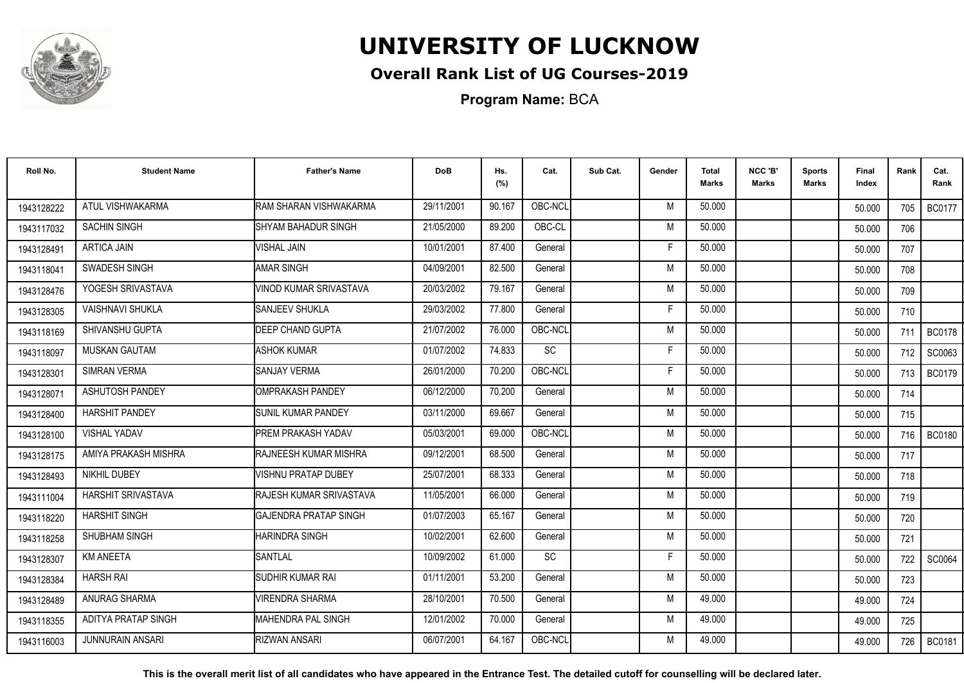

## **Overall Rank List of UG Courses-2019**

**Program Name:** BCA

| Roll No.   | <b>Student Name</b>     | <b>Father's Name</b>          | <b>DoB</b> | Hs.<br>(%) | Cat.      | Sub Cat. | Gender | <b>Total</b><br><b>Marks</b> | NCC 'B'<br><b>Marks</b> | <b>Sports</b><br>Marks | Final<br>Index | Rank  | Cat.<br>Rank  |
|------------|-------------------------|-------------------------------|------------|------------|-----------|----------|--------|------------------------------|-------------------------|------------------------|----------------|-------|---------------|
| 1943128222 | ATUL VISHWAKARMA        | RAM SHARAN VISHWAKARMA        | 29/11/2001 | 90.167     | OBC-NCL   |          | M      | 50.000                       |                         |                        | 50.000         | 705   | <b>BC0177</b> |
| 1943117032 | <b>SACHIN SINGH</b>     | ISHYAM BAHADUR SINGH          | 21/05/2000 | 89.200     | OBC-CL    |          | M      | 50.000                       |                         |                        | 50.000         | 706   |               |
| 1943128491 | <b>ARTICA JAIN</b>      | <b>VISHAL JAIN</b>            | 10/01/2001 | 87.400     | General   |          | F      | 50.000                       |                         |                        | 50.000         | 707   |               |
| 1943118041 | SWADESH SINGH           | <b>AMAR SINGH</b>             | 04/09/2001 | 82.500     | General   |          | M      | 50.000                       |                         |                        | 50.000         | 708   |               |
| 1943128476 | YOGESH SRIVASTAVA       | VINOD KUMAR SRIVASTAVA        | 20/03/2002 | 79.167     | General   |          | M      | 50.000                       |                         |                        | 50.000         | 709   |               |
| 1943128305 | <b>VAISHNAVI SHUKLA</b> | SANJEEV SHUKLA                | 29/03/2002 | 77.800     | General   |          | Е      | 50.000                       |                         |                        | 50.000         | 710   |               |
| 1943118169 | SHIVANSHU GUPTA         | <b>DEEP CHAND GUPTA</b>       | 21/07/2002 | 76.000     | OBC-NCL   |          | M      | 50.000                       |                         |                        | 50.000         | 711   | <b>BC0178</b> |
| 1943118097 | <b>MUSKAN GAUTAM</b>    | <b>ASHOK KUMAR</b>            | 01/07/2002 | 74.833     | <b>SC</b> |          | F      | 50.000                       |                         |                        | 50.000         | 712   | SC0063        |
| 1943128301 | <b>SIMRAN VERMA</b>     | <b>SANJAY VERMA</b>           | 26/01/2000 | 70.200     | OBC-NCL   |          | E      | 50.000                       |                         |                        | 50.000         | 713 I | <b>BC0179</b> |
| 1943128071 | ASHUTOSH PANDEY         | OMPRAKASH PANDEY              | 06/12/2000 | 70.200     | General   |          | M      | 50.000                       |                         |                        | 50.000         | 714   |               |
| 1943128400 | <b>HARSHIT PANDEY</b>   | <b>SUNIL KUMAR PANDEY</b>     | 03/11/2000 | 69.667     | General   |          | M      | 50.000                       |                         |                        | 50.000         | 715   |               |
| 1943128100 | <b>VISHAL YADAV</b>     | <b>PREM PRAKASH YADAV</b>     | 05/03/2001 | 69.000     | OBC-NCL   |          | M      | 50.000                       |                         |                        | 50.000         | 716   | <b>BC0180</b> |
| 1943128175 | AMIYA PRAKASH MISHRA    | <b>IRAJNEESH KUMAR MISHRA</b> | 09/12/2001 | 68.500     | General   |          | M      | 50.000                       |                         |                        | 50.000         | 717   |               |
| 1943128493 | NIKHIL DUBEY            | <b>VISHNU PRATAP DUBEY</b>    | 25/07/2001 | 68.333     | General   |          | M      | 50.000                       |                         |                        | 50.000         | 718   |               |
| 1943111004 | HARSHIT SRIVASTAVA      | RAJESH KUMAR SRIVASTAVA       | 11/05/2001 | 66.000     | General   |          | M      | 50.000                       |                         |                        | 50.000         | 719   |               |
| 1943118220 | <b>HARSHIT SINGH</b>    | <b>GAJENDRA PRATAP SINGH</b>  | 01/07/2003 | 65.167     | General   |          | M      | 50.000                       |                         |                        | 50.000         | 720   |               |
| 1943118258 | SHUBHAM SINGH           | <b>HARINDRA SINGH</b>         | 10/02/2001 | 62.600     | General   |          | M      | 50.000                       |                         |                        | 50.000         | 721   |               |
| 1943128307 | <b>KM ANEETA</b>        | <b>SANTLAL</b>                | 10/09/2002 | 61.000     | SC        |          | F      | 50.000                       |                         |                        | 50.000         | 722   | SC0064        |
| 1943128384 | <b>HARSH RAI</b>        | SUDHIR KUMAR RAI              | 01/11/2001 | 53.200     | General   |          | M      | 50.000                       |                         |                        | 50.000         | 723   |               |
| 1943128489 | ANURAG SHARMA           | <b>VIRENDRA SHARMA</b>        | 28/10/2001 | 70.500     | General   |          | M      | 49.000                       |                         |                        | 49.000         | 724   |               |
| 1943118355 | ADITYA PRATAP SINGH     | IMAHENDRA PAL SINGH           | 12/01/2002 | 70.000     | General   |          | M      | 49.000                       |                         |                        | 49.000         | 725   |               |
| 1943116003 | <b>JUNNURAIN ANSARI</b> | <b>RIZWAN ANSARI</b>          | 06/07/2001 | 64.167     | OBC-NCL   |          | M      | 49.000                       |                         |                        | 49.000         | 726   | <b>BC0181</b> |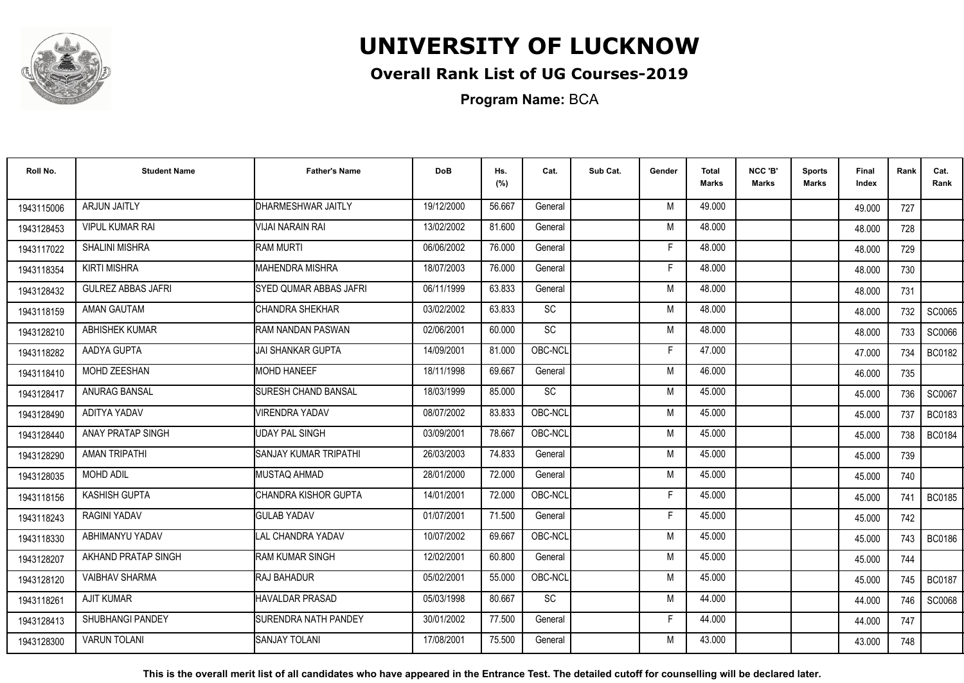

## **Overall Rank List of UG Courses-2019**

**Program Name:** BCA

| Roll No.   | <b>Student Name</b>       | <b>Father's Name</b>           | <b>DoB</b> | Hs.<br>(%) | Cat.      | Sub Cat. | Gender | Total<br>Marks | NCC 'B'<br><b>Marks</b> | Sports<br><b>Marks</b> | Final<br>Index | Rank  | Cat.<br>Rank  |
|------------|---------------------------|--------------------------------|------------|------------|-----------|----------|--------|----------------|-------------------------|------------------------|----------------|-------|---------------|
| 1943115006 | <b>ARJUN JAITLY</b>       | DHARMESHWAR JAITLY             | 19/12/2000 | 56.667     | General   |          | M      | 49.000         |                         |                        | 49.000         | 727   |               |
| 1943128453 | <b>VIPUL KUMAR RAI</b>    | VIJAI NARAIN RAI               | 13/02/2002 | 81.600     | General   |          | M      | 48.000         |                         |                        | 48.000         | 728   |               |
| 1943117022 | <b>SHALINI MISHRA</b>     | <b>RAM MURTI</b>               | 06/06/2002 | 76.000     | General   |          | E      | 48.000         |                         |                        | 48.000         | 729   |               |
| 1943118354 | <b>KIRTI MISHRA</b>       | <b>MAHENDRA MISHRA</b>         | 18/07/2003 | 76.000     | General   |          | F      | 48.000         |                         |                        | 48.000         | 730   |               |
| 1943128432 | <b>GULREZ ABBAS JAFRI</b> | <b>ISYED QUMAR ABBAS JAFRI</b> | 06/11/1999 | 63.833     | General   |          | M      | 48.000         |                         |                        | 48.000         | 731   |               |
| 1943118159 | <b>AMAN GAUTAM</b>        | ICHANDRA SHEKHAR               | 03/02/2002 | 63.833     | SC        |          | M      | 48.000         |                         |                        | 48.000         | 732   | SC0065        |
| 1943128210 | <b>ABHISHEK KUMAR</b>     | RAM NANDAN PASWAN              | 02/06/2001 | 60.000     | SC        |          | M      | 48.000         |                         |                        | 48.000         | 733   | SC0066        |
| 1943118282 | AADYA GUPTA               | JAI SHANKAR GUPTA              | 14/09/2001 | 81.000     | OBC-NCL   |          | F      | 47.000         |                         |                        | 47.000         | 734   | <b>BC0182</b> |
| 1943118410 | MOHD ZEESHAN              | <b>MOHD HANEEF</b>             | 18/11/1998 | 69.667     | General   |          | M      | 46.000         |                         |                        | 46.000         | 735   |               |
| 1943128417 | ANURAG BANSAL             | <b>SURESH CHAND BANSAL</b>     | 18/03/1999 | 85.000     | SC        |          | M      | 45.000         |                         |                        | 45.000         | 736   | SC0067        |
| 1943128490 | ADITYA YADAV              | <b>VIRENDRA YADAV</b>          | 08/07/2002 | 83.833     | OBC-NCL   |          | M      | 45.000         |                         |                        | 45.000         | 737   | <b>BC0183</b> |
| 1943128440 | ANAY PRATAP SINGH         | <b>UDAY PAL SINGH</b>          | 03/09/2001 | 78.667     | OBC-NCL   |          | M      | 45.000         |                         |                        | 45.000         | 738   | <b>BC0184</b> |
| 1943128290 | <b>AMAN TRIPATHI</b>      | <b>SANJAY KUMAR TRIPATHI</b>   | 26/03/2003 | 74.833     | General   |          | M      | 45.000         |                         |                        | 45.000         | 739   |               |
| 1943128035 | <b>MOHD ADIL</b>          | MUSTAQ AHMAD                   | 28/01/2000 | 72.000     | General   |          | M      | 45.000         |                         |                        | 45.000         | 740   |               |
| 1943118156 | KASHISH GUPTA             | ICHANDRA KISHOR GUPTA          | 14/01/2001 | 72.000     | OBC-NCL   |          | F      | 45.000         |                         |                        | 45.000         | 741   | <b>BC0185</b> |
| 1943118243 | <b>RAGINI YADAV</b>       | <b>GULAB YADAV</b>             | 01/07/2001 | 71.500     | General   |          | F      | 45.000         |                         |                        | 45.000         | 742   |               |
| 1943118330 | ABHIMANYU YADAV           | <b>LAL CHANDRA YADAV</b>       | 10/07/2002 | 69.667     | OBC-NCL   |          | M      | 45.000         |                         |                        | 45.000         | 743 I | <b>BC0186</b> |
| 1943128207 | AKHAND PRATAP SINGH       | <b>IRAM KUMAR SINGH</b>        | 12/02/2001 | 60.800     | General   |          | M      | 45.000         |                         |                        | 45.000         | 744   |               |
| 1943128120 | <b>VAIBHAV SHARMA</b>     | <b>RAJ BAHADUR</b>             | 05/02/2001 | 55.000     | OBC-NCL   |          | M      | 45.000         |                         |                        | 45.000         | 745   | <b>BC0187</b> |
| 1943118261 | <b>AJIT KUMAR</b>         | <b>HAVALDAR PRASAD</b>         | 05/03/1998 | 80.667     | <b>SC</b> |          | M      | 44.000         |                         |                        | 44.000         | 746   | SC0068        |
| 1943128413 | <b>SHUBHANGI PANDEY</b>   | <b>ISURENDRA NATH PANDEY</b>   | 30/01/2002 | 77.500     | General   |          | F.     | 44.000         |                         |                        | 44.000         | 747   |               |
| 1943128300 | <b>VARUN TOLANI</b>       | <b>SANJAY TOLANI</b>           | 17/08/2001 | 75.500     | General   |          | M      | 43.000         |                         |                        | 43.000         | 748   |               |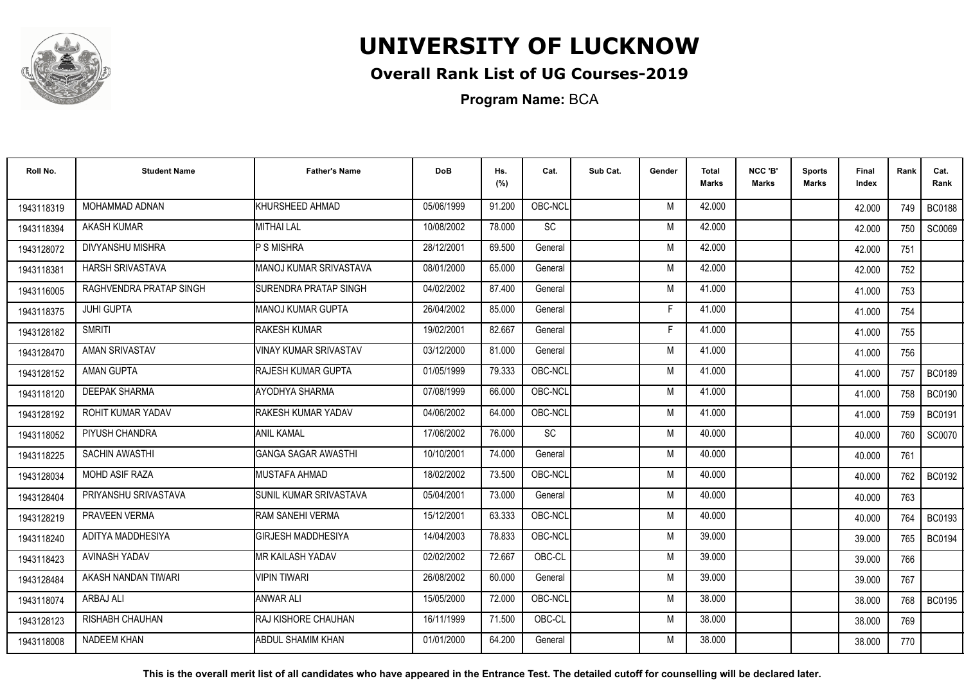

## **Overall Rank List of UG Courses-2019**

**Program Name:** BCA

| Roll No.   | <b>Student Name</b>     | <b>Father's Name</b>          | <b>DoB</b> | Hs.<br>(%) | Cat.    | Sub Cat. | Gender | Total<br>Marks | NCC 'B'<br><b>Marks</b> | Sports<br><b>Marks</b> | Final<br>Index | Rank | Cat.<br>Rank  |
|------------|-------------------------|-------------------------------|------------|------------|---------|----------|--------|----------------|-------------------------|------------------------|----------------|------|---------------|
| 1943118319 | MOHAMMAD ADNAN          | KHURSHEED AHMAD               | 05/06/1999 | 91.200     | OBC-NCL |          | M      | 42.000         |                         |                        | 42.000         | 749  | <b>BC0188</b> |
| 1943118394 | <b>AKASH KUMAR</b>      | <b>MITHAI LAL</b>             | 10/08/2002 | 78.000     | SC      |          | M      | 42.000         |                         |                        | 42.000         | 750  | SC0069        |
| 1943128072 | DIVYANSHU MISHRA        | <b>P S MISHRA</b>             | 28/12/2001 | 69.500     | General |          | M      | 42.000         |                         |                        | 42.000         | 751  |               |
| 1943118381 | <b>HARSH SRIVASTAVA</b> | MANOJ KUMAR SRIVASTAVA        | 08/01/2000 | 65.000     | General |          | M      | 42.000         |                         |                        | 42.000         | 752  |               |
| 1943116005 | RAGHVENDRA PRATAP SINGH | <b>ISURENDRA PRATAP SINGH</b> | 04/02/2002 | 87.400     | General |          | M      | 41.000         |                         |                        | 41.000         | 753  |               |
| 1943118375 | <b>JUHI GUPTA</b>       | IMANOJ KUMAR GUPTA            | 26/04/2002 | 85.000     | General |          | F      | 41.000         |                         |                        | 41.000         | 754  |               |
| 1943128182 | <b>SMRITI</b>           | <b>RAKESH KUMAR</b>           | 19/02/2001 | 82.667     | General |          | F      | 41.000         |                         |                        | 41.000         | 755  |               |
| 1943128470 | AMAN SRIVASTAV          | <b>VINAY KUMAR SRIVASTAV</b>  | 03/12/2000 | 81.000     | General |          | M      | 41.000         |                         |                        | 41.000         | 756  |               |
| 1943128152 | AMAN GUPTA              | <b>RAJESH KUMAR GUPTA</b>     | 01/05/1999 | 79.333     | OBC-NCL |          | M      | 41.000         |                         |                        | 41.000         | 757  | <b>BC0189</b> |
| 1943118120 | <b>DEEPAK SHARMA</b>    | AYODHYA SHARMA                | 07/08/1999 | 66.000     | OBC-NCL |          | M      | 41.000         |                         |                        | 41.000         | 758  | <b>BC0190</b> |
| 1943128192 | ROHIT KUMAR YADAV       | RAKESH KUMAR YADAV            | 04/06/2002 | 64.000     | OBC-NCL |          | M      | 41.000         |                         |                        | 41.000         | 759  | <b>BC0191</b> |
| 1943118052 | PIYUSH CHANDRA          | <b>ANIL KAMAL</b>             | 17/06/2002 | 76.000     | SC      |          | M      | 40.000         |                         |                        | 40.000         | 760  | <b>SC0070</b> |
| 1943118225 | SACHIN AWASTHI          | <b>GANGA SAGAR AWASTHI</b>    | 10/10/2001 | 74.000     | General |          | M      | 40.000         |                         |                        | 40.000         | 761  |               |
| 1943128034 | <b>MOHD ASIF RAZA</b>   | MUSTAFA AHMAD                 | 18/02/2002 | 73.500     | OBC-NCL |          | M      | 40.000         |                         |                        | 40.000         | 762  | <b>BC0192</b> |
| 1943128404 | PRIYANSHU SRIVASTAVA    | <b>SUNIL KUMAR SRIVASTAVA</b> | 05/04/2001 | 73.000     | General |          | M      | 40.000         |                         |                        | 40.000         | 763  |               |
| 1943128219 | PRAVEEN VERMA           | RAM SANEHI VERMA              | 15/12/2001 | 63.333     | OBC-NCL |          | M      | 40.000         |                         |                        | 40.000         | 764  | <b>BC0193</b> |
| 1943118240 | ADITYA MADDHESIYA       | <b>GIRJESH MADDHESIYA</b>     | 14/04/2003 | 78.833     | OBC-NCL |          | M      | 39.000         |                         |                        | 39.000         | 765  | <b>BC0194</b> |
| 1943118423 | <b>AVINASH YADAV</b>    | IMR KAILASH YADAV             | 02/02/2002 | 72.667     | OBC-CL  |          | M      | 39.000         |                         |                        | 39.000         | 766  |               |
| 1943128484 | AKASH NANDAN TIWARI     | <b>VIPIN TIWARI</b>           | 26/08/2002 | 60.000     | General |          | M      | 39.000         |                         |                        | 39.000         | 767  |               |
| 1943118074 | ARBAJ ALI               | <b>ANWAR ALI</b>              | 15/05/2000 | 72.000     | OBC-NCL |          | M      | 38.000         |                         |                        | 38.000         | 768  | <b>BC0195</b> |
| 1943128123 | <b>RISHABH CHAUHAN</b>  | <b>IRAJ KISHORE CHAUHAN</b>   | 16/11/1999 | 71.500     | OBC-CL  |          | M      | 38.000         |                         |                        | 38.000         | 769  |               |
| 1943118008 | NADEEM KHAN             | <b>ABDUL SHAMIM KHAN</b>      | 01/01/2000 | 64.200     | General |          | M      | 38.000         |                         |                        | 38.000         | 770  |               |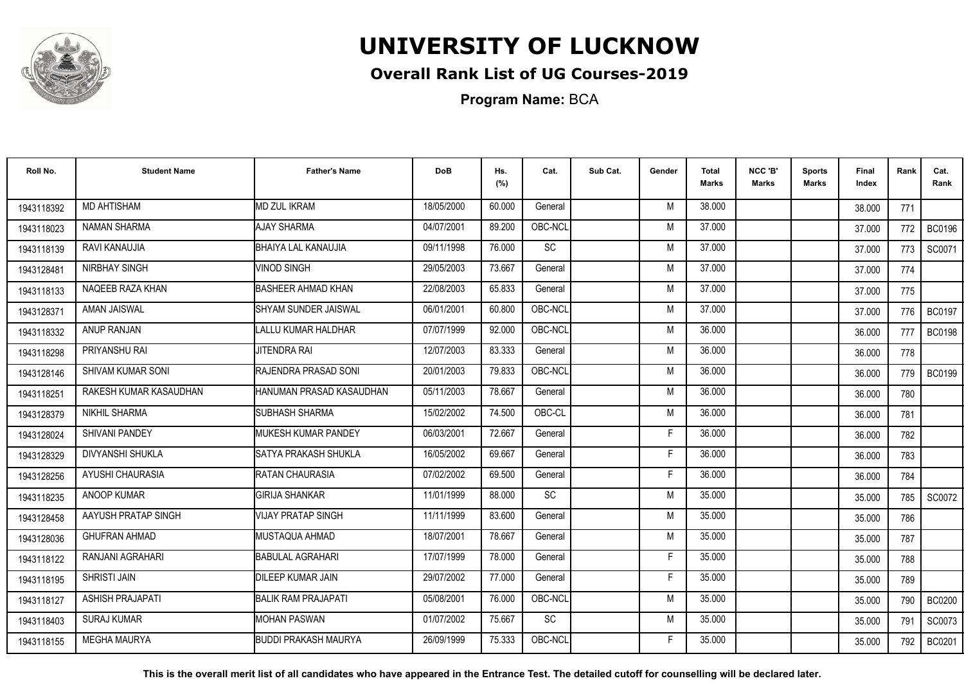

## **Overall Rank List of UG Courses-2019**

**Program Name:** BCA

| Roll No.   | <b>Student Name</b>      | <b>Father's Name</b>        | <b>DoB</b> | Hs.<br>(%) | Cat.      | Sub Cat. | Gender | <b>Total</b><br><b>Marks</b> | NCC 'B'<br>Marks | <b>Sports</b><br>Marks | Final<br>Index | Rank  | Cat.<br>Rank  |
|------------|--------------------------|-----------------------------|------------|------------|-----------|----------|--------|------------------------------|------------------|------------------------|----------------|-------|---------------|
| 1943118392 | <b>MD AHTISHAM</b>       | <b>MD ZUL IKRAM</b>         | 18/05/2000 | 60.000     | General   |          | M      | 38.000                       |                  |                        | 38.000         | 771   |               |
| 1943118023 | <b>NAMAN SHARMA</b>      | <b>AJAY SHARMA</b>          | 04/07/2001 | 89.200     | OBC-NCL   |          | M      | 37.000                       |                  |                        | 37.000         | 772   | <b>BC0196</b> |
| 1943118139 | RAVI KANAUJIA            | <b>BHAIYA LAL KANAUJIA</b>  | 09/11/1998 | 76.000     | SC        |          | M      | 37.000                       |                  |                        | 37.000         | 773   | SC0071        |
| 1943128481 | NIRBHAY SINGH            | <b>VINOD SINGH</b>          | 29/05/2003 | 73.667     | General   |          | M      | 37.000                       |                  |                        | 37.000         | 774   |               |
| 1943118133 | NAQEEB RAZA KHAN         | BASHEER AHMAD KHAN          | 22/08/2003 | 65.833     | General   |          | M      | 37.000                       |                  |                        | 37.000         | 775   |               |
| 1943128371 | AMAN JAISWAL             | SHYAM SUNDER JAISWAL        | 06/01/2001 | 60.800     | OBC-NCL   |          | M      | 37.000                       |                  |                        | 37,000         | 776   | <b>BC0197</b> |
| 1943118332 | ANUP RANJAN              | <b>LALLU KUMAR HALDHAR</b>  | 07/07/1999 | 92.000     | OBC-NCL   |          | M      | 36.000                       |                  |                        | 36.000         | 777   | <b>BC0198</b> |
| 1943118298 | PRIYANSHU RAI            | <b>JITENDRA RAI</b>         | 12/07/2003 | 83.333     | General   |          | M      | 36.000                       |                  |                        | 36.000         | 778   |               |
| 1943128146 | <b>SHIVAM KUMAR SONI</b> | RAJENDRA PRASAD SONI        | 20/01/2003 | 79.833     | OBC-NCL   |          | M      | 36.000                       |                  |                        | 36.000         | 779 I | <b>BC0199</b> |
| 1943118251 | RAKESH KUMAR KASAUDHAN   | HANUMAN PRASAD KASAUDHAN    | 05/11/2003 | 78.667     | General   |          | M      | 36.000                       |                  |                        | 36.000         | 780   |               |
| 1943128379 | NIKHIL SHARMA            | <b>SUBHASH SHARMA</b>       | 15/02/2002 | 74.500     | OBC-CL    |          | M      | 36.000                       |                  |                        | 36.000         | 781   |               |
| 1943128024 | <b>SHIVANI PANDEY</b>    | <b>IMUKESH KUMAR PANDEY</b> | 06/03/2001 | 72.667     | General   |          | Е      | 36.000                       |                  |                        | 36.000         | 782   |               |
| 1943128329 | <b>DIVYANSHI SHUKLA</b>  | SATYA PRAKASH SHUKLA        | 16/05/2002 | 69.667     | General   |          | F      | 36.000                       |                  |                        | 36.000         | 783   |               |
| 1943128256 | AYUSHI CHAURASIA         | RATAN CHAURASIA             | 07/02/2002 | 69.500     | General   |          | F      | 36.000                       |                  |                        | 36.000         | 784   |               |
| 1943118235 | <b>ANOOP KUMAR</b>       | <b>GIRIJA SHANKAR</b>       | 11/01/1999 | 88.000     | <b>SC</b> |          | M      | 35.000                       |                  |                        | 35.000         | 785   | SC0072        |
| 1943128458 | AAYUSH PRATAP SINGH      | VIJAY PRATAP SINGH          | 11/11/1999 | 83.600     | General   |          | M      | 35.000                       |                  |                        | 35.000         | 786   |               |
| 1943128036 | <b>GHUFRAN AHMAD</b>     | <b>I</b> MUSTAQUA AHMAD     | 18/07/2001 | 78.667     | General   |          | M      | 35.000                       |                  |                        | 35.000         | 787   |               |
| 1943118122 | RANJANI AGRAHARI         | <b>BABULAL AGRAHARI</b>     | 17/07/1999 | 78.000     | General   |          | F      | 35.000                       |                  |                        | 35.000         | 788   |               |
| 1943118195 | SHRISTI JAIN             | <b>DILEEP KUMAR JAIN</b>    | 29/07/2002 | 77.000     | General   |          | F      | 35.000                       |                  |                        | 35.000         | 789   |               |
| 1943118127 | <b>ASHISH PRAJAPATI</b>  | <b>BALIK RAM PRAJAPATI</b>  | 05/08/2001 | 76.000     | OBC-NCL   |          | M      | 35.000                       |                  |                        | 35.000         | 790   | <b>BC0200</b> |
| 1943118403 | SURAJ KUMAR              | <b>MOHAN PASWAN</b>         | 01/07/2002 | 75.667     | SC        |          | M      | 35.000                       |                  |                        | 35.000         | 791   | SC0073        |
| 1943118155 | <b>MEGHA MAURYA</b>      | <b>BUDDI PRAKASH MAURYA</b> | 26/09/1999 | 75.333     | OBC-NCL   |          | F      | 35.000                       |                  |                        | 35.000         | 792   | <b>BC0201</b> |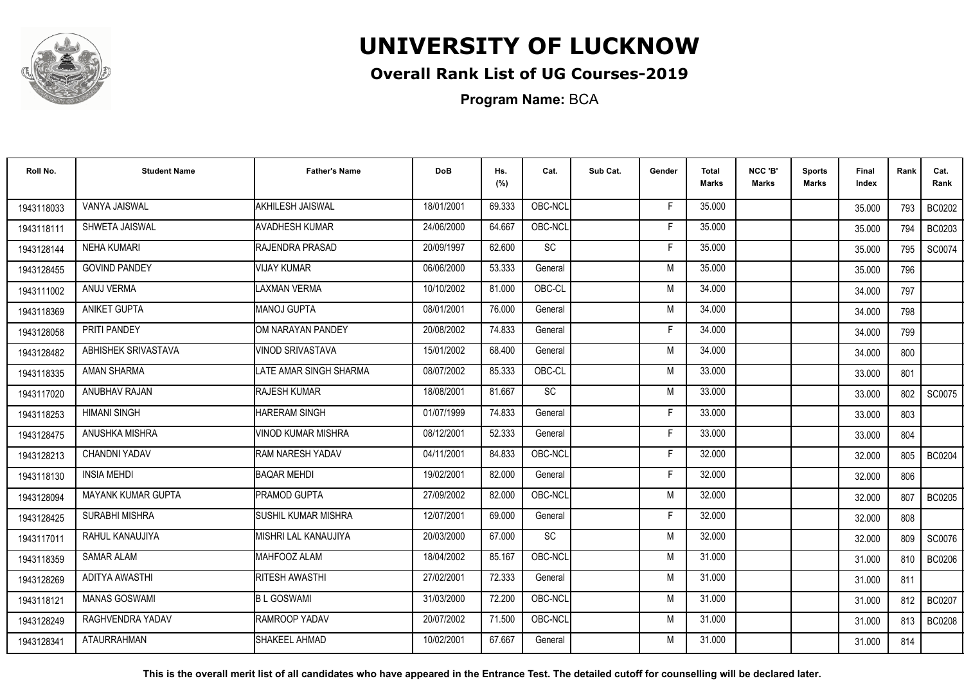

## **Overall Rank List of UG Courses-2019**

**Program Name:** BCA

| Roll No.   | <b>Student Name</b>       | <b>Father's Name</b>       | <b>DoB</b> | Hs.<br>(%) | Cat.    | Sub Cat. | Gender | <b>Total</b><br><b>Marks</b> | NCC 'B'<br><b>Marks</b> | <b>Sports</b><br>Marks | Final<br>Index | Rank | Cat.<br>Rank  |
|------------|---------------------------|----------------------------|------------|------------|---------|----------|--------|------------------------------|-------------------------|------------------------|----------------|------|---------------|
| 1943118033 | VANYA JAISWAL             | AKHILESH JAISWAL           | 18/01/2001 | 69.333     | OBC-NCL |          | F      | 35.000                       |                         |                        | 35.000         | 793  | <b>BC0202</b> |
| 1943118111 | SHWETA JAISWAL            | <b>AVADHESH KUMAR</b>      | 24/06/2000 | 64.667     | OBC-NCL |          | E      | 35.000                       |                         |                        | 35.000         | 794  | BC0203        |
| 1943128144 | <b>NEHA KUMARI</b>        | RAJENDRA PRASAD            | 20/09/1997 | 62.600     | SC      |          | F      | 35.000                       |                         |                        | 35.000         | 795  | SC0074        |
| 1943128455 | <b>GOVIND PANDEY</b>      | <b>VIJAY KUMAR</b>         | 06/06/2000 | 53.333     | General |          | M      | 35.000                       |                         |                        | 35.000         | 796  |               |
| 1943111002 | ANUJ VERMA                | LAXMAN VERMA               | 10/10/2002 | 81.000     | OBC-CL  |          | M      | 34.000                       |                         |                        | 34.000         | 797  |               |
| 1943118369 | ANIKET GUPTA              | <b>MANOJ GUPTA</b>         | 08/01/2001 | 76.000     | General |          | M      | 34.000                       |                         |                        | 34.000         | 798  |               |
| 1943128058 | PRITI PANDEY              | OM NARAYAN PANDEY          | 20/08/2002 | 74.833     | General |          | F      | 34.000                       |                         |                        | 34.000         | 799  |               |
| 1943128482 | ABHISHEK SRIVASTAVA       | VINOD SRIVASTAVA           | 15/01/2002 | 68.400     | General |          | M      | 34.000                       |                         |                        | 34.000         | 800  |               |
| 1943118335 | <b>AMAN SHARMA</b>        | LATE AMAR SINGH SHARMA     | 08/07/2002 | 85.333     | OBC-CL  |          | M      | 33.000                       |                         |                        | 33.000         | 801  |               |
| 1943117020 | ANUBHAV RAJAN             | RAJESH KUMAR               | 18/08/2001 | 81.667     | SC      |          | M      | 33.000                       |                         |                        | 33.000         | 802  | SC0075        |
| 1943118253 | <b>HIMANI SINGH</b>       | <b>HARERAM SINGH</b>       | 01/07/1999 | 74.833     | General |          | F      | 33.000                       |                         |                        | 33.000         | 803  |               |
| 1943128475 | ANUSHKA MISHRA            | VINOD KUMAR MISHRA         | 08/12/2001 | 52.333     | General |          | F      | 33.000                       |                         |                        | 33.000         | 804  |               |
| 1943128213 | <b>CHANDNI YADAV</b>      | RAM NARESH YADAV           | 04/11/2001 | 84.833     | OBC-NCL |          | Е      | 32.000                       |                         |                        | 32,000         | 805  | <b>BC0204</b> |
| 1943118130 | <b>INSIA MEHDI</b>        | <b>BAOAR MEHDI</b>         | 19/02/2001 | 82.000     | General |          | F      | 32.000                       |                         |                        | 32.000         | 806  |               |
| 1943128094 | <b>MAYANK KUMAR GUPTA</b> | PRAMOD GUPTA               | 27/09/2002 | 82.000     | OBC-NCL |          | M      | 32.000                       |                         |                        | 32,000         | 807  | <b>BC0205</b> |
| 1943128425 | <b>SURABHI MISHRA</b>     | <b>SUSHIL KUMAR MISHRA</b> | 12/07/2001 | 69.000     | General |          | F      | 32.000                       |                         |                        | 32.000         | 808  |               |
| 1943117011 | RAHUL KANAUJIYA           | MISHRI LAL KANAUJIYA       | 20/03/2000 | 67.000     | SC      |          | M      | 32.000                       |                         |                        | 32.000         | 809  | SC0076        |
| 1943118359 | <b>SAMAR ALAM</b>         | MAHFOOZ ALAM               | 18/04/2002 | 85.167     | OBC-NCL |          | M      | 31.000                       |                         |                        | 31.000         | 810  | <b>BC0206</b> |
| 1943128269 | <b>ADITYA AWASTHI</b>     | RITESH AWASTHI             | 27/02/2001 | 72.333     | General |          | M      | 31.000                       |                         |                        | 31.000         | 811  |               |
| 1943118121 | <b>MANAS GOSWAMI</b>      | <b>BL GOSWAMI</b>          | 31/03/2000 | 72.200     | OBC-NCL |          | M      | 31.000                       |                         |                        | 31.000         | 812  | <b>BC0207</b> |
| 1943128249 | RAGHVENDRA YADAV          | RAMROOP YADAV              | 20/07/2002 | 71.500     | OBC-NCL |          | M      | 31.000                       |                         |                        | 31.000         | 813  | BC0208        |
| 1943128341 | <b>ATAURRAHMAN</b>        | SHAKEEL AHMAD              | 10/02/2001 | 67.667     | General |          | M      | 31.000                       |                         |                        | 31.000         | 814  |               |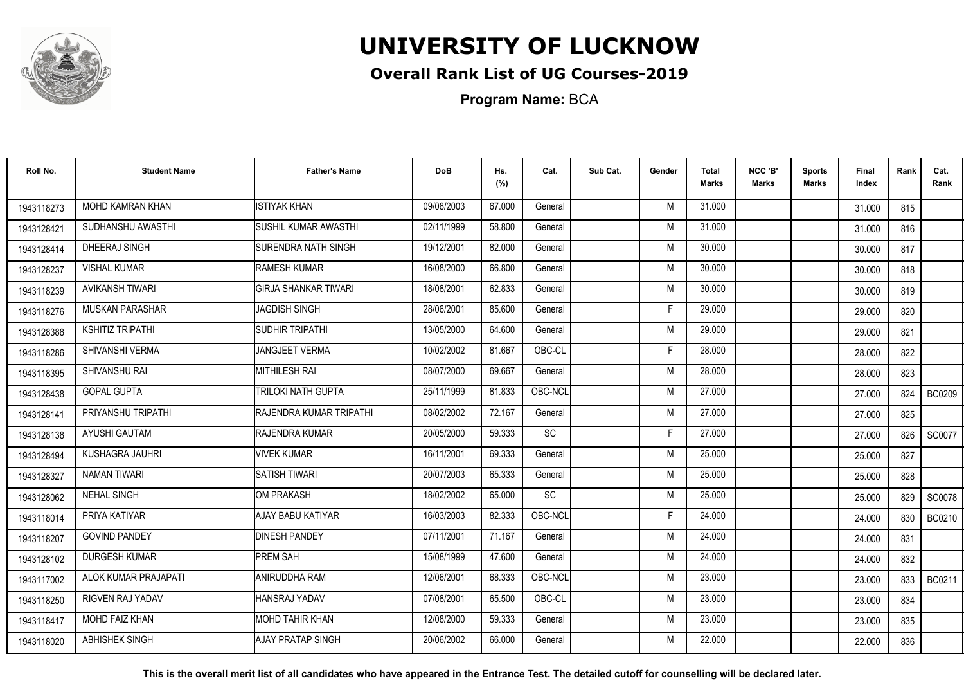

## **Overall Rank List of UG Courses-2019**

**Program Name:** BCA

| Roll No.   | <b>Student Name</b>     | <b>Father's Name</b>            | <b>DoB</b> | Hs.<br>(%) | Cat.      | Sub Cat. | Gender | <b>Total</b><br><b>Marks</b> | NCC 'B'<br>Marks | <b>Sports</b><br>Marks | Final<br>Index | Rank | Cat.<br>Rank  |
|------------|-------------------------|---------------------------------|------------|------------|-----------|----------|--------|------------------------------|------------------|------------------------|----------------|------|---------------|
| 1943118273 | MOHD KAMRAN KHAN        | <b>ISTIYAK KHAN</b>             | 09/08/2003 | 67.000     | General   |          | M      | 31.000                       |                  |                        | 31.000         | 815  |               |
| 1943128421 | SUDHANSHU AWASTHI       | <b>SUSHIL KUMAR AWASTHI</b>     | 02/11/1999 | 58.800     | General   |          | M      | 31.000                       |                  |                        | 31.000         | 816  |               |
| 1943128414 | DHEERAJ SINGH           | ISURENDRA NATH SINGH            | 19/12/2001 | 82.000     | General   |          | M      | 30.000                       |                  |                        | 30.000         | 817  |               |
| 1943128237 | <b>VISHAL KUMAR</b>     | <b>RAMESH KUMAR</b>             | 16/08/2000 | 66.800     | General   |          | M      | 30.000                       |                  |                        | 30.000         | 818  |               |
| 1943118239 | AVIKANSH TIWARI         | <b>GIRJA SHANKAR TIWARI</b>     | 18/08/2001 | 62.833     | General   |          | M      | 30.000                       |                  |                        | 30.000         | 819  |               |
| 1943118276 | <b>MUSKAN PARASHAR</b>  | <b>JAGDISH SINGH</b>            | 28/06/2001 | 85.600     | General   |          | Е      | 29.000                       |                  |                        | 29,000         | 820  |               |
| 1943128388 | <b>KSHITIZ TRIPATHI</b> | SUDHIR TRIPATHI                 | 13/05/2000 | 64.600     | General   |          | M      | 29.000                       |                  |                        | 29.000         | 821  |               |
| 1943118286 | SHIVANSHI VERMA         | JANGJEET VERMA                  | 10/02/2002 | 81.667     | OBC-CL    |          | F      | 28.000                       |                  |                        | 28.000         | 822  |               |
| 1943118395 | SHIVANSHU RAI           | <b>MITHILESH RAI</b>            | 08/07/2000 | 69.667     | General   |          | M      | 28.000                       |                  |                        | 28.000         | 823  |               |
| 1943128438 | <b>GOPAL GUPTA</b>      | <b>TRILOKI NATH GUPTA</b>       | 25/11/1999 | 81.833     | OBC-NCL   |          | M      | 27,000                       |                  |                        | 27.000         | 824  | <b>BC0209</b> |
| 1943128141 | PRIYANSHU TRIPATHI      | <b>IRAJENDRA KUMAR TRIPATHI</b> | 08/02/2002 | 72.167     | General   |          | M      | 27,000                       |                  |                        | 27.000         | 825  |               |
| 1943128138 | AYUSHI GAUTAM           | <b>RAJENDRA KUMAR</b>           | 20/05/2000 | 59.333     | <b>SC</b> |          | Е      | 27,000                       |                  |                        | 27.000         | 826  | SC0077        |
| 1943128494 | KUSHAGRA JAUHRI         | <b>VIVEK KUMAR</b>              | 16/11/2001 | 69.333     | General   |          | M      | 25.000                       |                  |                        | 25.000         | 827  |               |
| 1943128327 | NAMAN TIWARI            | <b>SATISH TIWARI</b>            | 20/07/2003 | 65.333     | General   |          | M      | 25.000                       |                  |                        | 25.000         | 828  |               |
| 1943128062 | <b>NEHAL SINGH</b>      | <b>I</b> OM PRAKASH             | 18/02/2002 | 65.000     | <b>SC</b> |          | M      | 25.000                       |                  |                        | 25.000         | 829  | <b>SC0078</b> |
| 1943118014 | PRIYA KATIYAR           | AJAY BABU KATIYAR               | 16/03/2003 | 82.333     | OBC-NCL   |          | F      | 24.000                       |                  |                        | 24.000         | 830  | <b>BC0210</b> |
| 1943118207 | <b>GOVIND PANDEY</b>    | <b>IDINESH PANDEY</b>           | 07/11/2001 | 71.167     | General   |          | M      | 24.000                       |                  |                        | 24.000         | 831  |               |
| 1943128102 | <b>DURGESH KUMAR</b>    | <b>I</b> PREM SAH               | 15/08/1999 | 47.600     | General   |          | M      | 24.000                       |                  |                        | 24.000         | 832  |               |
| 1943117002 | ALOK KUMAR PRAJAPATI    | ANIRUDDHA RAM                   | 12/06/2001 | 68.333     | OBC-NCL   |          | M      | 23.000                       |                  |                        | 23.000         | 833  | BC0211        |
| 1943118250 | <b>RIGVEN RAJ YADAV</b> | HANSRAJ YADAV                   | 07/08/2001 | 65.500     | OBC-CL    |          | M      | 23,000                       |                  |                        | 23.000         | 834  |               |
| 1943118417 | MOHD FAIZ KHAN          | MOHD TAHIR KHAN                 | 12/08/2000 | 59.333     | General   |          | M      | 23.000                       |                  |                        | 23.000         | 835  |               |
| 1943118020 | <b>ABHISHEK SINGH</b>   | AJAY PRATAP SINGH               | 20/06/2002 | 66.000     | General   |          | M      | 22.000                       |                  |                        | 22.000         | 836  |               |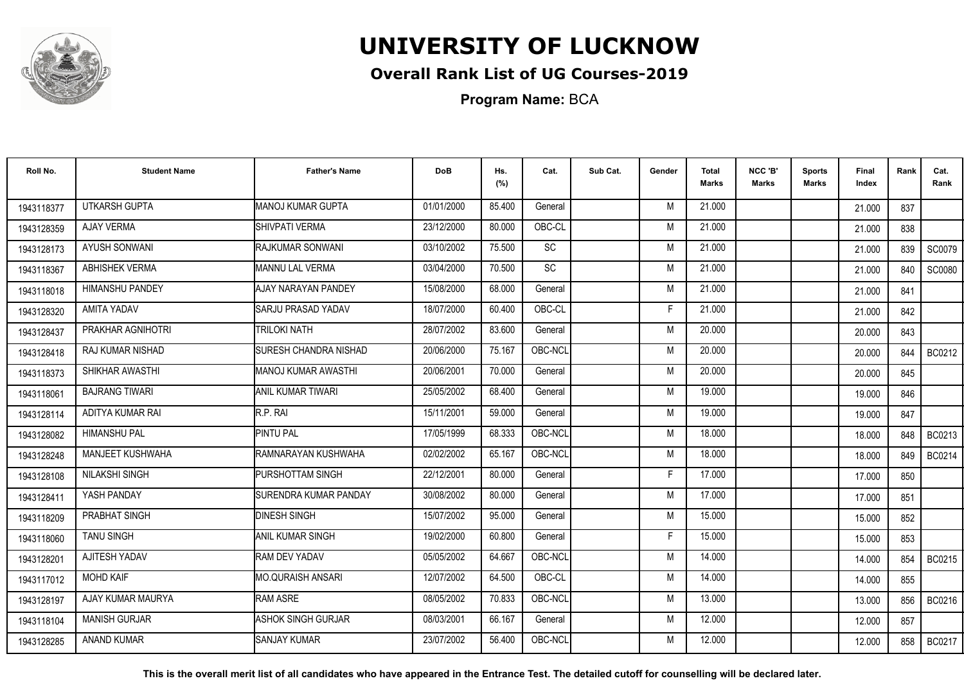

## **Overall Rank List of UG Courses-2019**

**Program Name:** BCA

| Roll No.   | <b>Student Name</b>     | <b>Father's Name</b>          | <b>DoB</b> | Hs.<br>(%) | Cat.      | Sub Cat. | Gender | <b>Total</b><br><b>Marks</b> | NCC 'B'<br><b>Marks</b> | <b>Sports</b><br>Marks | Final<br>Index | Rank | Cat.<br>Rank |
|------------|-------------------------|-------------------------------|------------|------------|-----------|----------|--------|------------------------------|-------------------------|------------------------|----------------|------|--------------|
| 1943118377 | <b>UTKARSH GUPTA</b>    | MANOJ KUMAR GUPTA             | 01/01/2000 | 85.400     | General   |          | M      | 21.000                       |                         |                        | 21.000         | 837  |              |
| 1943128359 | <b>AJAY VERMA</b>       | SHIVPATI VERMA                | 23/12/2000 | 80.000     | OBC-CL    |          | M      | 21.000                       |                         |                        | 21.000         | 838  |              |
| 1943128173 | <b>AYUSH SONWANI</b>    | RAJKUMAR SONWANI              | 03/10/2002 | 75.500     | SC        |          | M      | 21.000                       |                         |                        | 21.000         | 839  | SC0079       |
| 1943118367 | <b>ABHISHEK VERMA</b>   | <b>I</b> MANNU LAL VERMA      | 03/04/2000 | 70.500     | <b>SC</b> |          | M      | 21.000                       |                         |                        | 21.000         | 840  | SC0080       |
| 1943118018 | <b>HIMANSHU PANDEY</b>  | AJAY NARAYAN PANDEY           | 15/08/2000 | 68.000     | General   |          | M      | 21.000                       |                         |                        | 21.000         | 841  |              |
| 1943128320 | <b>AMITA YADAV</b>      | <b>SARJU PRASAD YADAV</b>     | 18/07/2000 | 60.400     | OBC-CL    |          | Е      | 21.000                       |                         |                        | 21.000         | 842  |              |
| 1943128437 | PRAKHAR AGNIHOTRI       | <b>TRILOKI NATH</b>           | 28/07/2002 | 83.600     | General   |          | M      | 20.000                       |                         |                        | 20.000         | 843  |              |
| 1943128418 | RAJ KUMAR NISHAD        | <b>SURESH CHANDRA NISHAD</b>  | 20/06/2000 | 75.167     | OBC-NCL   |          | M      | 20.000                       |                         |                        | 20.000         | 844  | BC0212       |
| 1943118373 | SHIKHAR AWASTHI         | IMANOJ KUMAR AWASTHI          | 20/06/2001 | 70.000     | General   |          | M      | 20.000                       |                         |                        | 20.000         | 845  |              |
| 1943118061 | <b>BAJRANG TIWARI</b>   | ANIL KUMAR TIWARI             | 25/05/2002 | 68.400     | General   |          | M      | 19.000                       |                         |                        | 19.000         | 846  |              |
| 1943128114 | ADITYA KUMAR RAI        | R.P. RAI                      | 15/11/2001 | 59.000     | General   |          | M      | 19.000                       |                         |                        | 19.000         | 847  |              |
| 1943128082 | <b>HIMANSHU PAL</b>     | <b>PINTU PAL</b>              | 17/05/1999 | 68.333     | OBC-NCL   |          | M      | 18.000                       |                         |                        | 18.000         | 848  | BC0213       |
| 1943128248 | <b>MANJEET KUSHWAHA</b> | RAMNARAYAN KUSHWAHA           | 02/02/2002 | 65.167     | OBC-NCL   |          | M      | 18.000                       |                         |                        | 18.000         | 849  | BC0214       |
| 1943128108 | <b>NILAKSHI SINGH</b>   | <b>PURSHOTTAM SINGH</b>       | 22/12/2001 | 80.000     | General   |          | F      | 17.000                       |                         |                        | 17.000         | 850  |              |
| 1943128411 | YASH PANDAY             | <b>ISURENDRA KUMAR PANDAY</b> | 30/08/2002 | 80.000     | General   |          | M      | 17.000                       |                         |                        | 17.000         | 851  |              |
| 1943118209 | PRABHAT SINGH           | <b>DINESH SINGH</b>           | 15/07/2002 | 95.000     | General   |          | M      | 15.000                       |                         |                        | 15.000         | 852  |              |
| 1943118060 | <b>TANU SINGH</b>       | <b>ANIL KUMAR SINGH</b>       | 19/02/2000 | 60.800     | General   |          | F      | 15.000                       |                         |                        | 15.000         | 853  |              |
| 1943128201 | AJITESH YADAV           | RAM DEV YADAV                 | 05/05/2002 | 64.667     | OBC-NCL   |          | M      | 14.000                       |                         |                        | 14.000         | 854  | BC0215       |
| 1943117012 | <b>MOHD KAIF</b>        | IMO.QURAISH ANSARI            | 12/07/2002 | 64.500     | OBC-CL    |          | M      | 14.000                       |                         |                        | 14.000         | 855  |              |
| 1943128197 | AJAY KUMAR MAURYA       | RAM ASRE                      | 08/05/2002 | 70.833     | OBC-NCL   |          | M      | 13.000                       |                         |                        | 13.000         | 856  | BC0216       |
| 1943118104 | MANISH GURJAR           | ASHOK SINGH GURJAR            | 08/03/2001 | 66.167     | General   |          | M      | 12.000                       |                         |                        | 12.000         | 857  |              |
| 1943128285 | <b>ANAND KUMAR</b>      | <b>SANJAY KUMAR</b>           | 23/07/2002 | 56.400     | OBC-NCL   |          | M      | 12.000                       |                         |                        | 12.000         | 858  | BC0217       |